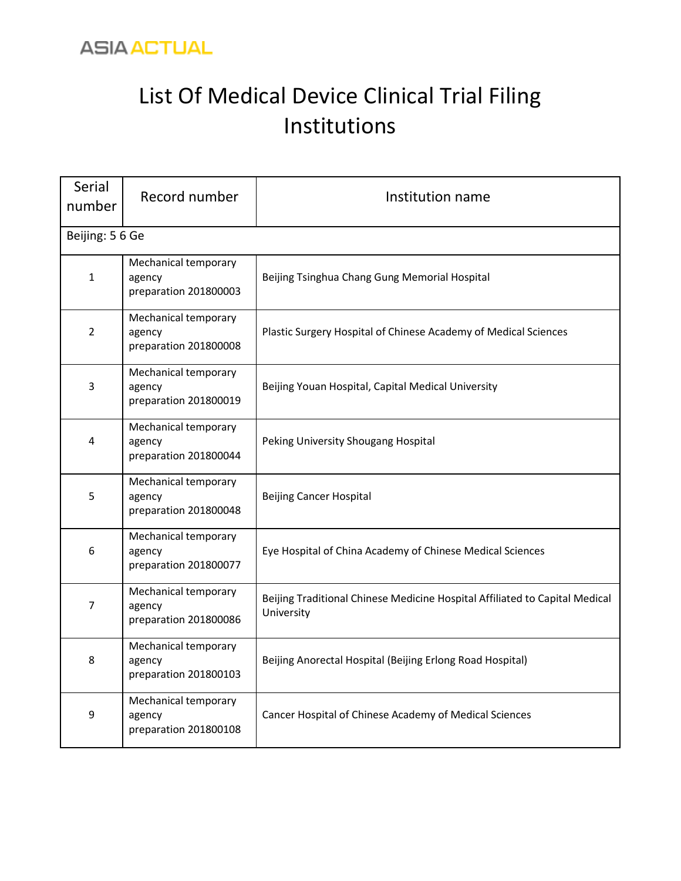

## List Of Medical Device Clinical Trial Filing Institutions

| <b>Serial</b><br>number | Record number                                           | Institution name                                                                          |
|-------------------------|---------------------------------------------------------|-------------------------------------------------------------------------------------------|
| Beijing: 5 6 Ge         |                                                         |                                                                                           |
| $\mathbf{1}$            | Mechanical temporary<br>agency<br>preparation 201800003 | Beijing Tsinghua Chang Gung Memorial Hospital                                             |
| $\overline{2}$          | Mechanical temporary<br>agency<br>preparation 201800008 | Plastic Surgery Hospital of Chinese Academy of Medical Sciences                           |
| 3                       | Mechanical temporary<br>agency<br>preparation 201800019 | Beijing Youan Hospital, Capital Medical University                                        |
| 4                       | Mechanical temporary<br>agency<br>preparation 201800044 | Peking University Shougang Hospital                                                       |
| 5                       | Mechanical temporary<br>agency<br>preparation 201800048 | <b>Beijing Cancer Hospital</b>                                                            |
| 6                       | Mechanical temporary<br>agency<br>preparation 201800077 | Eye Hospital of China Academy of Chinese Medical Sciences                                 |
| 7                       | Mechanical temporary<br>agency<br>preparation 201800086 | Beijing Traditional Chinese Medicine Hospital Affiliated to Capital Medical<br>University |
| 8                       | Mechanical temporary<br>agency<br>preparation 201800103 | Beijing Anorectal Hospital (Beijing Erlong Road Hospital)                                 |
| 9                       | Mechanical temporary<br>agency<br>preparation 201800108 | Cancer Hospital of Chinese Academy of Medical Sciences                                    |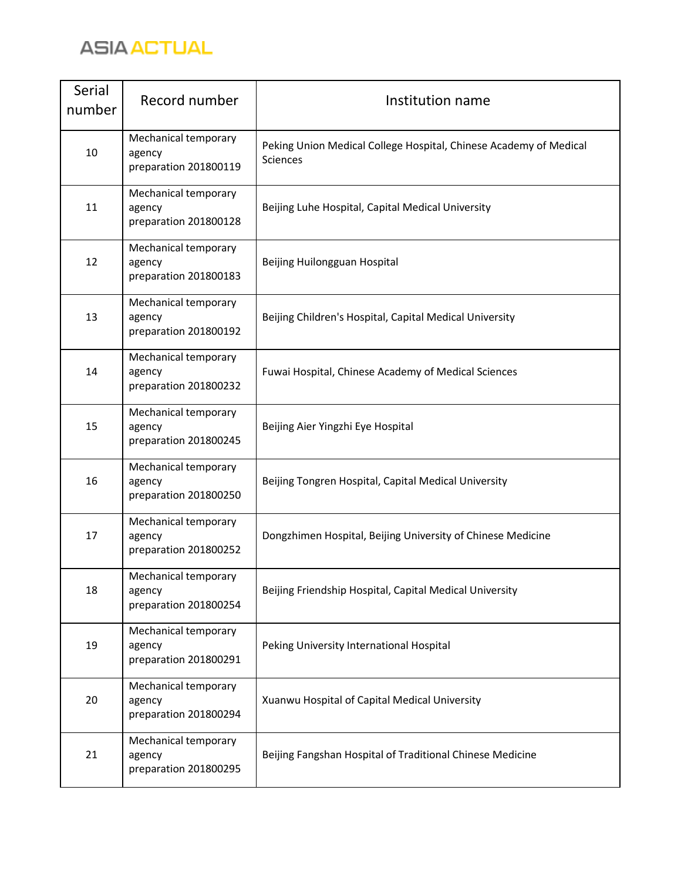

| Serial<br>number | Record number                                           | Institution name                                                                     |
|------------------|---------------------------------------------------------|--------------------------------------------------------------------------------------|
| 10               | Mechanical temporary<br>agency<br>preparation 201800119 | Peking Union Medical College Hospital, Chinese Academy of Medical<br><b>Sciences</b> |
| 11               | Mechanical temporary<br>agency<br>preparation 201800128 | Beijing Luhe Hospital, Capital Medical University                                    |
| 12               | Mechanical temporary<br>agency<br>preparation 201800183 | Beijing Huilongguan Hospital                                                         |
| 13               | Mechanical temporary<br>agency<br>preparation 201800192 | Beijing Children's Hospital, Capital Medical University                              |
| 14               | Mechanical temporary<br>agency<br>preparation 201800232 | Fuwai Hospital, Chinese Academy of Medical Sciences                                  |
| 15               | Mechanical temporary<br>agency<br>preparation 201800245 | Beijing Aier Yingzhi Eye Hospital                                                    |
| 16               | Mechanical temporary<br>agency<br>preparation 201800250 | Beijing Tongren Hospital, Capital Medical University                                 |
| 17               | Mechanical temporary<br>agency<br>preparation 201800252 | Dongzhimen Hospital, Beijing University of Chinese Medicine                          |
| 18               | Mechanical temporary<br>agency<br>preparation 201800254 | Beijing Friendship Hospital, Capital Medical University                              |
| 19               | Mechanical temporary<br>agency<br>preparation 201800291 | Peking University International Hospital                                             |
| 20               | Mechanical temporary<br>agency<br>preparation 201800294 | Xuanwu Hospital of Capital Medical University                                        |
| 21               | Mechanical temporary<br>agency<br>preparation 201800295 | Beijing Fangshan Hospital of Traditional Chinese Medicine                            |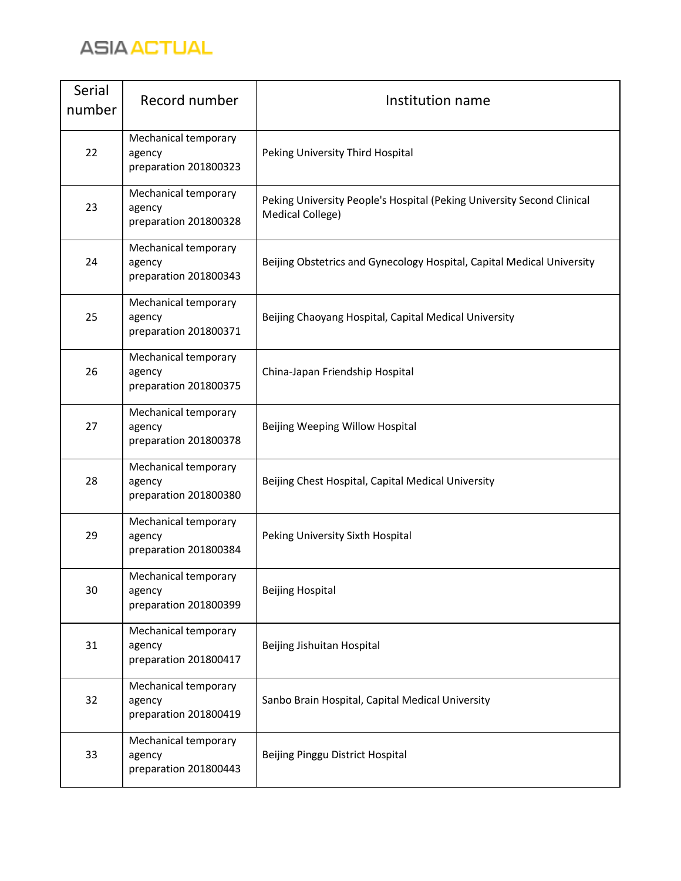

| Serial<br>number | Record number                                           | Institution name                                                                           |
|------------------|---------------------------------------------------------|--------------------------------------------------------------------------------------------|
| 22               | Mechanical temporary<br>agency<br>preparation 201800323 | Peking University Third Hospital                                                           |
| 23               | Mechanical temporary<br>agency<br>preparation 201800328 | Peking University People's Hospital (Peking University Second Clinical<br>Medical College) |
| 24               | Mechanical temporary<br>agency<br>preparation 201800343 | Beijing Obstetrics and Gynecology Hospital, Capital Medical University                     |
| 25               | Mechanical temporary<br>agency<br>preparation 201800371 | Beijing Chaoyang Hospital, Capital Medical University                                      |
| 26               | Mechanical temporary<br>agency<br>preparation 201800375 | China-Japan Friendship Hospital                                                            |
| 27               | Mechanical temporary<br>agency<br>preparation 201800378 | Beijing Weeping Willow Hospital                                                            |
| 28               | Mechanical temporary<br>agency<br>preparation 201800380 | Beijing Chest Hospital, Capital Medical University                                         |
| 29               | Mechanical temporary<br>agency<br>preparation 201800384 | Peking University Sixth Hospital                                                           |
| 30               | Mechanical temporary<br>agency<br>preparation 201800399 | <b>Beijing Hospital</b>                                                                    |
| 31               | Mechanical temporary<br>agency<br>preparation 201800417 | Beijing Jishuitan Hospital                                                                 |
| 32               | Mechanical temporary<br>agency<br>preparation 201800419 | Sanbo Brain Hospital, Capital Medical University                                           |
| 33               | Mechanical temporary<br>agency<br>preparation 201800443 | Beijing Pinggu District Hospital                                                           |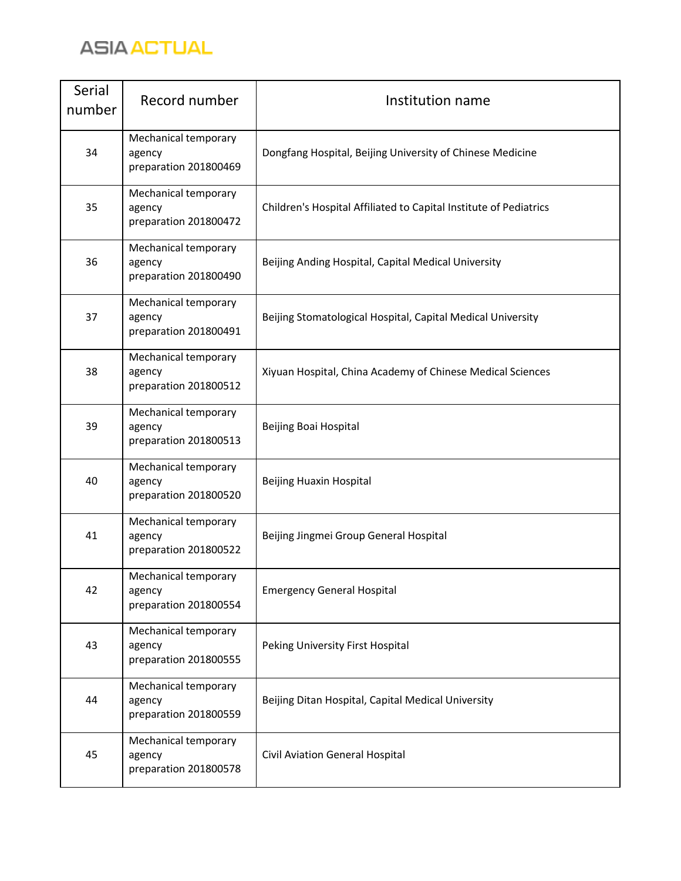

| Serial<br>number | Record number                                           | Institution name                                                  |
|------------------|---------------------------------------------------------|-------------------------------------------------------------------|
| 34               | Mechanical temporary<br>agency<br>preparation 201800469 | Dongfang Hospital, Beijing University of Chinese Medicine         |
| 35               | Mechanical temporary<br>agency<br>preparation 201800472 | Children's Hospital Affiliated to Capital Institute of Pediatrics |
| 36               | Mechanical temporary<br>agency<br>preparation 201800490 | Beijing Anding Hospital, Capital Medical University               |
| 37               | Mechanical temporary<br>agency<br>preparation 201800491 | Beijing Stomatological Hospital, Capital Medical University       |
| 38               | Mechanical temporary<br>agency<br>preparation 201800512 | Xiyuan Hospital, China Academy of Chinese Medical Sciences        |
| 39               | Mechanical temporary<br>agency<br>preparation 201800513 | Beijing Boai Hospital                                             |
| 40               | Mechanical temporary<br>agency<br>preparation 201800520 | Beijing Huaxin Hospital                                           |
| 41               | Mechanical temporary<br>agency<br>preparation 201800522 | Beijing Jingmei Group General Hospital                            |
| 42               | Mechanical temporary<br>agency<br>preparation 201800554 | <b>Emergency General Hospital</b>                                 |
| 43               | Mechanical temporary<br>agency<br>preparation 201800555 | Peking University First Hospital                                  |
| 44               | Mechanical temporary<br>agency<br>preparation 201800559 | Beijing Ditan Hospital, Capital Medical University                |
| 45               | Mechanical temporary<br>agency<br>preparation 201800578 | Civil Aviation General Hospital                                   |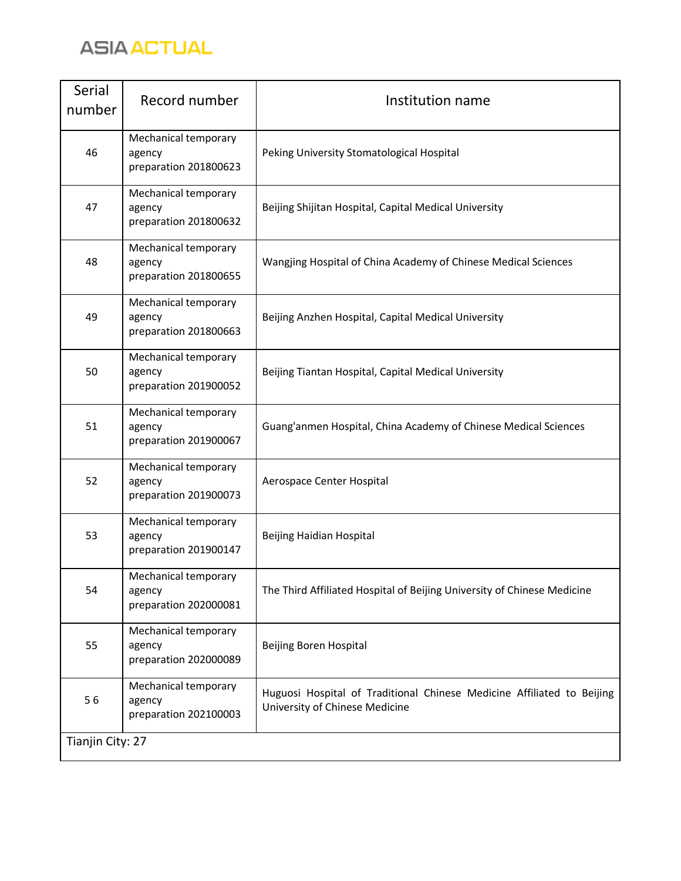

| Serial<br>number | Record number                                           | Institution name                                                                                         |
|------------------|---------------------------------------------------------|----------------------------------------------------------------------------------------------------------|
| 46               | Mechanical temporary<br>agency<br>preparation 201800623 | Peking University Stomatological Hospital                                                                |
| 47               | Mechanical temporary<br>agency<br>preparation 201800632 | Beijing Shijitan Hospital, Capital Medical University                                                    |
| 48               | Mechanical temporary<br>agency<br>preparation 201800655 | Wangjing Hospital of China Academy of Chinese Medical Sciences                                           |
| 49               | Mechanical temporary<br>agency<br>preparation 201800663 | Beijing Anzhen Hospital, Capital Medical University                                                      |
| 50               | Mechanical temporary<br>agency<br>preparation 201900052 | Beijing Tiantan Hospital, Capital Medical University                                                     |
| 51               | Mechanical temporary<br>agency<br>preparation 201900067 | Guang'anmen Hospital, China Academy of Chinese Medical Sciences                                          |
| 52               | Mechanical temporary<br>agency<br>preparation 201900073 | Aerospace Center Hospital                                                                                |
| 53               | Mechanical temporary<br>agency<br>preparation 201900147 | Beijing Haidian Hospital                                                                                 |
| 54               | Mechanical temporary<br>agency<br>preparation 202000081 | The Third Affiliated Hospital of Beijing University of Chinese Medicine                                  |
| 55               | Mechanical temporary<br>agency<br>preparation 202000089 | Beijing Boren Hospital                                                                                   |
| 56               | Mechanical temporary<br>agency<br>preparation 202100003 | Huguosi Hospital of Traditional Chinese Medicine Affiliated to Beijing<br>University of Chinese Medicine |
| Tianjin City: 27 |                                                         |                                                                                                          |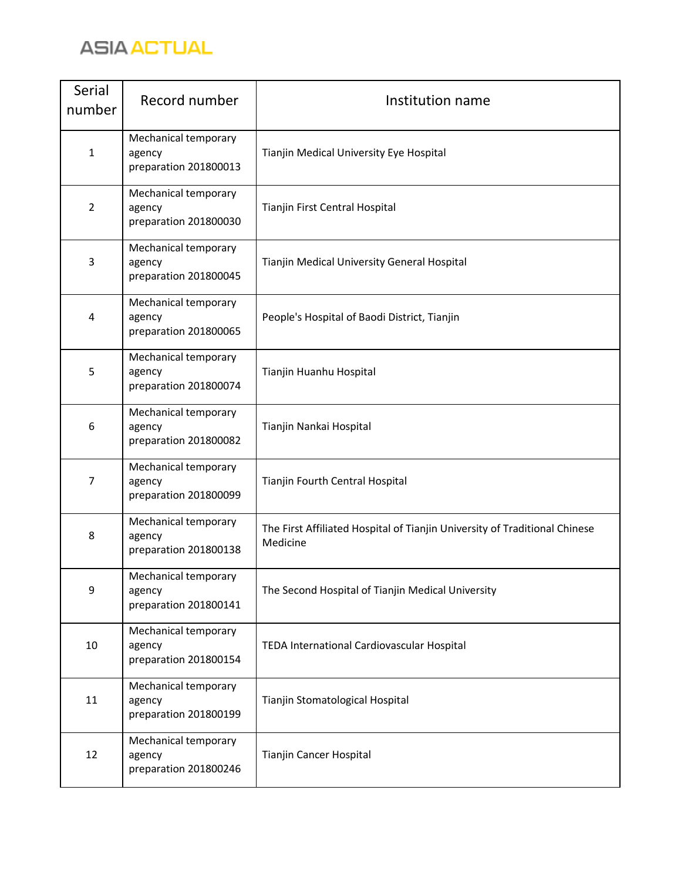

| Serial<br>number | Record number                                           | Institution name                                                                       |
|------------------|---------------------------------------------------------|----------------------------------------------------------------------------------------|
| $\mathbf{1}$     | Mechanical temporary<br>agency<br>preparation 201800013 | Tianjin Medical University Eye Hospital                                                |
| $\overline{2}$   | Mechanical temporary<br>agency<br>preparation 201800030 | Tianjin First Central Hospital                                                         |
| 3                | Mechanical temporary<br>agency<br>preparation 201800045 | Tianjin Medical University General Hospital                                            |
| 4                | Mechanical temporary<br>agency<br>preparation 201800065 | People's Hospital of Baodi District, Tianjin                                           |
| 5                | Mechanical temporary<br>agency<br>preparation 201800074 | Tianjin Huanhu Hospital                                                                |
| 6                | Mechanical temporary<br>agency<br>preparation 201800082 | Tianjin Nankai Hospital                                                                |
| 7                | Mechanical temporary<br>agency<br>preparation 201800099 | Tianjin Fourth Central Hospital                                                        |
| 8                | Mechanical temporary<br>agency<br>preparation 201800138 | The First Affiliated Hospital of Tianjin University of Traditional Chinese<br>Medicine |
| 9                | Mechanical temporary<br>agency<br>preparation 201800141 | The Second Hospital of Tianjin Medical University                                      |
| 10               | Mechanical temporary<br>agency<br>preparation 201800154 | TEDA International Cardiovascular Hospital                                             |
| 11               | Mechanical temporary<br>agency<br>preparation 201800199 | Tianjin Stomatological Hospital                                                        |
| 12               | Mechanical temporary<br>agency<br>preparation 201800246 | Tianjin Cancer Hospital                                                                |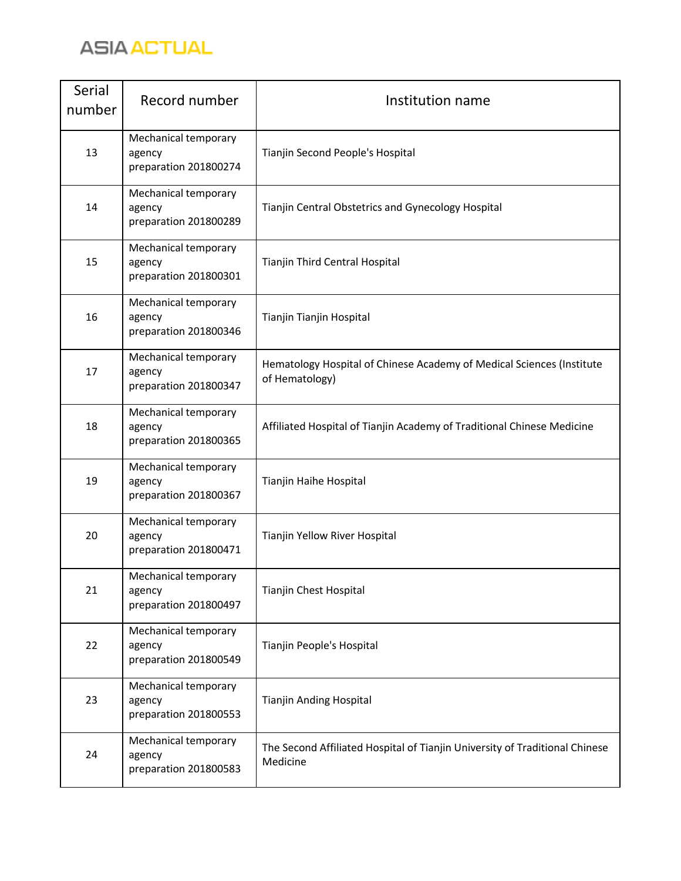

| Serial<br>number | Record number                                           | Institution name                                                                        |
|------------------|---------------------------------------------------------|-----------------------------------------------------------------------------------------|
| 13               | Mechanical temporary<br>agency<br>preparation 201800274 | Tianjin Second People's Hospital                                                        |
| 14               | Mechanical temporary<br>agency<br>preparation 201800289 | Tianjin Central Obstetrics and Gynecology Hospital                                      |
| 15               | Mechanical temporary<br>agency<br>preparation 201800301 | Tianjin Third Central Hospital                                                          |
| 16               | Mechanical temporary<br>agency<br>preparation 201800346 | Tianjin Tianjin Hospital                                                                |
| 17               | Mechanical temporary<br>agency<br>preparation 201800347 | Hematology Hospital of Chinese Academy of Medical Sciences (Institute<br>of Hematology) |
| 18               | Mechanical temporary<br>agency<br>preparation 201800365 | Affiliated Hospital of Tianjin Academy of Traditional Chinese Medicine                  |
| 19               | Mechanical temporary<br>agency<br>preparation 201800367 | Tianjin Haihe Hospital                                                                  |
| 20               | Mechanical temporary<br>agency<br>preparation 201800471 | Tianjin Yellow River Hospital                                                           |
| 21               | Mechanical temporary<br>agency<br>preparation 201800497 | Tianjin Chest Hospital                                                                  |
| 22               | Mechanical temporary<br>agency<br>preparation 201800549 | Tianjin People's Hospital                                                               |
| 23               | Mechanical temporary<br>agency<br>preparation 201800553 | Tianjin Anding Hospital                                                                 |
| 24               | Mechanical temporary<br>agency<br>preparation 201800583 | The Second Affiliated Hospital of Tianjin University of Traditional Chinese<br>Medicine |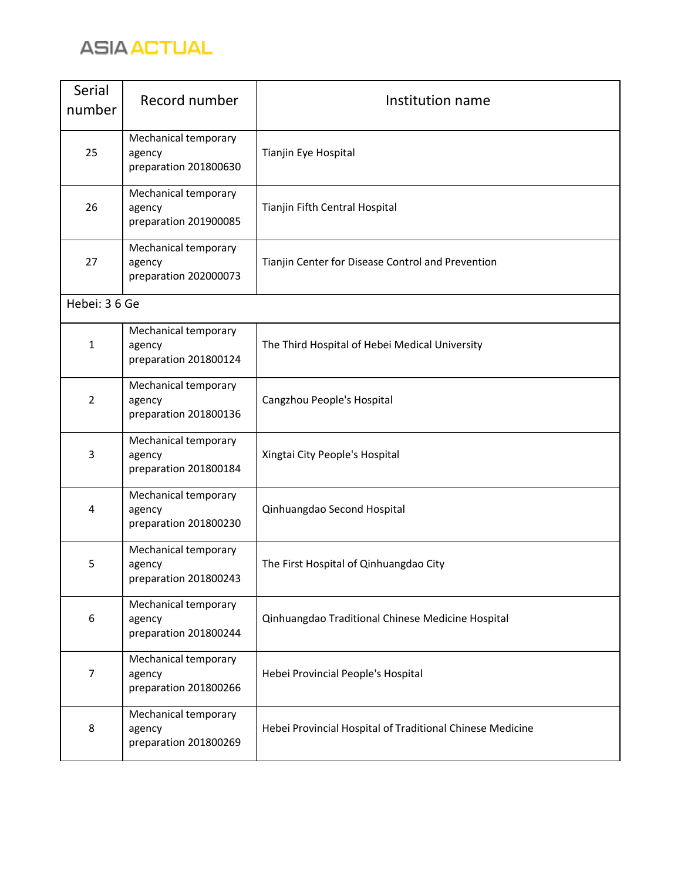

| Serial<br>number | Record number                                           | Institution name                                          |
|------------------|---------------------------------------------------------|-----------------------------------------------------------|
| 25               | Mechanical temporary<br>agency<br>preparation 201800630 | Tianjin Eye Hospital                                      |
| 26               | Mechanical temporary<br>agency<br>preparation 201900085 | Tianjin Fifth Central Hospital                            |
| 27               | Mechanical temporary<br>agency<br>preparation 202000073 | Tianjin Center for Disease Control and Prevention         |
| Hebei: 3 6 Ge    |                                                         |                                                           |
| $\mathbf{1}$     | Mechanical temporary<br>agency<br>preparation 201800124 | The Third Hospital of Hebei Medical University            |
| $\overline{2}$   | Mechanical temporary<br>agency<br>preparation 201800136 | Cangzhou People's Hospital                                |
| 3                | Mechanical temporary<br>agency<br>preparation 201800184 | Xingtai City People's Hospital                            |
| 4                | Mechanical temporary<br>agency<br>preparation 201800230 | Qinhuangdao Second Hospital                               |
| 5                | Mechanical temporary<br>agency<br>preparation 201800243 | The First Hospital of Qinhuangdao City                    |
| 6                | Mechanical temporary<br>agency<br>preparation 201800244 | Qinhuangdao Traditional Chinese Medicine Hospital         |
| 7                | Mechanical temporary<br>agency<br>preparation 201800266 | Hebei Provincial People's Hospital                        |
| 8                | Mechanical temporary<br>agency<br>preparation 201800269 | Hebei Provincial Hospital of Traditional Chinese Medicine |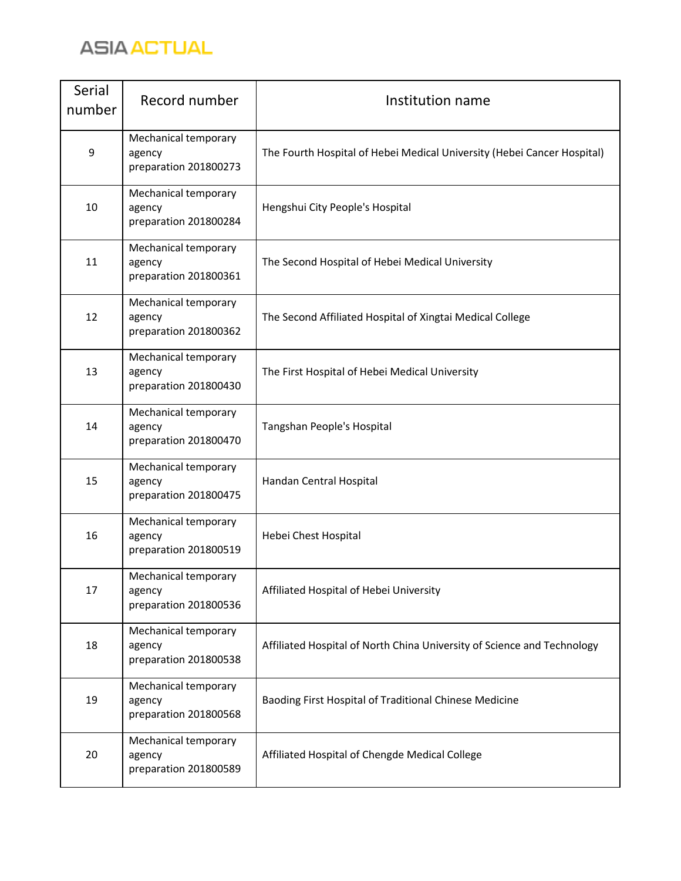

| Serial<br>number | Record number                                           | Institution name                                                        |
|------------------|---------------------------------------------------------|-------------------------------------------------------------------------|
| 9                | Mechanical temporary<br>agency<br>preparation 201800273 | The Fourth Hospital of Hebei Medical University (Hebei Cancer Hospital) |
| 10               | Mechanical temporary<br>agency<br>preparation 201800284 | Hengshui City People's Hospital                                         |
| 11               | Mechanical temporary<br>agency<br>preparation 201800361 | The Second Hospital of Hebei Medical University                         |
| 12               | Mechanical temporary<br>agency<br>preparation 201800362 | The Second Affiliated Hospital of Xingtai Medical College               |
| 13               | Mechanical temporary<br>agency<br>preparation 201800430 | The First Hospital of Hebei Medical University                          |
| 14               | Mechanical temporary<br>agency<br>preparation 201800470 | Tangshan People's Hospital                                              |
| 15               | Mechanical temporary<br>agency<br>preparation 201800475 | Handan Central Hospital                                                 |
| 16               | Mechanical temporary<br>agency<br>preparation 201800519 | Hebei Chest Hospital                                                    |
| 17               | Mechanical temporary<br>agency<br>preparation 201800536 | Affiliated Hospital of Hebei University                                 |
| 18               | Mechanical temporary<br>agency<br>preparation 201800538 | Affiliated Hospital of North China University of Science and Technology |
| 19               | Mechanical temporary<br>agency<br>preparation 201800568 | Baoding First Hospital of Traditional Chinese Medicine                  |
| 20               | Mechanical temporary<br>agency<br>preparation 201800589 | Affiliated Hospital of Chengde Medical College                          |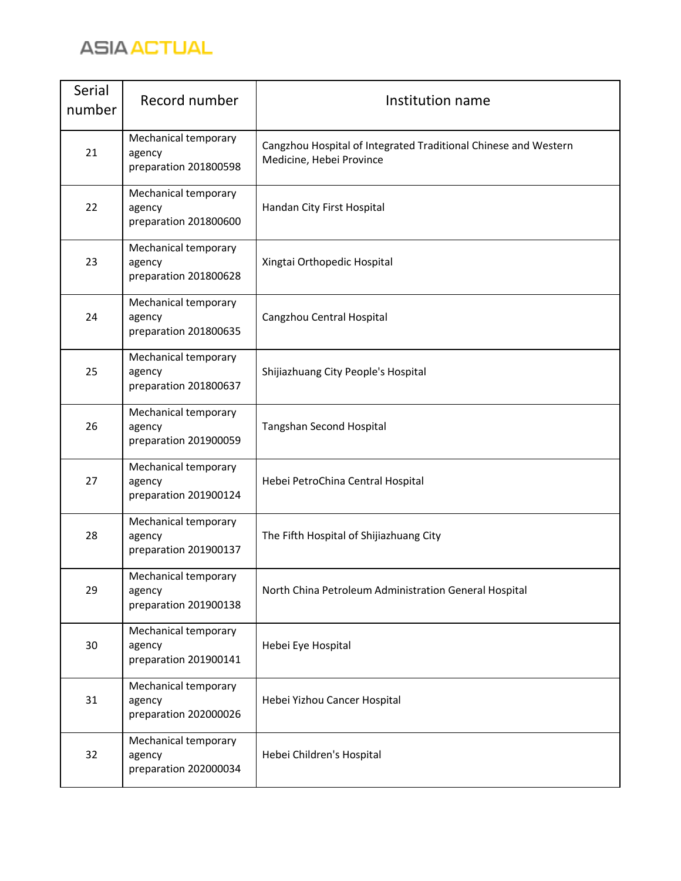

| Serial<br>number | Record number                                           | Institution name                                                                            |
|------------------|---------------------------------------------------------|---------------------------------------------------------------------------------------------|
| 21               | Mechanical temporary<br>agency<br>preparation 201800598 | Cangzhou Hospital of Integrated Traditional Chinese and Western<br>Medicine, Hebei Province |
| 22               | Mechanical temporary<br>agency<br>preparation 201800600 | Handan City First Hospital                                                                  |
| 23               | Mechanical temporary<br>agency<br>preparation 201800628 | Xingtai Orthopedic Hospital                                                                 |
| 24               | Mechanical temporary<br>agency<br>preparation 201800635 | Cangzhou Central Hospital                                                                   |
| 25               | Mechanical temporary<br>agency<br>preparation 201800637 | Shijiazhuang City People's Hospital                                                         |
| 26               | Mechanical temporary<br>agency<br>preparation 201900059 | Tangshan Second Hospital                                                                    |
| 27               | Mechanical temporary<br>agency<br>preparation 201900124 | Hebei PetroChina Central Hospital                                                           |
| 28               | Mechanical temporary<br>agency<br>preparation 201900137 | The Fifth Hospital of Shijiazhuang City                                                     |
| 29               | Mechanical temporary<br>agency<br>preparation 201900138 | North China Petroleum Administration General Hospital                                       |
| 30               | Mechanical temporary<br>agency<br>preparation 201900141 | Hebei Eye Hospital                                                                          |
| 31               | Mechanical temporary<br>agency<br>preparation 202000026 | Hebei Yizhou Cancer Hospital                                                                |
| 32               | Mechanical temporary<br>agency<br>preparation 202000034 | Hebei Children's Hospital                                                                   |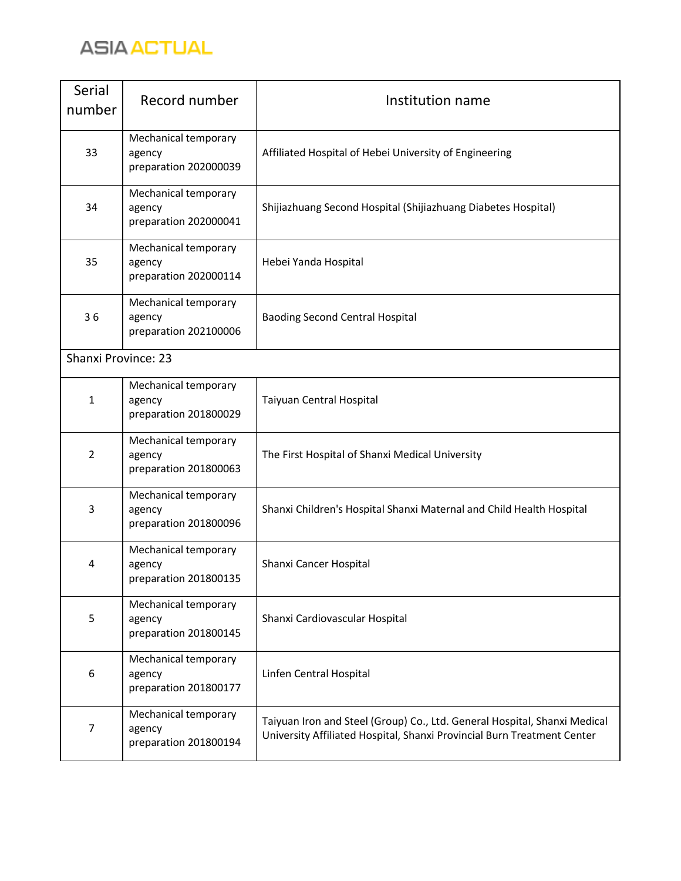

| Serial<br>number           | Record number                                           | Institution name                                                                                                                                     |
|----------------------------|---------------------------------------------------------|------------------------------------------------------------------------------------------------------------------------------------------------------|
| 33                         | Mechanical temporary<br>agency<br>preparation 202000039 | Affiliated Hospital of Hebei University of Engineering                                                                                               |
| 34                         | Mechanical temporary<br>agency<br>preparation 202000041 | Shijiazhuang Second Hospital (Shijiazhuang Diabetes Hospital)                                                                                        |
| 35                         | Mechanical temporary<br>agency<br>preparation 202000114 | Hebei Yanda Hospital                                                                                                                                 |
| 36                         | Mechanical temporary<br>agency<br>preparation 202100006 | <b>Baoding Second Central Hospital</b>                                                                                                               |
| <b>Shanxi Province: 23</b> |                                                         |                                                                                                                                                      |
| $\mathbf{1}$               | Mechanical temporary<br>agency<br>preparation 201800029 | Taiyuan Central Hospital                                                                                                                             |
| $\overline{2}$             | Mechanical temporary<br>agency<br>preparation 201800063 | The First Hospital of Shanxi Medical University                                                                                                      |
| 3                          | Mechanical temporary<br>agency<br>preparation 201800096 | Shanxi Children's Hospital Shanxi Maternal and Child Health Hospital                                                                                 |
| 4                          | Mechanical temporary<br>agency<br>preparation 201800135 | Shanxi Cancer Hospital                                                                                                                               |
| 5                          | Mechanical temporary<br>agency<br>preparation 201800145 | Shanxi Cardiovascular Hospital                                                                                                                       |
| 6                          | Mechanical temporary<br>agency<br>preparation 201800177 | Linfen Central Hospital                                                                                                                              |
| 7                          | Mechanical temporary<br>agency<br>preparation 201800194 | Taiyuan Iron and Steel (Group) Co., Ltd. General Hospital, Shanxi Medical<br>University Affiliated Hospital, Shanxi Provincial Burn Treatment Center |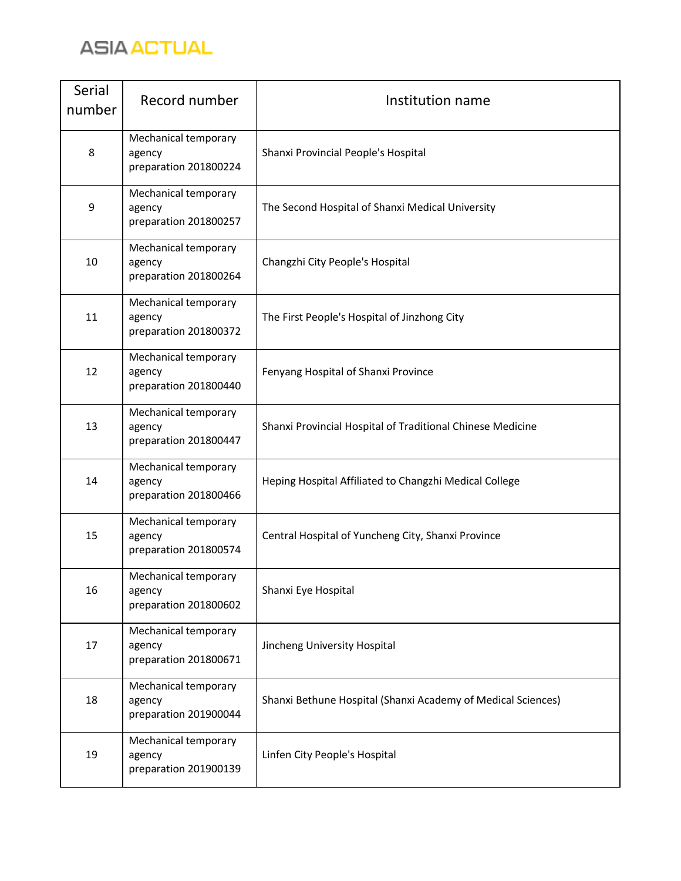

| Serial<br>number | Record number                                           | Institution name                                             |
|------------------|---------------------------------------------------------|--------------------------------------------------------------|
| 8                | Mechanical temporary<br>agency<br>preparation 201800224 | Shanxi Provincial People's Hospital                          |
| 9                | Mechanical temporary<br>agency<br>preparation 201800257 | The Second Hospital of Shanxi Medical University             |
| 10               | Mechanical temporary<br>agency<br>preparation 201800264 | Changzhi City People's Hospital                              |
| 11               | Mechanical temporary<br>agency<br>preparation 201800372 | The First People's Hospital of Jinzhong City                 |
| 12               | Mechanical temporary<br>agency<br>preparation 201800440 | Fenyang Hospital of Shanxi Province                          |
| 13               | Mechanical temporary<br>agency<br>preparation 201800447 | Shanxi Provincial Hospital of Traditional Chinese Medicine   |
| 14               | Mechanical temporary<br>agency<br>preparation 201800466 | Heping Hospital Affiliated to Changzhi Medical College       |
| 15               | Mechanical temporary<br>agency<br>preparation 201800574 | Central Hospital of Yuncheng City, Shanxi Province           |
| 16               | Mechanical temporary<br>agency<br>preparation 201800602 | Shanxi Eye Hospital                                          |
| 17               | Mechanical temporary<br>agency<br>preparation 201800671 | Jincheng University Hospital                                 |
| 18               | Mechanical temporary<br>agency<br>preparation 201900044 | Shanxi Bethune Hospital (Shanxi Academy of Medical Sciences) |
| 19               | Mechanical temporary<br>agency<br>preparation 201900139 | Linfen City People's Hospital                                |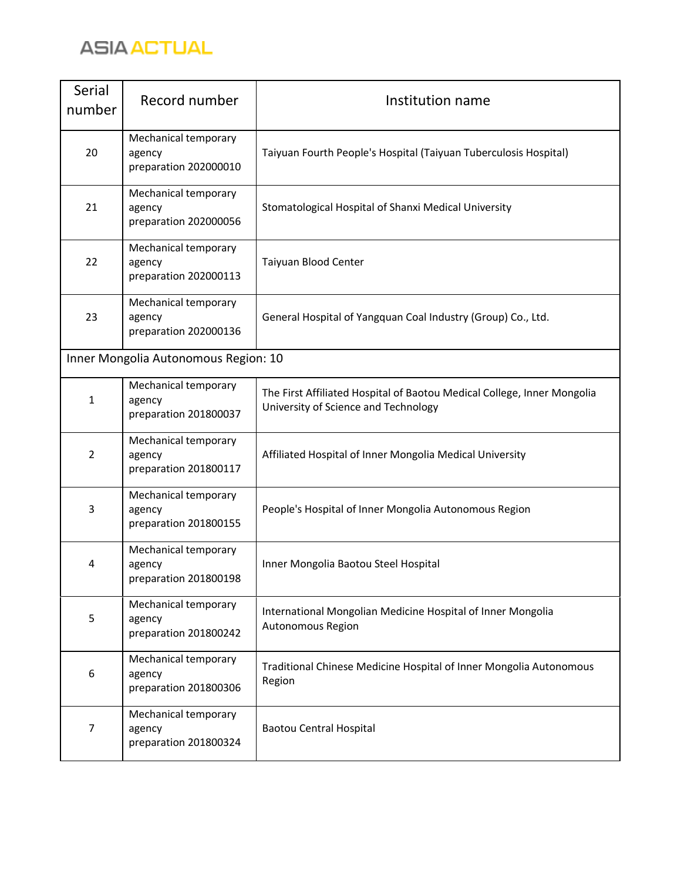

| Serial<br>number | Record number                                           | Institution name                                                                                                |
|------------------|---------------------------------------------------------|-----------------------------------------------------------------------------------------------------------------|
| 20               | Mechanical temporary<br>agency<br>preparation 202000010 | Taiyuan Fourth People's Hospital (Taiyuan Tuberculosis Hospital)                                                |
| 21               | Mechanical temporary<br>agency<br>preparation 202000056 | Stomatological Hospital of Shanxi Medical University                                                            |
| 22               | Mechanical temporary<br>agency<br>preparation 202000113 | Taiyuan Blood Center                                                                                            |
| 23               | Mechanical temporary<br>agency<br>preparation 202000136 | General Hospital of Yangquan Coal Industry (Group) Co., Ltd.                                                    |
|                  | Inner Mongolia Autonomous Region: 10                    |                                                                                                                 |
| $\mathbf{1}$     | Mechanical temporary<br>agency<br>preparation 201800037 | The First Affiliated Hospital of Baotou Medical College, Inner Mongolia<br>University of Science and Technology |
| $\overline{2}$   | Mechanical temporary<br>agency<br>preparation 201800117 | Affiliated Hospital of Inner Mongolia Medical University                                                        |
| 3                | Mechanical temporary<br>agency<br>preparation 201800155 | People's Hospital of Inner Mongolia Autonomous Region                                                           |
| 4                | Mechanical temporary<br>agency<br>preparation 201800198 | Inner Mongolia Baotou Steel Hospital                                                                            |
| 5                | Mechanical temporary<br>agency<br>preparation 201800242 | International Mongolian Medicine Hospital of Inner Mongolia<br>Autonomous Region                                |
| 6                | Mechanical temporary<br>agency<br>preparation 201800306 | Traditional Chinese Medicine Hospital of Inner Mongolia Autonomous<br>Region                                    |
| 7                | Mechanical temporary<br>agency<br>preparation 201800324 | <b>Baotou Central Hospital</b>                                                                                  |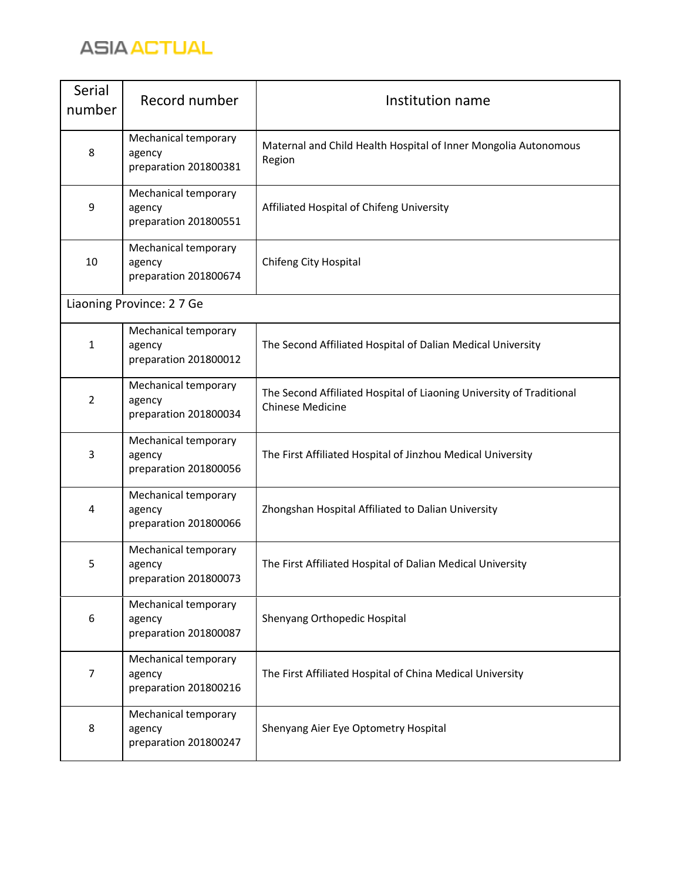

| Serial<br>number | Record number                                           | Institution name                                                                                |
|------------------|---------------------------------------------------------|-------------------------------------------------------------------------------------------------|
| 8                | Mechanical temporary<br>agency<br>preparation 201800381 | Maternal and Child Health Hospital of Inner Mongolia Autonomous<br>Region                       |
| 9                | Mechanical temporary<br>agency<br>preparation 201800551 | Affiliated Hospital of Chifeng University                                                       |
| 10               | Mechanical temporary<br>agency<br>preparation 201800674 | Chifeng City Hospital                                                                           |
|                  | Liaoning Province: 27 Ge                                |                                                                                                 |
| $\mathbf{1}$     | Mechanical temporary<br>agency<br>preparation 201800012 | The Second Affiliated Hospital of Dalian Medical University                                     |
| 2                | Mechanical temporary<br>agency<br>preparation 201800034 | The Second Affiliated Hospital of Liaoning University of Traditional<br><b>Chinese Medicine</b> |
| 3                | Mechanical temporary<br>agency<br>preparation 201800056 | The First Affiliated Hospital of Jinzhou Medical University                                     |
| 4                | Mechanical temporary<br>agency<br>preparation 201800066 | Zhongshan Hospital Affiliated to Dalian University                                              |
| 5                | Mechanical temporary<br>agency<br>preparation 201800073 | The First Affiliated Hospital of Dalian Medical University                                      |
| 6                | Mechanical temporary<br>agency<br>preparation 201800087 | Shenyang Orthopedic Hospital                                                                    |
| 7                | Mechanical temporary<br>agency<br>preparation 201800216 | The First Affiliated Hospital of China Medical University                                       |
| 8                | Mechanical temporary<br>agency<br>preparation 201800247 | Shenyang Aier Eye Optometry Hospital                                                            |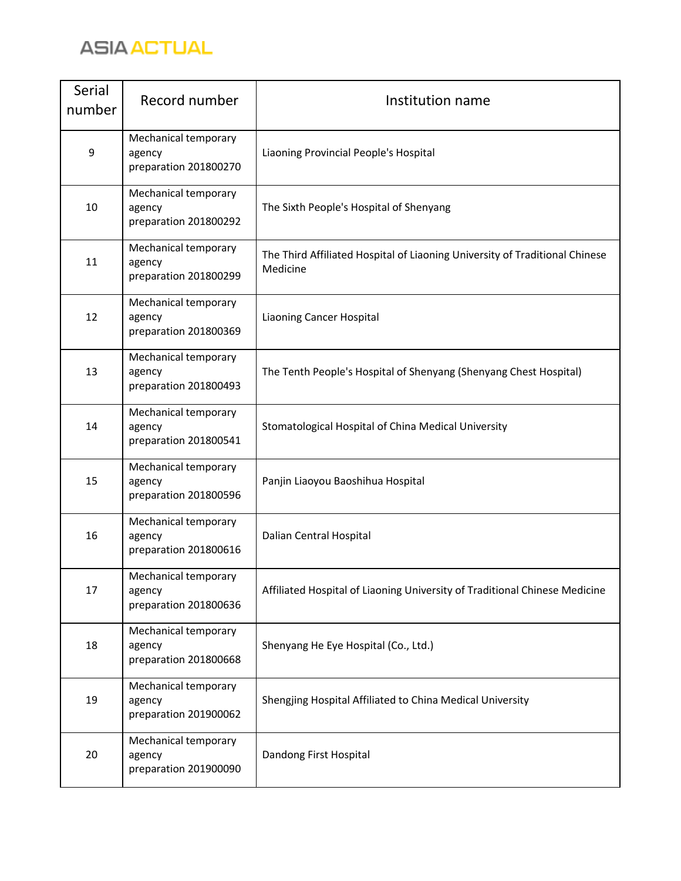

| Serial<br>number | Record number                                           | Institution name                                                                        |
|------------------|---------------------------------------------------------|-----------------------------------------------------------------------------------------|
| 9                | Mechanical temporary<br>agency<br>preparation 201800270 | Liaoning Provincial People's Hospital                                                   |
| 10               | Mechanical temporary<br>agency<br>preparation 201800292 | The Sixth People's Hospital of Shenyang                                                 |
| 11               | Mechanical temporary<br>agency<br>preparation 201800299 | The Third Affiliated Hospital of Liaoning University of Traditional Chinese<br>Medicine |
| 12               | Mechanical temporary<br>agency<br>preparation 201800369 | <b>Liaoning Cancer Hospital</b>                                                         |
| 13               | Mechanical temporary<br>agency<br>preparation 201800493 | The Tenth People's Hospital of Shenyang (Shenyang Chest Hospital)                       |
| 14               | Mechanical temporary<br>agency<br>preparation 201800541 | Stomatological Hospital of China Medical University                                     |
| 15               | Mechanical temporary<br>agency<br>preparation 201800596 | Panjin Liaoyou Baoshihua Hospital                                                       |
| 16               | Mechanical temporary<br>agency<br>preparation 201800616 | Dalian Central Hospital                                                                 |
| 17               | Mechanical temporary<br>agency<br>preparation 201800636 | Affiliated Hospital of Liaoning University of Traditional Chinese Medicine              |
| 18               | Mechanical temporary<br>agency<br>preparation 201800668 | Shenyang He Eye Hospital (Co., Ltd.)                                                    |
| 19               | Mechanical temporary<br>agency<br>preparation 201900062 | Shengjing Hospital Affiliated to China Medical University                               |
| 20               | Mechanical temporary<br>agency<br>preparation 201900090 | Dandong First Hospital                                                                  |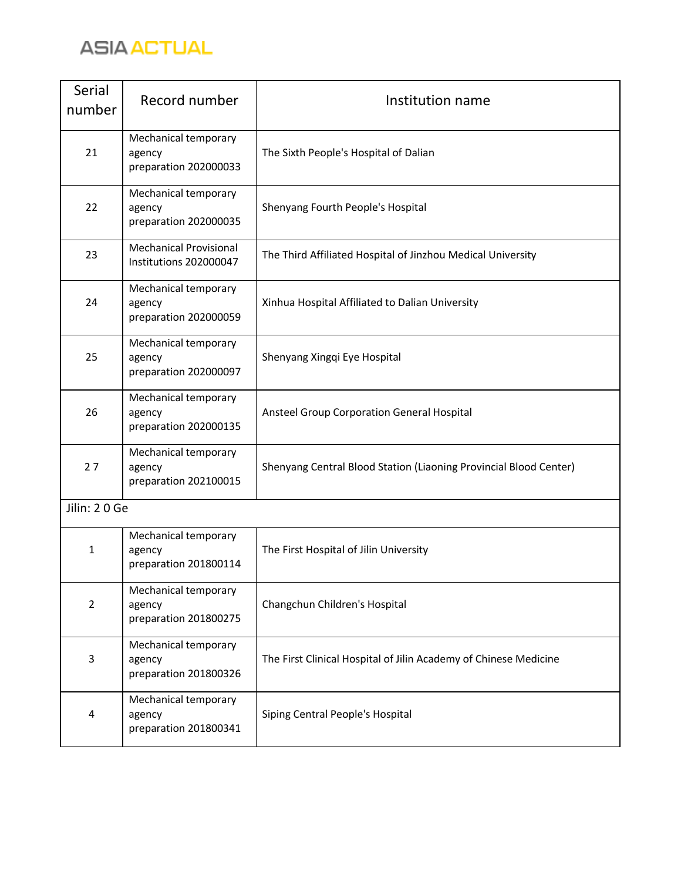

| <b>Serial</b><br>number | Record number                                           | Institution name                                                  |
|-------------------------|---------------------------------------------------------|-------------------------------------------------------------------|
| 21                      | Mechanical temporary<br>agency<br>preparation 202000033 | The Sixth People's Hospital of Dalian                             |
| 22                      | Mechanical temporary<br>agency<br>preparation 202000035 | Shenyang Fourth People's Hospital                                 |
| 23                      | <b>Mechanical Provisional</b><br>Institutions 202000047 | The Third Affiliated Hospital of Jinzhou Medical University       |
| 24                      | Mechanical temporary<br>agency<br>preparation 202000059 | Xinhua Hospital Affiliated to Dalian University                   |
| 25                      | Mechanical temporary<br>agency<br>preparation 202000097 | Shenyang Xingqi Eye Hospital                                      |
| 26                      | Mechanical temporary<br>agency<br>preparation 202000135 | Ansteel Group Corporation General Hospital                        |
| 27                      | Mechanical temporary<br>agency<br>preparation 202100015 | Shenyang Central Blood Station (Liaoning Provincial Blood Center) |
| Jilin: 20 Ge            |                                                         |                                                                   |
| 1                       | Mechanical temporary<br>agency<br>preparation 201800114 | The First Hospital of Jilin University                            |
| $\overline{2}$          | Mechanical temporary<br>agency<br>preparation 201800275 | Changchun Children's Hospital                                     |
| 3                       | Mechanical temporary<br>agency<br>preparation 201800326 | The First Clinical Hospital of Jilin Academy of Chinese Medicine  |
| 4                       | Mechanical temporary<br>agency<br>preparation 201800341 | Siping Central People's Hospital                                  |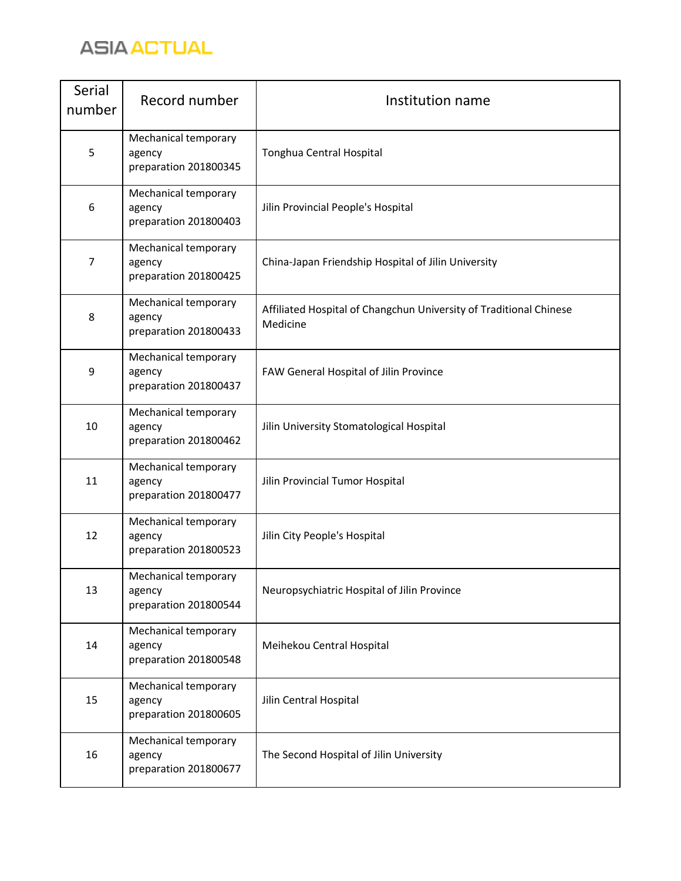

| Serial<br>number | Record number                                           | Institution name                                                               |
|------------------|---------------------------------------------------------|--------------------------------------------------------------------------------|
| 5                | Mechanical temporary<br>agency<br>preparation 201800345 | Tonghua Central Hospital                                                       |
| 6                | Mechanical temporary<br>agency<br>preparation 201800403 | Jilin Provincial People's Hospital                                             |
| $\overline{7}$   | Mechanical temporary<br>agency<br>preparation 201800425 | China-Japan Friendship Hospital of Jilin University                            |
| 8                | Mechanical temporary<br>agency<br>preparation 201800433 | Affiliated Hospital of Changchun University of Traditional Chinese<br>Medicine |
| 9                | Mechanical temporary<br>agency<br>preparation 201800437 | FAW General Hospital of Jilin Province                                         |
| 10               | Mechanical temporary<br>agency<br>preparation 201800462 | Jilin University Stomatological Hospital                                       |
| 11               | Mechanical temporary<br>agency<br>preparation 201800477 | Jilin Provincial Tumor Hospital                                                |
| 12               | Mechanical temporary<br>agency<br>preparation 201800523 | Jilin City People's Hospital                                                   |
| 13               | Mechanical temporary<br>agency<br>preparation 201800544 | Neuropsychiatric Hospital of Jilin Province                                    |
| 14               | Mechanical temporary<br>agency<br>preparation 201800548 | Meihekou Central Hospital                                                      |
| 15               | Mechanical temporary<br>agency<br>preparation 201800605 | Jilin Central Hospital                                                         |
| 16               | Mechanical temporary<br>agency<br>preparation 201800677 | The Second Hospital of Jilin University                                        |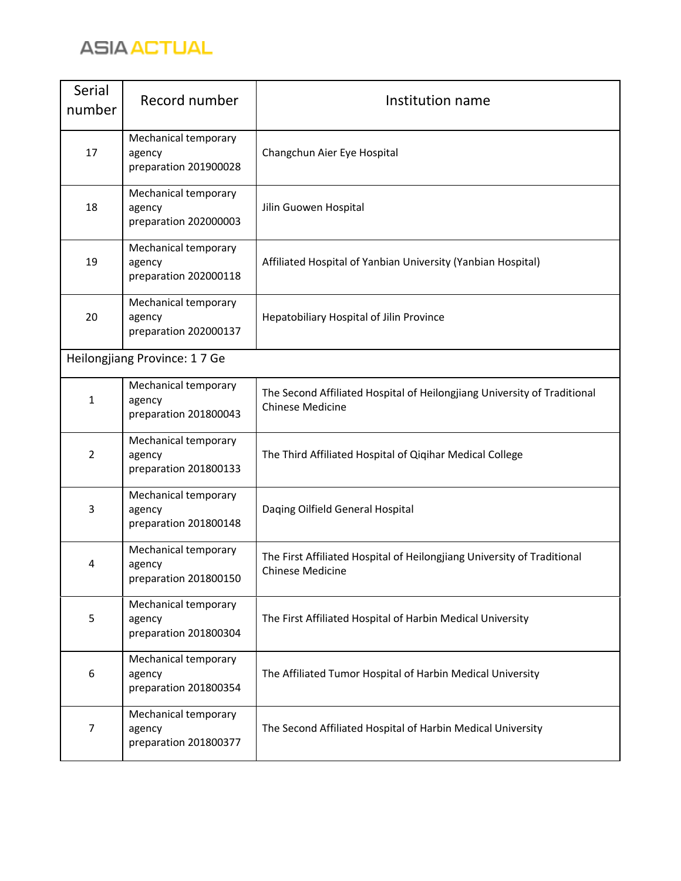

| Serial<br>number | Record number                                           | Institution name                                                                                    |
|------------------|---------------------------------------------------------|-----------------------------------------------------------------------------------------------------|
| 17               | Mechanical temporary<br>agency<br>preparation 201900028 | Changchun Aier Eye Hospital                                                                         |
| 18               | Mechanical temporary<br>agency<br>preparation 202000003 | Jilin Guowen Hospital                                                                               |
| 19               | Mechanical temporary<br>agency<br>preparation 202000118 | Affiliated Hospital of Yanbian University (Yanbian Hospital)                                        |
| 20               | Mechanical temporary<br>agency<br>preparation 202000137 | Hepatobiliary Hospital of Jilin Province                                                            |
|                  | Heilongjiang Province: 17 Ge                            |                                                                                                     |
| $\mathbf{1}$     | Mechanical temporary<br>agency<br>preparation 201800043 | The Second Affiliated Hospital of Heilongjiang University of Traditional<br><b>Chinese Medicine</b> |
| $\overline{2}$   | Mechanical temporary<br>agency<br>preparation 201800133 | The Third Affiliated Hospital of Qiqihar Medical College                                            |
| 3                | Mechanical temporary<br>agency<br>preparation 201800148 | Daqing Oilfield General Hospital                                                                    |
| 4                | Mechanical temporary<br>agency<br>preparation 201800150 | The First Affiliated Hospital of Heilongjiang University of Traditional<br><b>Chinese Medicine</b>  |
| 5                | Mechanical temporary<br>agency<br>preparation 201800304 | The First Affiliated Hospital of Harbin Medical University                                          |
| 6                | Mechanical temporary<br>agency<br>preparation 201800354 | The Affiliated Tumor Hospital of Harbin Medical University                                          |
| 7                | Mechanical temporary<br>agency<br>preparation 201800377 | The Second Affiliated Hospital of Harbin Medical University                                         |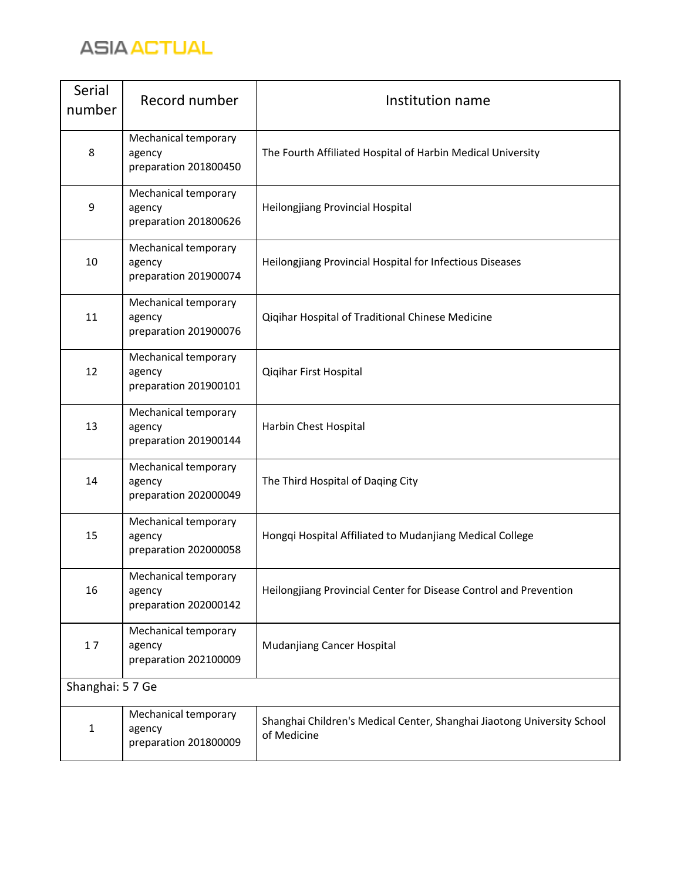

| Serial<br>number | Record number                                           | Institution name                                                                       |
|------------------|---------------------------------------------------------|----------------------------------------------------------------------------------------|
| 8                | Mechanical temporary<br>agency<br>preparation 201800450 | The Fourth Affiliated Hospital of Harbin Medical University                            |
| 9                | Mechanical temporary<br>agency<br>preparation 201800626 | Heilongjiang Provincial Hospital                                                       |
| 10               | Mechanical temporary<br>agency<br>preparation 201900074 | Heilongjiang Provincial Hospital for Infectious Diseases                               |
| 11               | Mechanical temporary<br>agency<br>preparation 201900076 | Qiqihar Hospital of Traditional Chinese Medicine                                       |
| 12               | Mechanical temporary<br>agency<br>preparation 201900101 | Qiqihar First Hospital                                                                 |
| 13               | Mechanical temporary<br>agency<br>preparation 201900144 | Harbin Chest Hospital                                                                  |
| 14               | Mechanical temporary<br>agency<br>preparation 202000049 | The Third Hospital of Daqing City                                                      |
| 15               | Mechanical temporary<br>agency<br>preparation 202000058 | Hongqi Hospital Affiliated to Mudanjiang Medical College                               |
| 16               | Mechanical temporary<br>agency<br>preparation 202000142 | Heilongjiang Provincial Center for Disease Control and Prevention                      |
| 17               | Mechanical temporary<br>agency<br>preparation 202100009 | Mudanjiang Cancer Hospital                                                             |
| Shanghai: 57 Ge  |                                                         |                                                                                        |
| $\mathbf{1}$     | Mechanical temporary<br>agency<br>preparation 201800009 | Shanghai Children's Medical Center, Shanghai Jiaotong University School<br>of Medicine |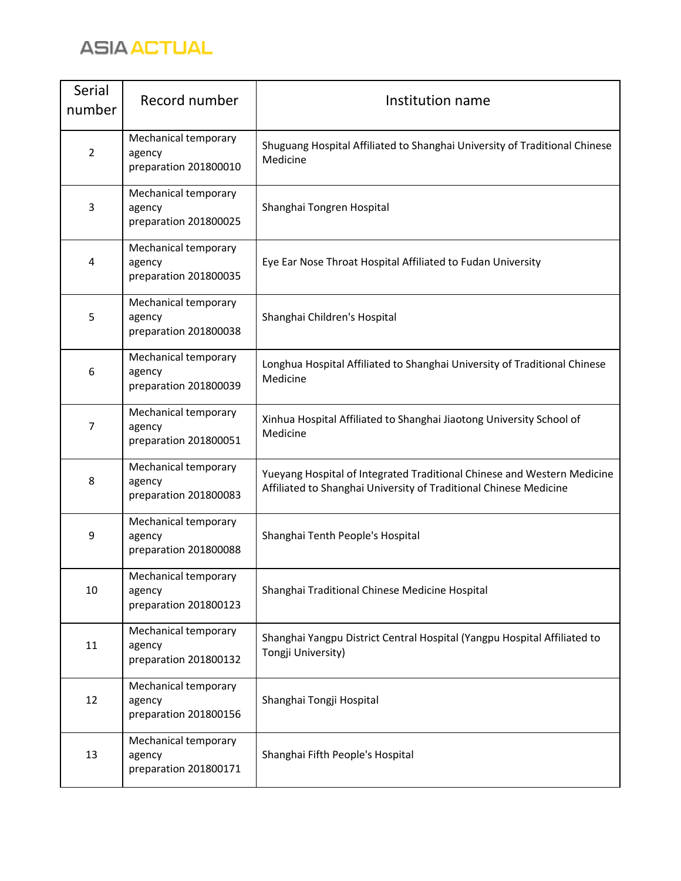

| Serial<br>number        | Record number                                           | Institution name                                                                                                                             |
|-------------------------|---------------------------------------------------------|----------------------------------------------------------------------------------------------------------------------------------------------|
| $\overline{2}$          | Mechanical temporary<br>agency<br>preparation 201800010 | Shuguang Hospital Affiliated to Shanghai University of Traditional Chinese<br>Medicine                                                       |
| 3                       | Mechanical temporary<br>agency<br>preparation 201800025 | Shanghai Tongren Hospital                                                                                                                    |
| $\overline{\mathbf{4}}$ | Mechanical temporary<br>agency<br>preparation 201800035 | Eye Ear Nose Throat Hospital Affiliated to Fudan University                                                                                  |
| 5                       | Mechanical temporary<br>agency<br>preparation 201800038 | Shanghai Children's Hospital                                                                                                                 |
| 6                       | Mechanical temporary<br>agency<br>preparation 201800039 | Longhua Hospital Affiliated to Shanghai University of Traditional Chinese<br>Medicine                                                        |
| 7                       | Mechanical temporary<br>agency<br>preparation 201800051 | Xinhua Hospital Affiliated to Shanghai Jiaotong University School of<br>Medicine                                                             |
| 8                       | Mechanical temporary<br>agency<br>preparation 201800083 | Yueyang Hospital of Integrated Traditional Chinese and Western Medicine<br>Affiliated to Shanghai University of Traditional Chinese Medicine |
| 9                       | Mechanical temporary<br>agency<br>preparation 201800088 | Shanghai Tenth People's Hospital                                                                                                             |
| 10                      | Mechanical temporary<br>agency<br>preparation 201800123 | Shanghai Traditional Chinese Medicine Hospital                                                                                               |
| 11                      | Mechanical temporary<br>agency<br>preparation 201800132 | Shanghai Yangpu District Central Hospital (Yangpu Hospital Affiliated to<br>Tongji University)                                               |
| 12                      | Mechanical temporary<br>agency<br>preparation 201800156 | Shanghai Tongji Hospital                                                                                                                     |
| 13                      | Mechanical temporary<br>agency<br>preparation 201800171 | Shanghai Fifth People's Hospital                                                                                                             |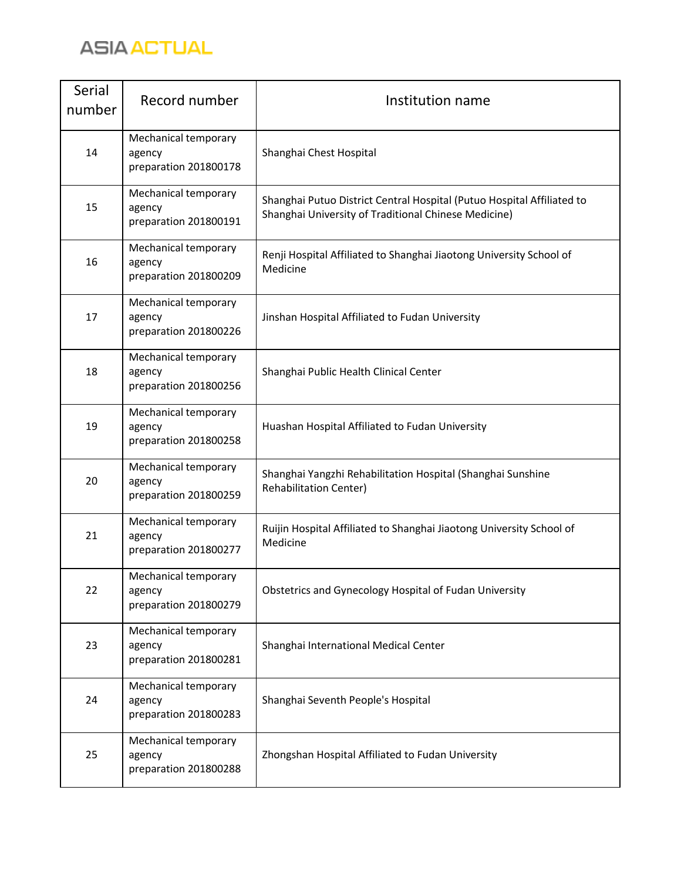

| Serial<br>number | Record number                                           | Institution name                                                                                                               |
|------------------|---------------------------------------------------------|--------------------------------------------------------------------------------------------------------------------------------|
| 14               | Mechanical temporary<br>agency<br>preparation 201800178 | Shanghai Chest Hospital                                                                                                        |
| 15               | Mechanical temporary<br>agency<br>preparation 201800191 | Shanghai Putuo District Central Hospital (Putuo Hospital Affiliated to<br>Shanghai University of Traditional Chinese Medicine) |
| 16               | Mechanical temporary<br>agency<br>preparation 201800209 | Renji Hospital Affiliated to Shanghai Jiaotong University School of<br>Medicine                                                |
| 17               | Mechanical temporary<br>agency<br>preparation 201800226 | Jinshan Hospital Affiliated to Fudan University                                                                                |
| 18               | Mechanical temporary<br>agency<br>preparation 201800256 | Shanghai Public Health Clinical Center                                                                                         |
| 19               | Mechanical temporary<br>agency<br>preparation 201800258 | Huashan Hospital Affiliated to Fudan University                                                                                |
| 20               | Mechanical temporary<br>agency<br>preparation 201800259 | Shanghai Yangzhi Rehabilitation Hospital (Shanghai Sunshine<br><b>Rehabilitation Center)</b>                                   |
| 21               | Mechanical temporary<br>agency<br>preparation 201800277 | Ruijin Hospital Affiliated to Shanghai Jiaotong University School of<br>Medicine                                               |
| 22               | Mechanical temporary<br>agency<br>preparation 201800279 | Obstetrics and Gynecology Hospital of Fudan University                                                                         |
| 23               | Mechanical temporary<br>agency<br>preparation 201800281 | Shanghai International Medical Center                                                                                          |
| 24               | Mechanical temporary<br>agency<br>preparation 201800283 | Shanghai Seventh People's Hospital                                                                                             |
| 25               | Mechanical temporary<br>agency<br>preparation 201800288 | Zhongshan Hospital Affiliated to Fudan University                                                                              |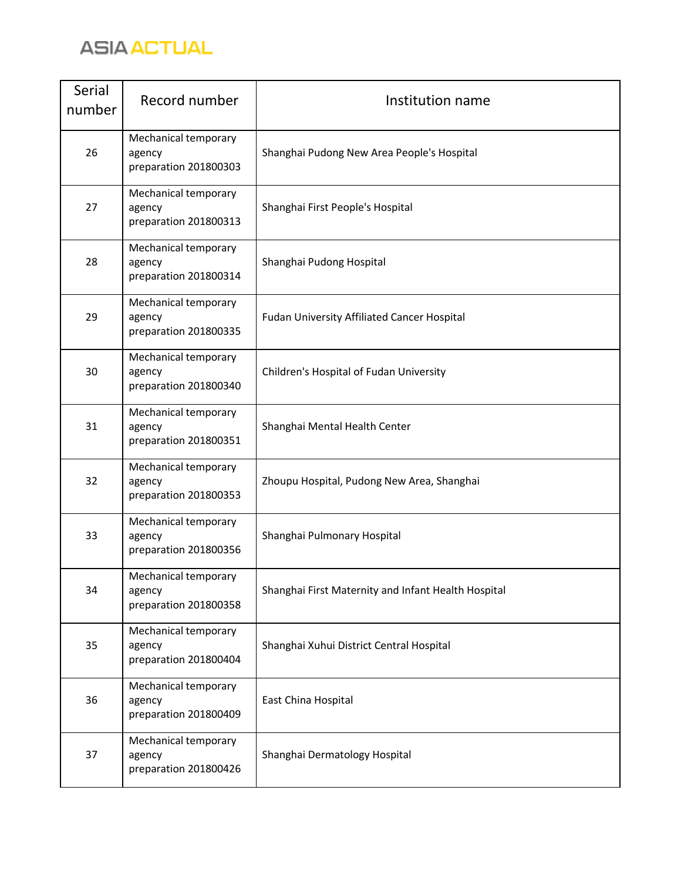

| Serial<br>number | Record number                                           | Institution name                                    |
|------------------|---------------------------------------------------------|-----------------------------------------------------|
| 26               | Mechanical temporary<br>agency<br>preparation 201800303 | Shanghai Pudong New Area People's Hospital          |
| 27               | Mechanical temporary<br>agency<br>preparation 201800313 | Shanghai First People's Hospital                    |
| 28               | Mechanical temporary<br>agency<br>preparation 201800314 | Shanghai Pudong Hospital                            |
| 29               | Mechanical temporary<br>agency<br>preparation 201800335 | Fudan University Affiliated Cancer Hospital         |
| 30               | Mechanical temporary<br>agency<br>preparation 201800340 | Children's Hospital of Fudan University             |
| 31               | Mechanical temporary<br>agency<br>preparation 201800351 | Shanghai Mental Health Center                       |
| 32               | Mechanical temporary<br>agency<br>preparation 201800353 | Zhoupu Hospital, Pudong New Area, Shanghai          |
| 33               | Mechanical temporary<br>agency<br>preparation 201800356 | Shanghai Pulmonary Hospital                         |
| 34               | Mechanical temporary<br>agency<br>preparation 201800358 | Shanghai First Maternity and Infant Health Hospital |
| 35               | Mechanical temporary<br>agency<br>preparation 201800404 | Shanghai Xuhui District Central Hospital            |
| 36               | Mechanical temporary<br>agency<br>preparation 201800409 | East China Hospital                                 |
| 37               | Mechanical temporary<br>agency<br>preparation 201800426 | Shanghai Dermatology Hospital                       |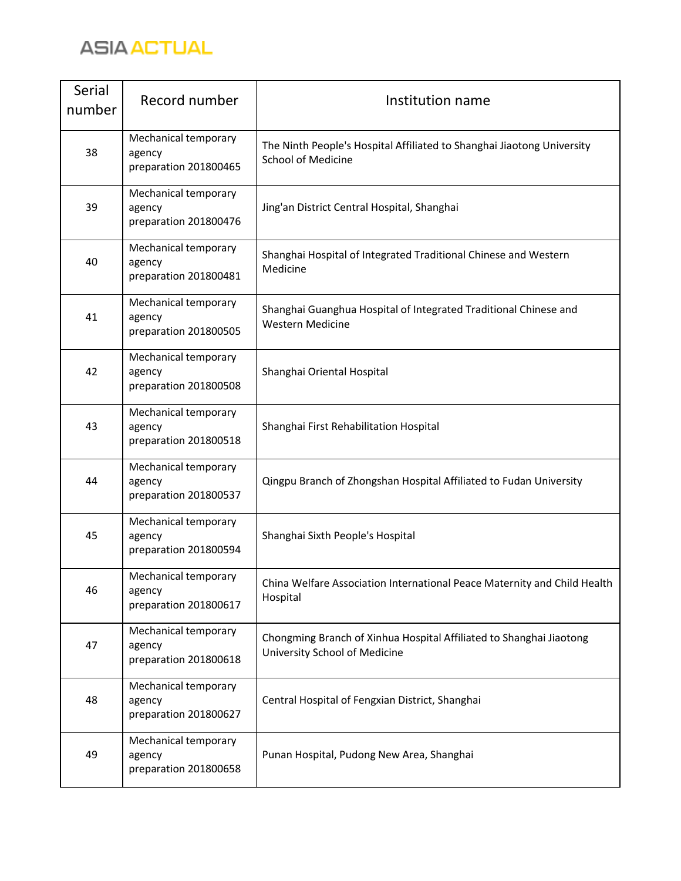

| Serial<br>number | Record number                                           | Institution name                                                                                     |
|------------------|---------------------------------------------------------|------------------------------------------------------------------------------------------------------|
| 38               | Mechanical temporary<br>agency<br>preparation 201800465 | The Ninth People's Hospital Affiliated to Shanghai Jiaotong University<br><b>School of Medicine</b>  |
| 39               | Mechanical temporary<br>agency<br>preparation 201800476 | Jing'an District Central Hospital, Shanghai                                                          |
| 40               | Mechanical temporary<br>agency<br>preparation 201800481 | Shanghai Hospital of Integrated Traditional Chinese and Western<br>Medicine                          |
| 41               | Mechanical temporary<br>agency<br>preparation 201800505 | Shanghai Guanghua Hospital of Integrated Traditional Chinese and<br><b>Western Medicine</b>          |
| 42               | Mechanical temporary<br>agency<br>preparation 201800508 | Shanghai Oriental Hospital                                                                           |
| 43               | Mechanical temporary<br>agency<br>preparation 201800518 | Shanghai First Rehabilitation Hospital                                                               |
| 44               | Mechanical temporary<br>agency<br>preparation 201800537 | Qingpu Branch of Zhongshan Hospital Affiliated to Fudan University                                   |
| 45               | Mechanical temporary<br>agency<br>preparation 201800594 | Shanghai Sixth People's Hospital                                                                     |
| 46               | Mechanical temporary<br>agency<br>preparation 201800617 | China Welfare Association International Peace Maternity and Child Health<br>Hospital                 |
| 47               | Mechanical temporary<br>agency<br>preparation 201800618 | Chongming Branch of Xinhua Hospital Affiliated to Shanghai Jiaotong<br>University School of Medicine |
| 48               | Mechanical temporary<br>agency<br>preparation 201800627 | Central Hospital of Fengxian District, Shanghai                                                      |
| 49               | Mechanical temporary<br>agency<br>preparation 201800658 | Punan Hospital, Pudong New Area, Shanghai                                                            |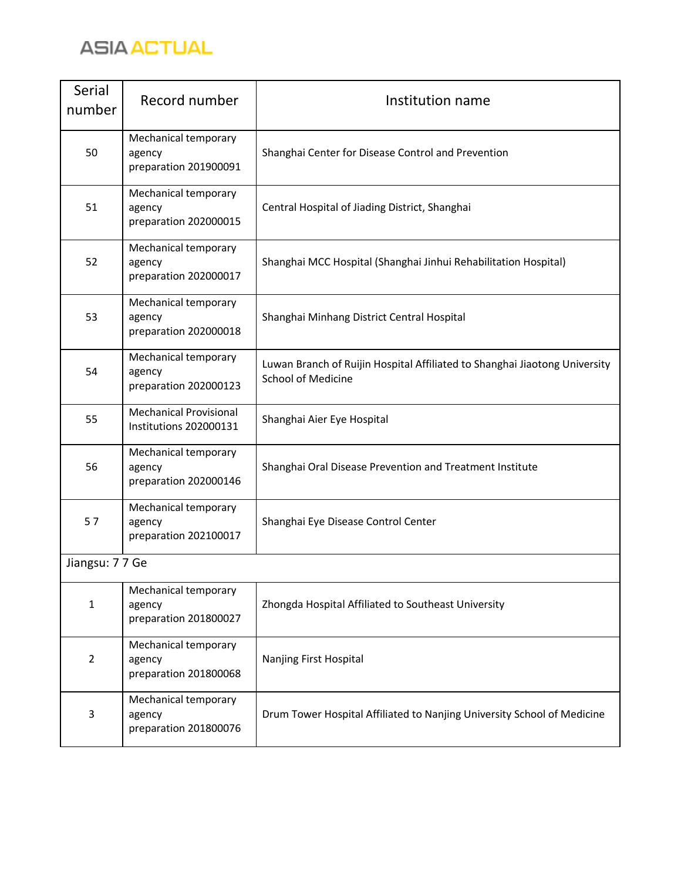

| Serial<br>number | Record number                                           | Institution name                                                                                        |
|------------------|---------------------------------------------------------|---------------------------------------------------------------------------------------------------------|
| 50               | Mechanical temporary<br>agency<br>preparation 201900091 | Shanghai Center for Disease Control and Prevention                                                      |
| 51               | Mechanical temporary<br>agency<br>preparation 202000015 | Central Hospital of Jiading District, Shanghai                                                          |
| 52               | Mechanical temporary<br>agency<br>preparation 202000017 | Shanghai MCC Hospital (Shanghai Jinhui Rehabilitation Hospital)                                         |
| 53               | Mechanical temporary<br>agency<br>preparation 202000018 | Shanghai Minhang District Central Hospital                                                              |
| 54               | Mechanical temporary<br>agency<br>preparation 202000123 | Luwan Branch of Ruijin Hospital Affiliated to Shanghai Jiaotong University<br><b>School of Medicine</b> |
| 55               | <b>Mechanical Provisional</b><br>Institutions 202000131 | Shanghai Aier Eye Hospital                                                                              |
| 56               | Mechanical temporary<br>agency<br>preparation 202000146 | Shanghai Oral Disease Prevention and Treatment Institute                                                |
| 57               | Mechanical temporary<br>agency<br>preparation 202100017 | Shanghai Eye Disease Control Center                                                                     |
| Jiangsu: 77 Ge   |                                                         |                                                                                                         |
| $\mathbf{1}$     | Mechanical temporary<br>agency<br>preparation 201800027 | Zhongda Hospital Affiliated to Southeast University                                                     |
| $\overline{2}$   | Mechanical temporary<br>agency<br>preparation 201800068 | Nanjing First Hospital                                                                                  |
| 3                | Mechanical temporary<br>agency<br>preparation 201800076 | Drum Tower Hospital Affiliated to Nanjing University School of Medicine                                 |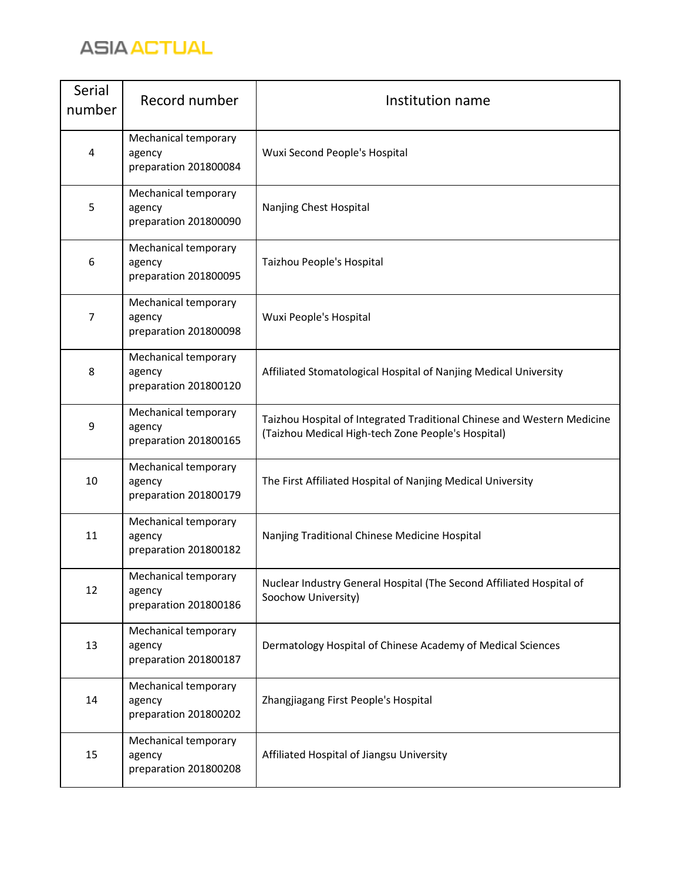

| Serial<br>number | Record number                                           | Institution name                                                                                                              |
|------------------|---------------------------------------------------------|-------------------------------------------------------------------------------------------------------------------------------|
| $\overline{4}$   | Mechanical temporary<br>agency<br>preparation 201800084 | Wuxi Second People's Hospital                                                                                                 |
| 5                | Mechanical temporary<br>agency<br>preparation 201800090 | Nanjing Chest Hospital                                                                                                        |
| 6                | Mechanical temporary<br>agency<br>preparation 201800095 | Taizhou People's Hospital                                                                                                     |
| 7                | Mechanical temporary<br>agency<br>preparation 201800098 | Wuxi People's Hospital                                                                                                        |
| 8                | Mechanical temporary<br>agency<br>preparation 201800120 | Affiliated Stomatological Hospital of Nanjing Medical University                                                              |
| 9                | Mechanical temporary<br>agency<br>preparation 201800165 | Taizhou Hospital of Integrated Traditional Chinese and Western Medicine<br>(Taizhou Medical High-tech Zone People's Hospital) |
| 10               | Mechanical temporary<br>agency<br>preparation 201800179 | The First Affiliated Hospital of Nanjing Medical University                                                                   |
| 11               | Mechanical temporary<br>agency<br>preparation 201800182 | Nanjing Traditional Chinese Medicine Hospital                                                                                 |
| 12               | Mechanical temporary<br>agency<br>preparation 201800186 | Nuclear Industry General Hospital (The Second Affiliated Hospital of<br>Soochow University)                                   |
| 13               | Mechanical temporary<br>agency<br>preparation 201800187 | Dermatology Hospital of Chinese Academy of Medical Sciences                                                                   |
| 14               | Mechanical temporary<br>agency<br>preparation 201800202 | Zhangjiagang First People's Hospital                                                                                          |
| 15               | Mechanical temporary<br>agency<br>preparation 201800208 | Affiliated Hospital of Jiangsu University                                                                                     |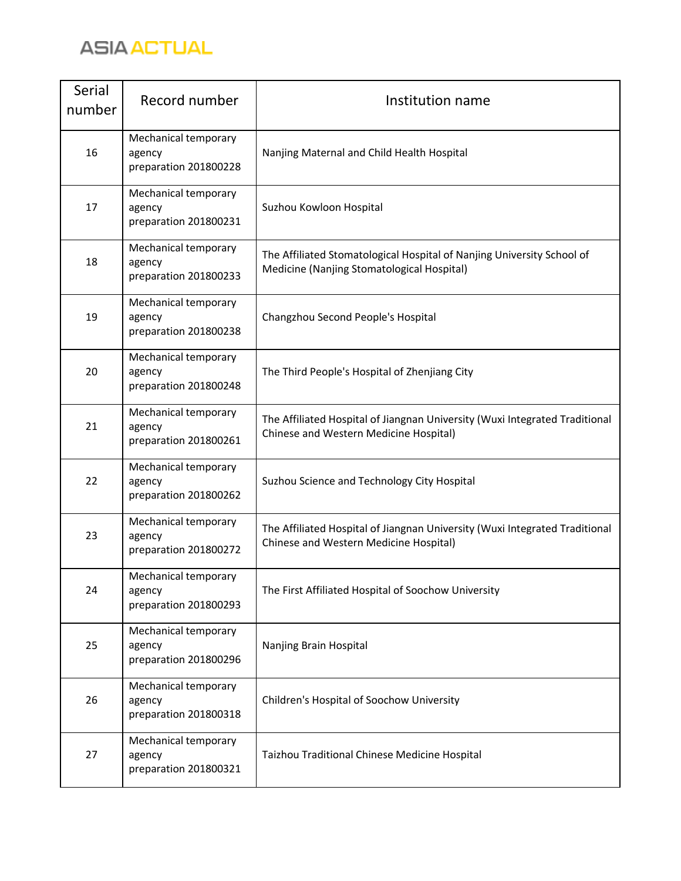

| Serial<br>number | Record number                                           | Institution name                                                                                                      |
|------------------|---------------------------------------------------------|-----------------------------------------------------------------------------------------------------------------------|
| 16               | Mechanical temporary<br>agency<br>preparation 201800228 | Nanjing Maternal and Child Health Hospital                                                                            |
| 17               | Mechanical temporary<br>agency<br>preparation 201800231 | Suzhou Kowloon Hospital                                                                                               |
| 18               | Mechanical temporary<br>agency<br>preparation 201800233 | The Affiliated Stomatological Hospital of Nanjing University School of<br>Medicine (Nanjing Stomatological Hospital)  |
| 19               | Mechanical temporary<br>agency<br>preparation 201800238 | Changzhou Second People's Hospital                                                                                    |
| 20               | Mechanical temporary<br>agency<br>preparation 201800248 | The Third People's Hospital of Zhenjiang City                                                                         |
| 21               | Mechanical temporary<br>agency<br>preparation 201800261 | The Affiliated Hospital of Jiangnan University (Wuxi Integrated Traditional<br>Chinese and Western Medicine Hospital) |
| 22               | Mechanical temporary<br>agency<br>preparation 201800262 | Suzhou Science and Technology City Hospital                                                                           |
| 23               | Mechanical temporary<br>agency<br>preparation 201800272 | The Affiliated Hospital of Jiangnan University (Wuxi Integrated Traditional<br>Chinese and Western Medicine Hospital) |
| 24               | Mechanical temporary<br>agency<br>preparation 201800293 | The First Affiliated Hospital of Soochow University                                                                   |
| 25               | Mechanical temporary<br>agency<br>preparation 201800296 | Nanjing Brain Hospital                                                                                                |
| 26               | Mechanical temporary<br>agency<br>preparation 201800318 | Children's Hospital of Soochow University                                                                             |
| 27               | Mechanical temporary<br>agency<br>preparation 201800321 | Taizhou Traditional Chinese Medicine Hospital                                                                         |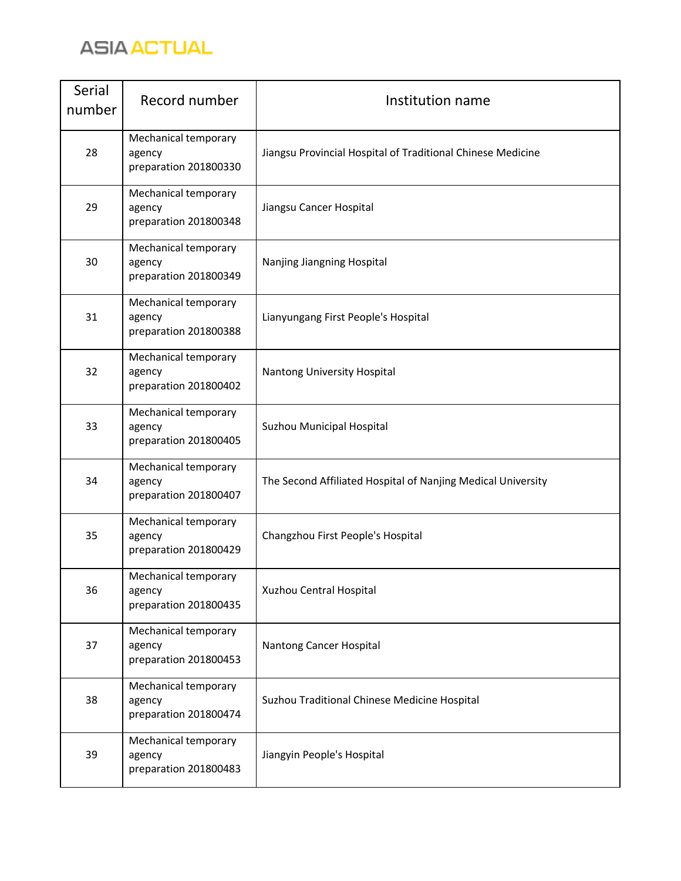

| Serial<br>number | Record number                                           | Institution name                                             |
|------------------|---------------------------------------------------------|--------------------------------------------------------------|
| 28               | Mechanical temporary<br>agency<br>preparation 201800330 | Jiangsu Provincial Hospital of Traditional Chinese Medicine  |
| 29               | Mechanical temporary<br>agency<br>preparation 201800348 | Jiangsu Cancer Hospital                                      |
| 30               | Mechanical temporary<br>agency<br>preparation 201800349 | Nanjing Jiangning Hospital                                   |
| 31               | Mechanical temporary<br>agency<br>preparation 201800388 | Lianyungang First People's Hospital                          |
| 32               | Mechanical temporary<br>agency<br>preparation 201800402 | Nantong University Hospital                                  |
| 33               | Mechanical temporary<br>agency<br>preparation 201800405 | Suzhou Municipal Hospital                                    |
| 34               | Mechanical temporary<br>agency<br>preparation 201800407 | The Second Affiliated Hospital of Nanjing Medical University |
| 35               | Mechanical temporary<br>agency<br>preparation 201800429 | Changzhou First People's Hospital                            |
| 36               | Mechanical temporary<br>agency<br>preparation 201800435 | Xuzhou Central Hospital                                      |
| 37               | Mechanical temporary<br>agency<br>preparation 201800453 | Nantong Cancer Hospital                                      |
| 38               | Mechanical temporary<br>agency<br>preparation 201800474 | Suzhou Traditional Chinese Medicine Hospital                 |
| 39               | Mechanical temporary<br>agency<br>preparation 201800483 | Jiangyin People's Hospital                                   |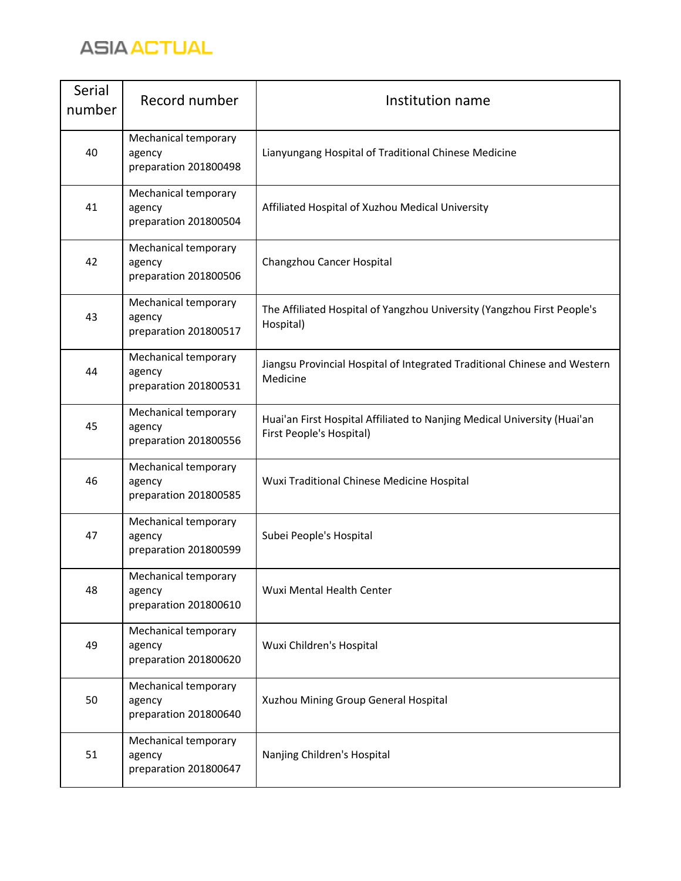

| Serial<br>number | Record number                                           | Institution name                                                                                     |
|------------------|---------------------------------------------------------|------------------------------------------------------------------------------------------------------|
| 40               | Mechanical temporary<br>agency<br>preparation 201800498 | Lianyungang Hospital of Traditional Chinese Medicine                                                 |
| 41               | Mechanical temporary<br>agency<br>preparation 201800504 | Affiliated Hospital of Xuzhou Medical University                                                     |
| 42               | Mechanical temporary<br>agency<br>preparation 201800506 | Changzhou Cancer Hospital                                                                            |
| 43               | Mechanical temporary<br>agency<br>preparation 201800517 | The Affiliated Hospital of Yangzhou University (Yangzhou First People's<br>Hospital)                 |
| 44               | Mechanical temporary<br>agency<br>preparation 201800531 | Jiangsu Provincial Hospital of Integrated Traditional Chinese and Western<br>Medicine                |
| 45               | Mechanical temporary<br>agency<br>preparation 201800556 | Huai'an First Hospital Affiliated to Nanjing Medical University (Huai'an<br>First People's Hospital) |
| 46               | Mechanical temporary<br>agency<br>preparation 201800585 | Wuxi Traditional Chinese Medicine Hospital                                                           |
| 47               | Mechanical temporary<br>agency<br>preparation 201800599 | Subei People's Hospital                                                                              |
| 48               | Mechanical temporary<br>agency<br>preparation 201800610 | Wuxi Mental Health Center                                                                            |
| 49               | Mechanical temporary<br>agency<br>preparation 201800620 | Wuxi Children's Hospital                                                                             |
| 50               | Mechanical temporary<br>agency<br>preparation 201800640 | Xuzhou Mining Group General Hospital                                                                 |
| 51               | Mechanical temporary<br>agency<br>preparation 201800647 | Nanjing Children's Hospital                                                                          |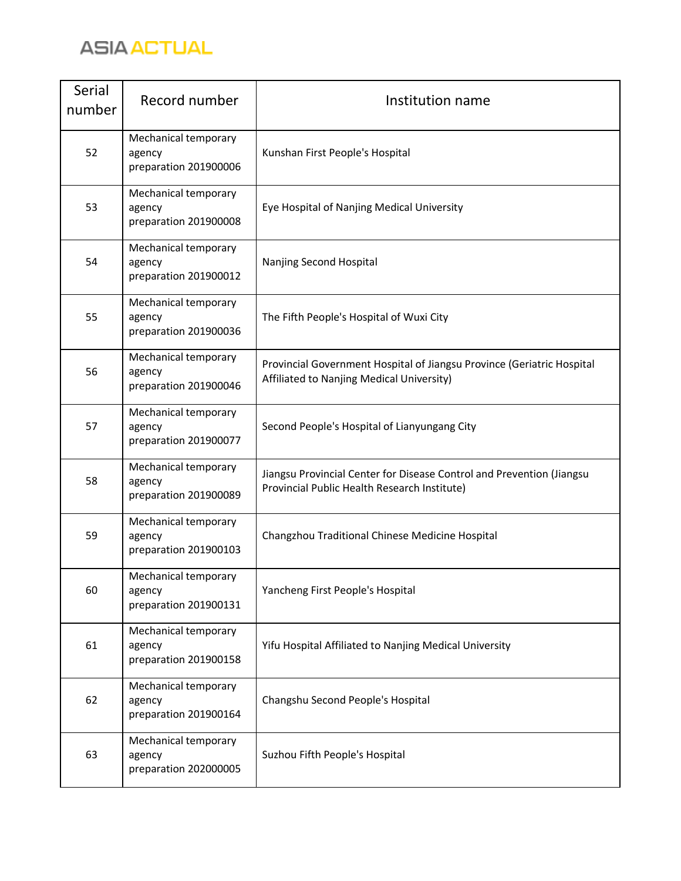

| Serial<br>number | Record number                                           | Institution name                                                                                                      |
|------------------|---------------------------------------------------------|-----------------------------------------------------------------------------------------------------------------------|
| 52               | Mechanical temporary<br>agency<br>preparation 201900006 | Kunshan First People's Hospital                                                                                       |
| 53               | Mechanical temporary<br>agency<br>preparation 201900008 | Eye Hospital of Nanjing Medical University                                                                            |
| 54               | Mechanical temporary<br>agency<br>preparation 201900012 | Nanjing Second Hospital                                                                                               |
| 55               | Mechanical temporary<br>agency<br>preparation 201900036 | The Fifth People's Hospital of Wuxi City                                                                              |
| 56               | Mechanical temporary<br>agency<br>preparation 201900046 | Provincial Government Hospital of Jiangsu Province (Geriatric Hospital<br>Affiliated to Nanjing Medical University)   |
| 57               | Mechanical temporary<br>agency<br>preparation 201900077 | Second People's Hospital of Lianyungang City                                                                          |
| 58               | Mechanical temporary<br>agency<br>preparation 201900089 | Jiangsu Provincial Center for Disease Control and Prevention (Jiangsu<br>Provincial Public Health Research Institute) |
| 59               | Mechanical temporary<br>agency<br>preparation 201900103 | Changzhou Traditional Chinese Medicine Hospital                                                                       |
| 60               | Mechanical temporary<br>agency<br>preparation 201900131 | Yancheng First People's Hospital                                                                                      |
| 61               | Mechanical temporary<br>agency<br>preparation 201900158 | Yifu Hospital Affiliated to Nanjing Medical University                                                                |
| 62               | Mechanical temporary<br>agency<br>preparation 201900164 | Changshu Second People's Hospital                                                                                     |
| 63               | Mechanical temporary<br>agency<br>preparation 202000005 | Suzhou Fifth People's Hospital                                                                                        |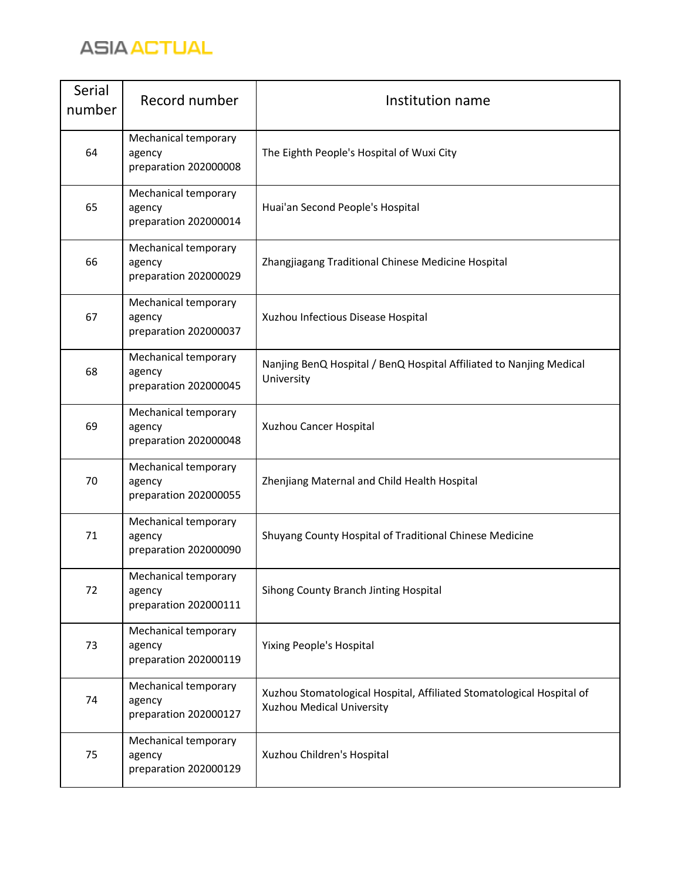

| Serial<br>number | Record number                                           | Institution name                                                                                   |
|------------------|---------------------------------------------------------|----------------------------------------------------------------------------------------------------|
| 64               | Mechanical temporary<br>agency<br>preparation 202000008 | The Eighth People's Hospital of Wuxi City                                                          |
| 65               | Mechanical temporary<br>agency<br>preparation 202000014 | Huai'an Second People's Hospital                                                                   |
| 66               | Mechanical temporary<br>agency<br>preparation 202000029 | Zhangjiagang Traditional Chinese Medicine Hospital                                                 |
| 67               | Mechanical temporary<br>agency<br>preparation 202000037 | Xuzhou Infectious Disease Hospital                                                                 |
| 68               | Mechanical temporary<br>agency<br>preparation 202000045 | Nanjing BenQ Hospital / BenQ Hospital Affiliated to Nanjing Medical<br>University                  |
| 69               | Mechanical temporary<br>agency<br>preparation 202000048 | Xuzhou Cancer Hospital                                                                             |
| 70               | Mechanical temporary<br>agency<br>preparation 202000055 | Zhenjiang Maternal and Child Health Hospital                                                       |
| 71               | Mechanical temporary<br>agency<br>preparation 202000090 | Shuyang County Hospital of Traditional Chinese Medicine                                            |
| 72               | Mechanical temporary<br>agency<br>preparation 202000111 | Sihong County Branch Jinting Hospital                                                              |
| 73               | Mechanical temporary<br>agency<br>preparation 202000119 | <b>Yixing People's Hospital</b>                                                                    |
| 74               | Mechanical temporary<br>agency<br>preparation 202000127 | Xuzhou Stomatological Hospital, Affiliated Stomatological Hospital of<br>Xuzhou Medical University |
| 75               | Mechanical temporary<br>agency<br>preparation 202000129 | Xuzhou Children's Hospital                                                                         |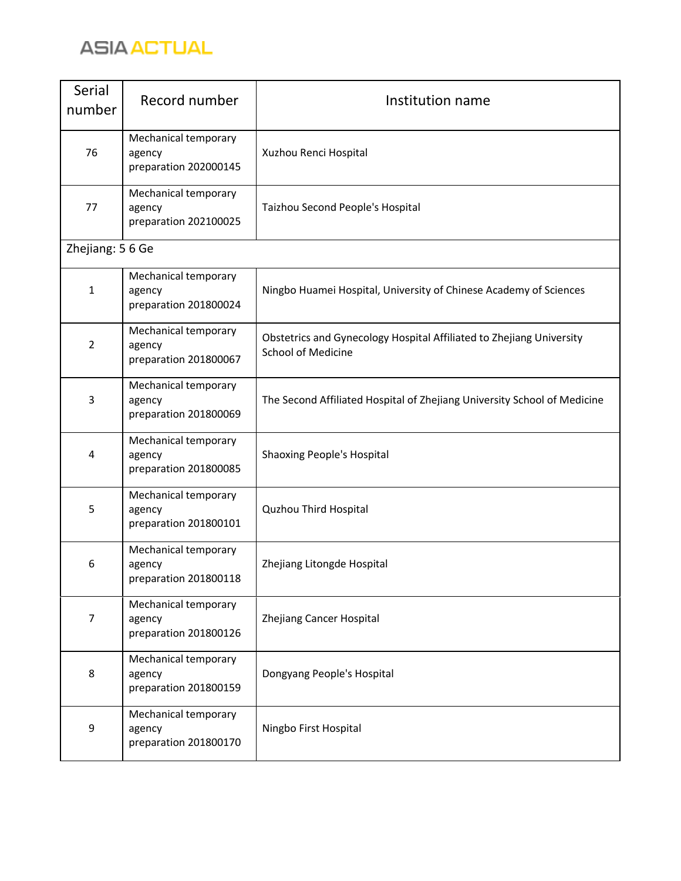

| Serial<br>number | Record number                                           | Institution name                                                                                  |
|------------------|---------------------------------------------------------|---------------------------------------------------------------------------------------------------|
| 76               | Mechanical temporary<br>agency<br>preparation 202000145 | Xuzhou Renci Hospital                                                                             |
| 77               | Mechanical temporary<br>agency<br>preparation 202100025 | Taizhou Second People's Hospital                                                                  |
| Zhejiang: 5 6 Ge |                                                         |                                                                                                   |
| $\mathbf{1}$     | Mechanical temporary<br>agency<br>preparation 201800024 | Ningbo Huamei Hospital, University of Chinese Academy of Sciences                                 |
| 2                | Mechanical temporary<br>agency<br>preparation 201800067 | Obstetrics and Gynecology Hospital Affiliated to Zhejiang University<br><b>School of Medicine</b> |
| 3                | Mechanical temporary<br>agency<br>preparation 201800069 | The Second Affiliated Hospital of Zhejiang University School of Medicine                          |
| 4                | Mechanical temporary<br>agency<br>preparation 201800085 | Shaoxing People's Hospital                                                                        |
| 5                | Mechanical temporary<br>agency<br>preparation 201800101 | Quzhou Third Hospital                                                                             |
| 6                | Mechanical temporary<br>agency<br>preparation 201800118 | Zhejiang Litongde Hospital                                                                        |
| $\overline{7}$   | Mechanical temporary<br>agency<br>preparation 201800126 | Zhejiang Cancer Hospital                                                                          |
| 8                | Mechanical temporary<br>agency<br>preparation 201800159 | Dongyang People's Hospital                                                                        |
| 9                | Mechanical temporary<br>agency<br>preparation 201800170 | Ningbo First Hospital                                                                             |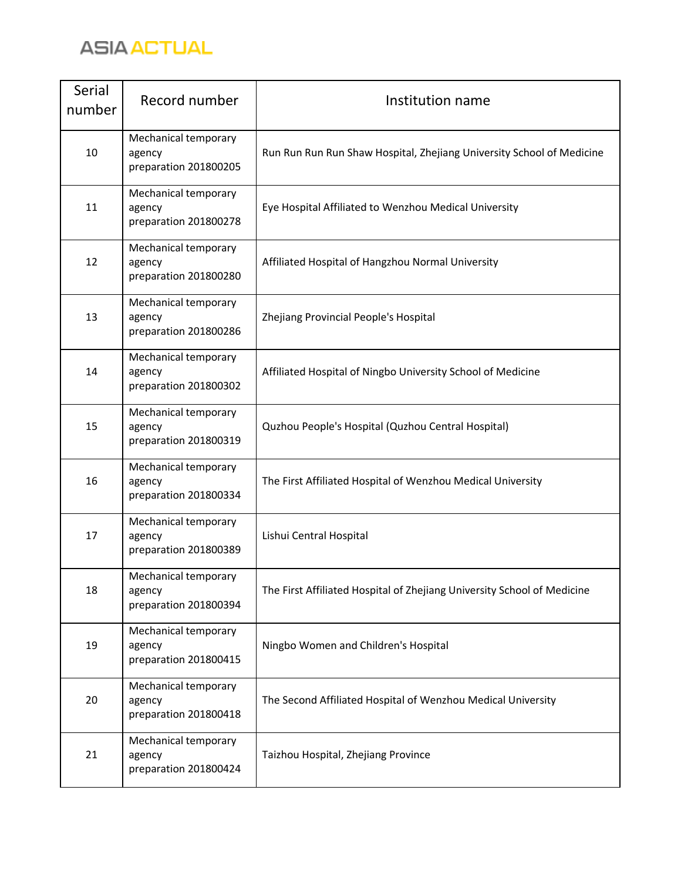

| Serial<br>number | Record number                                           | Institution name                                                        |
|------------------|---------------------------------------------------------|-------------------------------------------------------------------------|
| 10               | Mechanical temporary<br>agency<br>preparation 201800205 | Run Run Run Run Shaw Hospital, Zhejiang University School of Medicine   |
| 11               | Mechanical temporary<br>agency<br>preparation 201800278 | Eye Hospital Affiliated to Wenzhou Medical University                   |
| 12               | Mechanical temporary<br>agency<br>preparation 201800280 | Affiliated Hospital of Hangzhou Normal University                       |
| 13               | Mechanical temporary<br>agency<br>preparation 201800286 | Zhejiang Provincial People's Hospital                                   |
| 14               | Mechanical temporary<br>agency<br>preparation 201800302 | Affiliated Hospital of Ningbo University School of Medicine             |
| 15               | Mechanical temporary<br>agency<br>preparation 201800319 | Quzhou People's Hospital (Quzhou Central Hospital)                      |
| 16               | Mechanical temporary<br>agency<br>preparation 201800334 | The First Affiliated Hospital of Wenzhou Medical University             |
| 17               | Mechanical temporary<br>agency<br>preparation 201800389 | Lishui Central Hospital                                                 |
| 18               | Mechanical temporary<br>agency<br>preparation 201800394 | The First Affiliated Hospital of Zhejiang University School of Medicine |
| 19               | Mechanical temporary<br>agency<br>preparation 201800415 | Ningbo Women and Children's Hospital                                    |
| 20               | Mechanical temporary<br>agency<br>preparation 201800418 | The Second Affiliated Hospital of Wenzhou Medical University            |
| 21               | Mechanical temporary<br>agency<br>preparation 201800424 | Taizhou Hospital, Zhejiang Province                                     |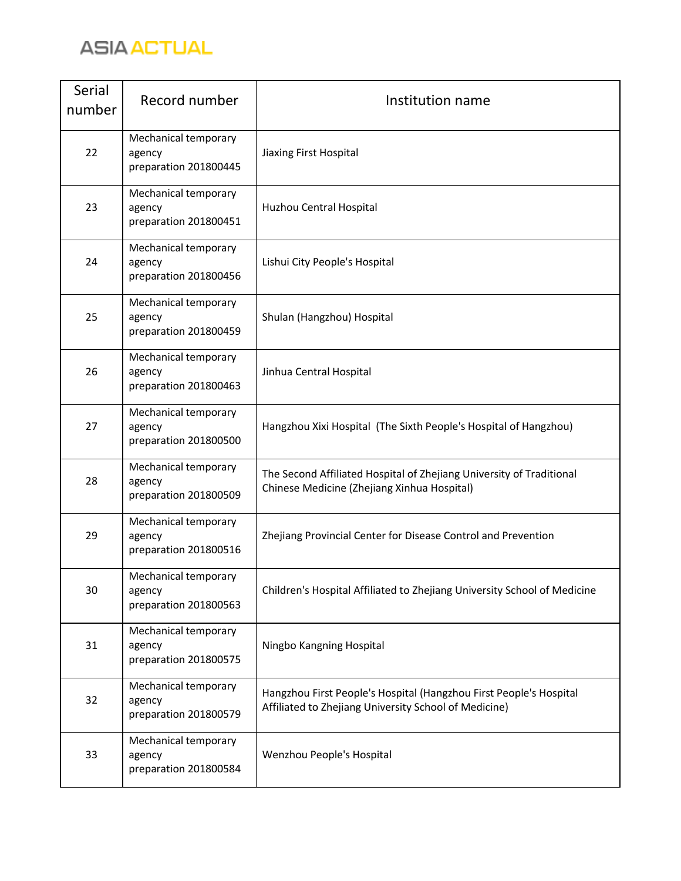

| Serial<br>number | Record number                                           | Institution name                                                                                                            |
|------------------|---------------------------------------------------------|-----------------------------------------------------------------------------------------------------------------------------|
| 22               | Mechanical temporary<br>agency<br>preparation 201800445 | Jiaxing First Hospital                                                                                                      |
| 23               | Mechanical temporary<br>agency<br>preparation 201800451 | Huzhou Central Hospital                                                                                                     |
| 24               | Mechanical temporary<br>agency<br>preparation 201800456 | Lishui City People's Hospital                                                                                               |
| 25               | Mechanical temporary<br>agency<br>preparation 201800459 | Shulan (Hangzhou) Hospital                                                                                                  |
| 26               | Mechanical temporary<br>agency<br>preparation 201800463 | Jinhua Central Hospital                                                                                                     |
| 27               | Mechanical temporary<br>agency<br>preparation 201800500 | Hangzhou Xixi Hospital (The Sixth People's Hospital of Hangzhou)                                                            |
| 28               | Mechanical temporary<br>agency<br>preparation 201800509 | The Second Affiliated Hospital of Zhejiang University of Traditional<br>Chinese Medicine (Zhejiang Xinhua Hospital)         |
| 29               | Mechanical temporary<br>agency<br>preparation 201800516 | Zhejiang Provincial Center for Disease Control and Prevention                                                               |
| 30               | Mechanical temporary<br>agency<br>preparation 201800563 | Children's Hospital Affiliated to Zhejiang University School of Medicine                                                    |
| 31               | Mechanical temporary<br>agency<br>preparation 201800575 | Ningbo Kangning Hospital                                                                                                    |
| 32               | Mechanical temporary<br>agency<br>preparation 201800579 | Hangzhou First People's Hospital (Hangzhou First People's Hospital<br>Affiliated to Zhejiang University School of Medicine) |
| 33               | Mechanical temporary<br>agency<br>preparation 201800584 | Wenzhou People's Hospital                                                                                                   |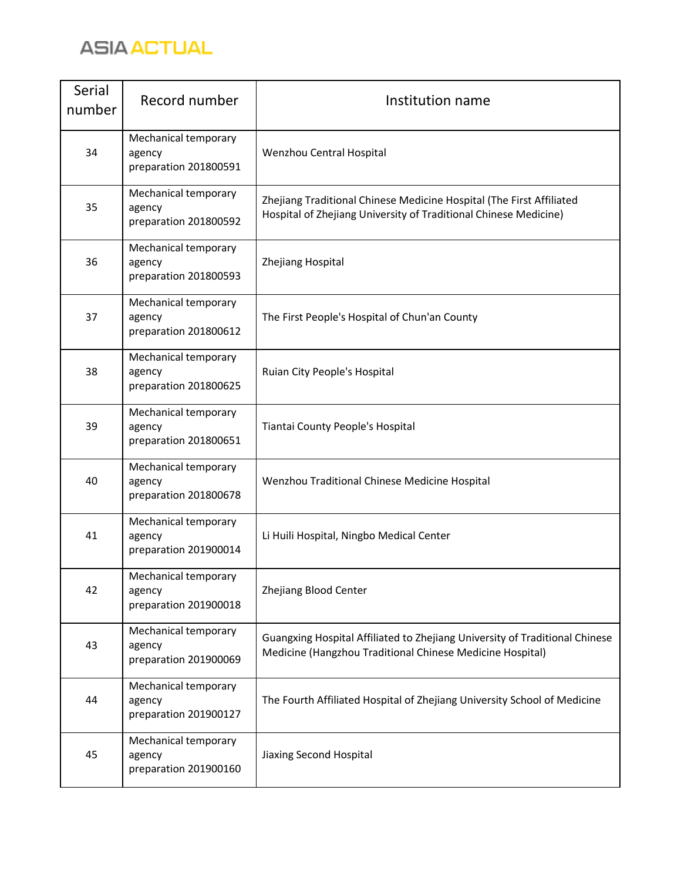

| Serial<br>number | Record number                                           | Institution name                                                                                                                         |
|------------------|---------------------------------------------------------|------------------------------------------------------------------------------------------------------------------------------------------|
| 34               | Mechanical temporary<br>agency<br>preparation 201800591 | Wenzhou Central Hospital                                                                                                                 |
| 35               | Mechanical temporary<br>agency<br>preparation 201800592 | Zhejiang Traditional Chinese Medicine Hospital (The First Affiliated<br>Hospital of Zhejiang University of Traditional Chinese Medicine) |
| 36               | Mechanical temporary<br>agency<br>preparation 201800593 | Zhejiang Hospital                                                                                                                        |
| 37               | Mechanical temporary<br>agency<br>preparation 201800612 | The First People's Hospital of Chun'an County                                                                                            |
| 38               | Mechanical temporary<br>agency<br>preparation 201800625 | Ruian City People's Hospital                                                                                                             |
| 39               | Mechanical temporary<br>agency<br>preparation 201800651 | Tiantai County People's Hospital                                                                                                         |
| 40               | Mechanical temporary<br>agency<br>preparation 201800678 | Wenzhou Traditional Chinese Medicine Hospital                                                                                            |
| 41               | Mechanical temporary<br>agency<br>preparation 201900014 | Li Huili Hospital, Ningbo Medical Center                                                                                                 |
| 42               | Mechanical temporary<br>agency<br>preparation 201900018 | Zhejiang Blood Center                                                                                                                    |
| 43               | Mechanical temporary<br>agency<br>preparation 201900069 | Guangxing Hospital Affiliated to Zhejiang University of Traditional Chinese<br>Medicine (Hangzhou Traditional Chinese Medicine Hospital) |
| 44               | Mechanical temporary<br>agency<br>preparation 201900127 | The Fourth Affiliated Hospital of Zhejiang University School of Medicine                                                                 |
| 45               | Mechanical temporary<br>agency<br>preparation 201900160 | Jiaxing Second Hospital                                                                                                                  |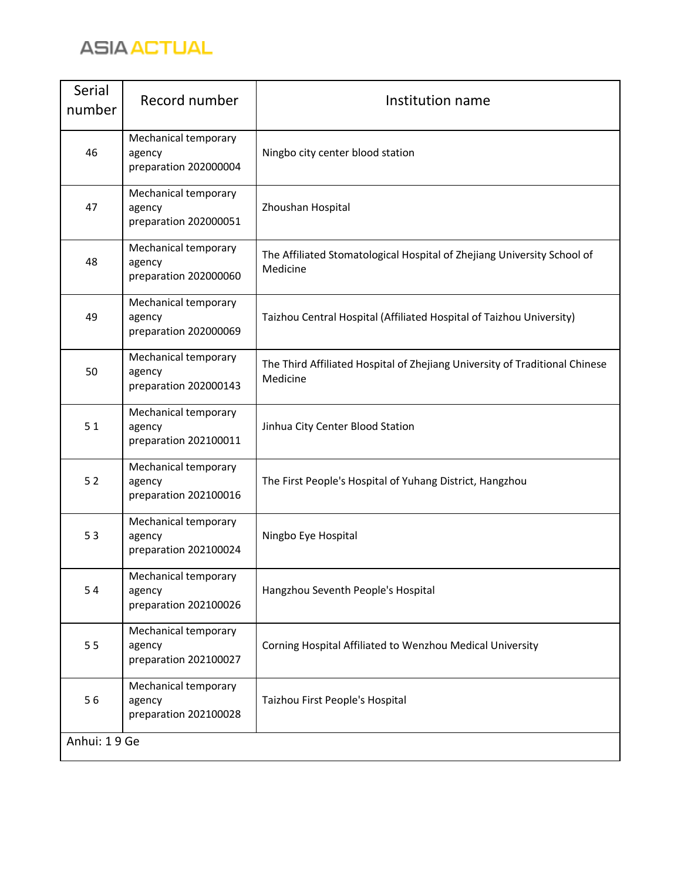

| Serial<br>number | Record number                                           | Institution name                                                                        |
|------------------|---------------------------------------------------------|-----------------------------------------------------------------------------------------|
| 46               | Mechanical temporary<br>agency<br>preparation 202000004 | Ningbo city center blood station                                                        |
| 47               | Mechanical temporary<br>agency<br>preparation 202000051 | Zhoushan Hospital                                                                       |
| 48               | Mechanical temporary<br>agency<br>preparation 202000060 | The Affiliated Stomatological Hospital of Zhejiang University School of<br>Medicine     |
| 49               | Mechanical temporary<br>agency<br>preparation 202000069 | Taizhou Central Hospital (Affiliated Hospital of Taizhou University)                    |
| 50               | Mechanical temporary<br>agency<br>preparation 202000143 | The Third Affiliated Hospital of Zhejiang University of Traditional Chinese<br>Medicine |
| 51               | Mechanical temporary<br>agency<br>preparation 202100011 | Jinhua City Center Blood Station                                                        |
| 52               | Mechanical temporary<br>agency<br>preparation 202100016 | The First People's Hospital of Yuhang District, Hangzhou                                |
| 53               | Mechanical temporary<br>agency<br>preparation 202100024 | Ningbo Eye Hospital                                                                     |
| 54               | Mechanical temporary<br>agency<br>preparation 202100026 | Hangzhou Seventh People's Hospital                                                      |
| 55               | Mechanical temporary<br>agency<br>preparation 202100027 | Corning Hospital Affiliated to Wenzhou Medical University                               |
| 56               | Mechanical temporary<br>agency<br>preparation 202100028 | Taizhou First People's Hospital                                                         |
| Anhui: 19 Ge     |                                                         |                                                                                         |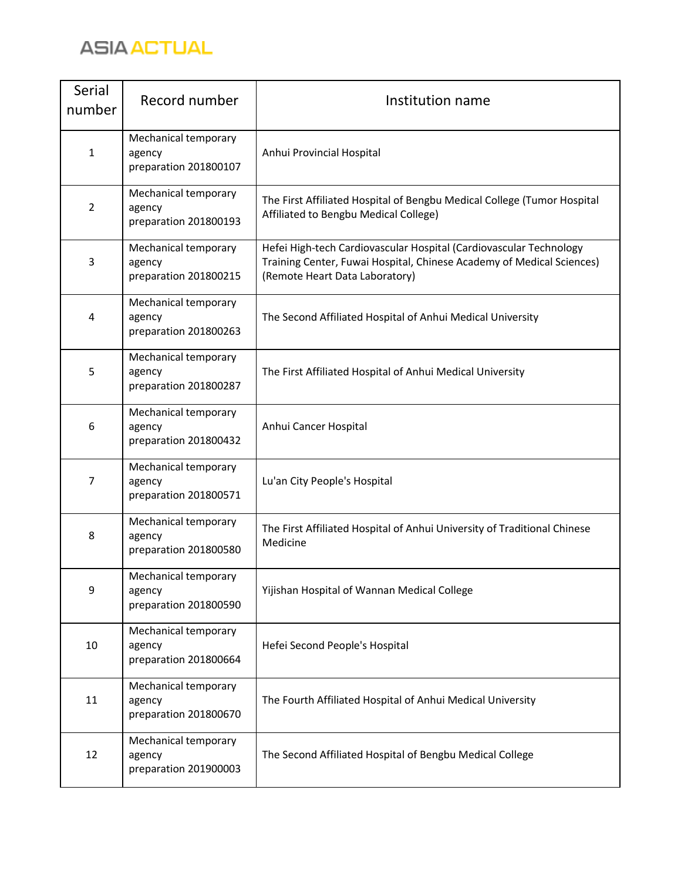

| Serial<br>number | Record number                                           | Institution name                                                                                                                                                              |
|------------------|---------------------------------------------------------|-------------------------------------------------------------------------------------------------------------------------------------------------------------------------------|
| $\mathbf{1}$     | Mechanical temporary<br>agency<br>preparation 201800107 | Anhui Provincial Hospital                                                                                                                                                     |
| $\overline{2}$   | Mechanical temporary<br>agency<br>preparation 201800193 | The First Affiliated Hospital of Bengbu Medical College (Tumor Hospital<br>Affiliated to Bengbu Medical College)                                                              |
| 3                | Mechanical temporary<br>agency<br>preparation 201800215 | Hefei High-tech Cardiovascular Hospital (Cardiovascular Technology<br>Training Center, Fuwai Hospital, Chinese Academy of Medical Sciences)<br>(Remote Heart Data Laboratory) |
| 4                | Mechanical temporary<br>agency<br>preparation 201800263 | The Second Affiliated Hospital of Anhui Medical University                                                                                                                    |
| 5                | Mechanical temporary<br>agency<br>preparation 201800287 | The First Affiliated Hospital of Anhui Medical University                                                                                                                     |
| 6                | Mechanical temporary<br>agency<br>preparation 201800432 | Anhui Cancer Hospital                                                                                                                                                         |
| $\overline{7}$   | Mechanical temporary<br>agency<br>preparation 201800571 | Lu'an City People's Hospital                                                                                                                                                  |
| 8                | Mechanical temporary<br>agency<br>preparation 201800580 | The First Affiliated Hospital of Anhui University of Traditional Chinese<br>Medicine                                                                                          |
| 9                | Mechanical temporary<br>agency<br>preparation 201800590 | Yijishan Hospital of Wannan Medical College                                                                                                                                   |
| 10               | Mechanical temporary<br>agency<br>preparation 201800664 | Hefei Second People's Hospital                                                                                                                                                |
| 11               | Mechanical temporary<br>agency<br>preparation 201800670 | The Fourth Affiliated Hospital of Anhui Medical University                                                                                                                    |
| 12               | Mechanical temporary<br>agency<br>preparation 201900003 | The Second Affiliated Hospital of Bengbu Medical College                                                                                                                      |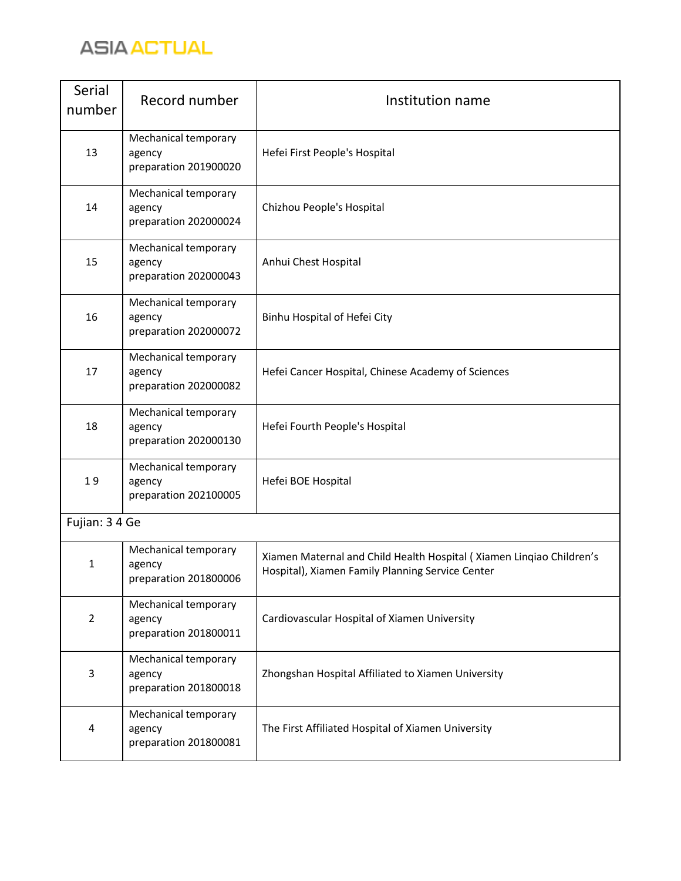

| Serial<br>number | Record number                                           | Institution name                                                                                                         |
|------------------|---------------------------------------------------------|--------------------------------------------------------------------------------------------------------------------------|
| 13               | Mechanical temporary<br>agency<br>preparation 201900020 | Hefei First People's Hospital                                                                                            |
| 14               | Mechanical temporary<br>agency<br>preparation 202000024 | Chizhou People's Hospital                                                                                                |
| 15               | Mechanical temporary<br>agency<br>preparation 202000043 | Anhui Chest Hospital                                                                                                     |
| 16               | Mechanical temporary<br>agency<br>preparation 202000072 | Binhu Hospital of Hefei City                                                                                             |
| 17               | Mechanical temporary<br>agency<br>preparation 202000082 | Hefei Cancer Hospital, Chinese Academy of Sciences                                                                       |
| 18               | Mechanical temporary<br>agency<br>preparation 202000130 | Hefei Fourth People's Hospital                                                                                           |
| 19               | Mechanical temporary<br>agency<br>preparation 202100005 | Hefei BOE Hospital                                                                                                       |
| Fujian: 3 4 Ge   |                                                         |                                                                                                                          |
| $\mathbf{1}$     | Mechanical temporary<br>agency<br>preparation 201800006 | Xiamen Maternal and Child Health Hospital (Xiamen Linqiao Children's<br>Hospital), Xiamen Family Planning Service Center |
| $\overline{2}$   | Mechanical temporary<br>agency<br>preparation 201800011 | Cardiovascular Hospital of Xiamen University                                                                             |
| 3                | Mechanical temporary<br>agency<br>preparation 201800018 | Zhongshan Hospital Affiliated to Xiamen University                                                                       |
| 4                | Mechanical temporary<br>agency<br>preparation 201800081 | The First Affiliated Hospital of Xiamen University                                                                       |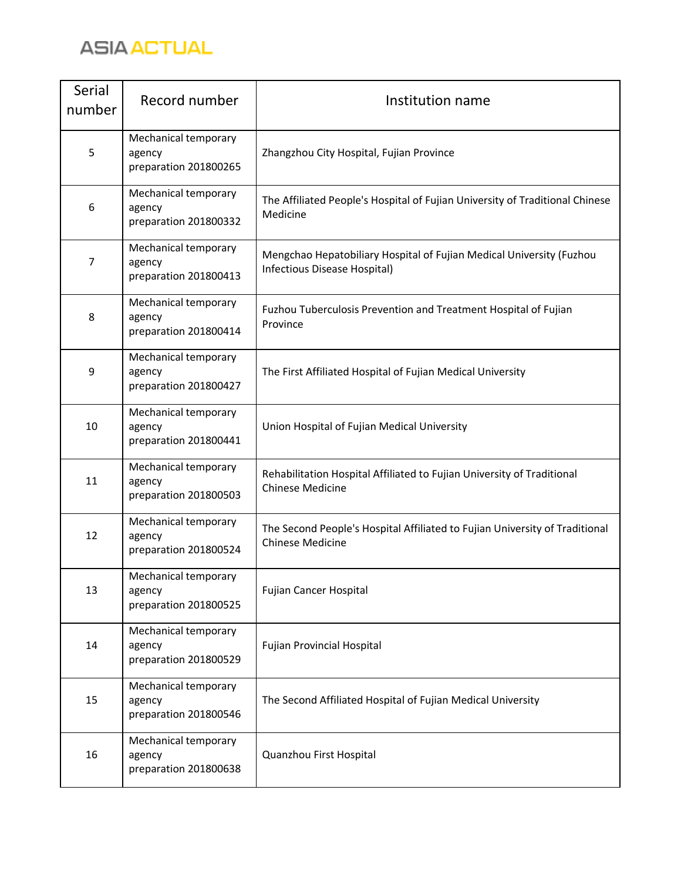

| Serial<br>number | Record number                                           | Institution name                                                                                       |
|------------------|---------------------------------------------------------|--------------------------------------------------------------------------------------------------------|
| 5                | Mechanical temporary<br>agency<br>preparation 201800265 | Zhangzhou City Hospital, Fujian Province                                                               |
| 6                | Mechanical temporary<br>agency<br>preparation 201800332 | The Affiliated People's Hospital of Fujian University of Traditional Chinese<br>Medicine               |
| 7                | Mechanical temporary<br>agency<br>preparation 201800413 | Mengchao Hepatobiliary Hospital of Fujian Medical University (Fuzhou<br>Infectious Disease Hospital)   |
| 8                | Mechanical temporary<br>agency<br>preparation 201800414 | Fuzhou Tuberculosis Prevention and Treatment Hospital of Fujian<br>Province                            |
| 9                | Mechanical temporary<br>agency<br>preparation 201800427 | The First Affiliated Hospital of Fujian Medical University                                             |
| 10               | Mechanical temporary<br>agency<br>preparation 201800441 | Union Hospital of Fujian Medical University                                                            |
| 11               | Mechanical temporary<br>agency<br>preparation 201800503 | Rehabilitation Hospital Affiliated to Fujian University of Traditional<br><b>Chinese Medicine</b>      |
| 12               | Mechanical temporary<br>agency<br>preparation 201800524 | The Second People's Hospital Affiliated to Fujian University of Traditional<br><b>Chinese Medicine</b> |
| 13               | Mechanical temporary<br>agency<br>preparation 201800525 | Fujian Cancer Hospital                                                                                 |
| 14               | Mechanical temporary<br>agency<br>preparation 201800529 | <b>Fujian Provincial Hospital</b>                                                                      |
| 15               | Mechanical temporary<br>agency<br>preparation 201800546 | The Second Affiliated Hospital of Fujian Medical University                                            |
| 16               | Mechanical temporary<br>agency<br>preparation 201800638 | Quanzhou First Hospital                                                                                |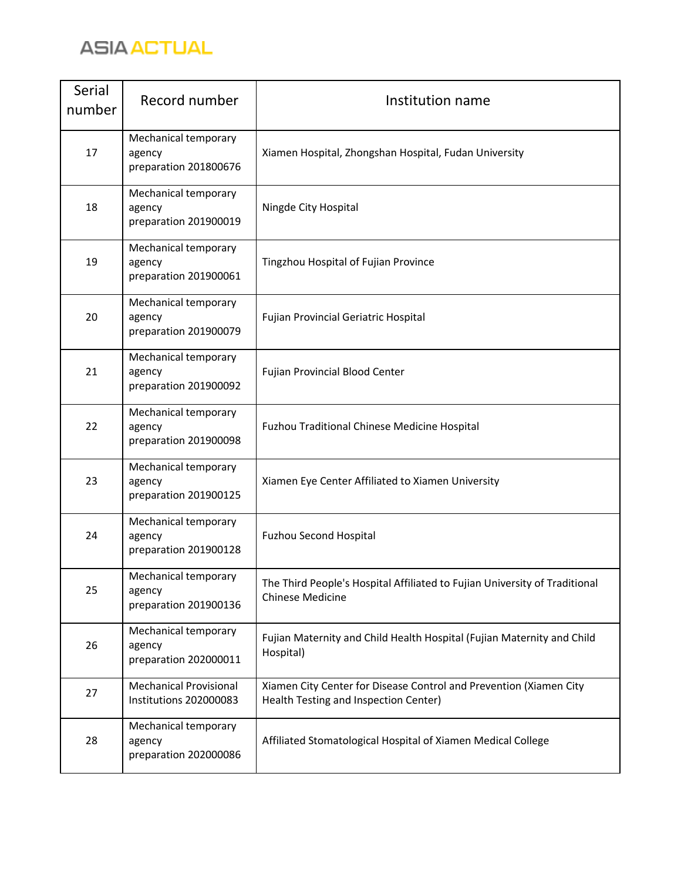

| Serial<br>number | Record number                                           | Institution name                                                                                            |
|------------------|---------------------------------------------------------|-------------------------------------------------------------------------------------------------------------|
| 17               | Mechanical temporary<br>agency<br>preparation 201800676 | Xiamen Hospital, Zhongshan Hospital, Fudan University                                                       |
| 18               | Mechanical temporary<br>agency<br>preparation 201900019 | Ningde City Hospital                                                                                        |
| 19               | Mechanical temporary<br>agency<br>preparation 201900061 | Tingzhou Hospital of Fujian Province                                                                        |
| 20               | Mechanical temporary<br>agency<br>preparation 201900079 | Fujian Provincial Geriatric Hospital                                                                        |
| 21               | Mechanical temporary<br>agency<br>preparation 201900092 | <b>Fujian Provincial Blood Center</b>                                                                       |
| 22               | Mechanical temporary<br>agency<br>preparation 201900098 | Fuzhou Traditional Chinese Medicine Hospital                                                                |
| 23               | Mechanical temporary<br>agency<br>preparation 201900125 | Xiamen Eye Center Affiliated to Xiamen University                                                           |
| 24               | Mechanical temporary<br>agency<br>preparation 201900128 | <b>Fuzhou Second Hospital</b>                                                                               |
| 25               | Mechanical temporary<br>agency<br>preparation 201900136 | The Third People's Hospital Affiliated to Fujian University of Traditional<br><b>Chinese Medicine</b>       |
| 26               | Mechanical temporary<br>agency<br>preparation 202000011 | Fujian Maternity and Child Health Hospital (Fujian Maternity and Child<br>Hospital)                         |
| 27               | <b>Mechanical Provisional</b><br>Institutions 202000083 | Xiamen City Center for Disease Control and Prevention (Xiamen City<br>Health Testing and Inspection Center) |
| 28               | Mechanical temporary<br>agency<br>preparation 202000086 | Affiliated Stomatological Hospital of Xiamen Medical College                                                |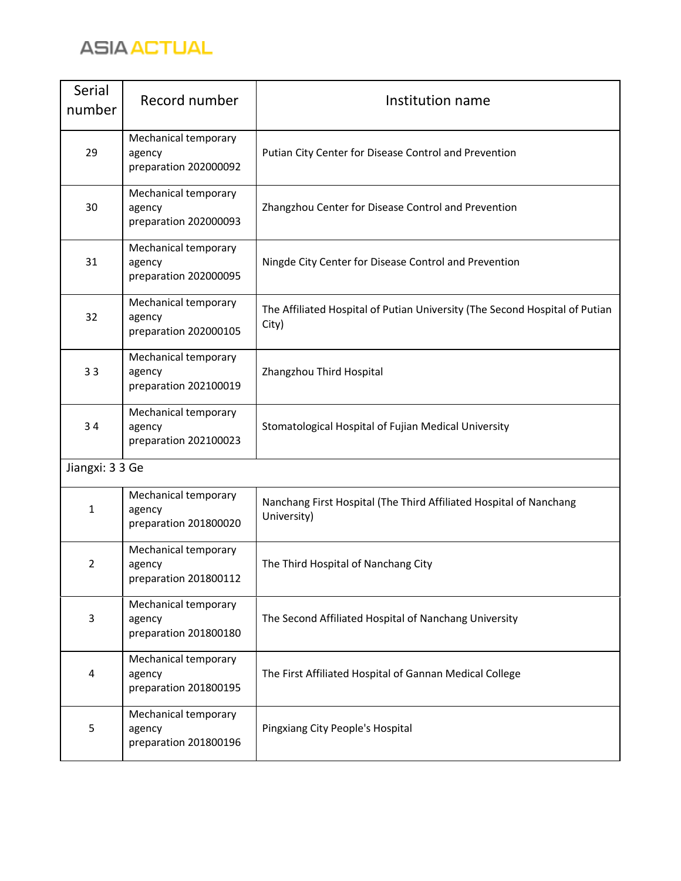

| Serial<br>number | Record number                                           | Institution name                                                                     |
|------------------|---------------------------------------------------------|--------------------------------------------------------------------------------------|
| 29               | Mechanical temporary<br>agency<br>preparation 202000092 | Putian City Center for Disease Control and Prevention                                |
| 30               | Mechanical temporary<br>agency<br>preparation 202000093 | Zhangzhou Center for Disease Control and Prevention                                  |
| 31               | Mechanical temporary<br>agency<br>preparation 202000095 | Ningde City Center for Disease Control and Prevention                                |
| 32               | Mechanical temporary<br>agency<br>preparation 202000105 | The Affiliated Hospital of Putian University (The Second Hospital of Putian<br>City) |
| 33               | Mechanical temporary<br>agency<br>preparation 202100019 | Zhangzhou Third Hospital                                                             |
| 34               | Mechanical temporary<br>agency<br>preparation 202100023 | Stomatological Hospital of Fujian Medical University                                 |
| Jiangxi: 3 3 Ge  |                                                         |                                                                                      |
| 1                | Mechanical temporary<br>agency<br>preparation 201800020 | Nanchang First Hospital (The Third Affiliated Hospital of Nanchang<br>University)    |
| 2                | Mechanical temporary<br>agency<br>preparation 201800112 | The Third Hospital of Nanchang City                                                  |
| 3                | Mechanical temporary<br>agency<br>preparation 201800180 | The Second Affiliated Hospital of Nanchang University                                |
| 4                | Mechanical temporary<br>agency<br>preparation 201800195 | The First Affiliated Hospital of Gannan Medical College                              |
| 5                | Mechanical temporary<br>agency<br>preparation 201800196 | Pingxiang City People's Hospital                                                     |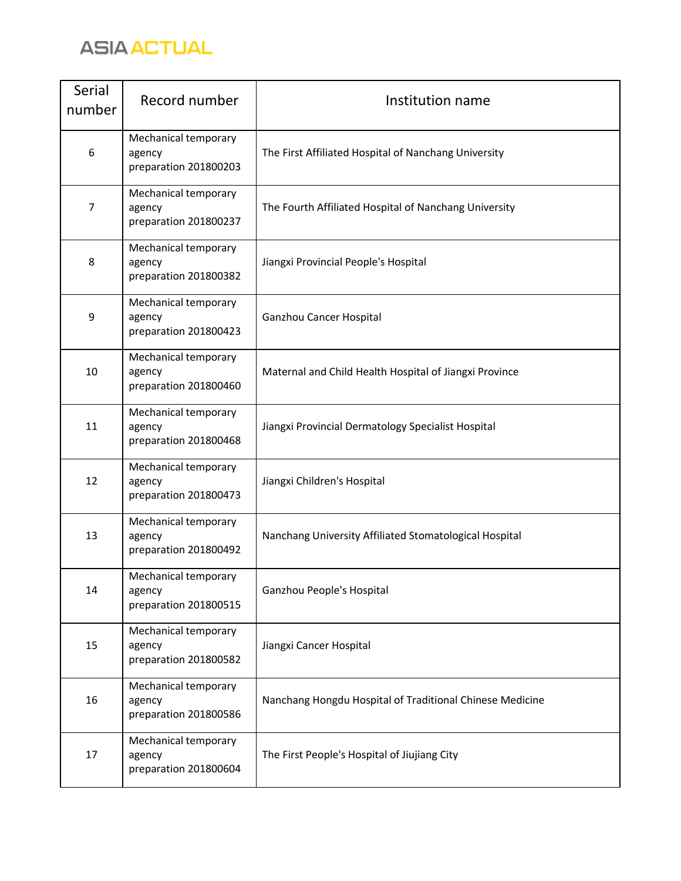

| Serial<br>number | Record number                                           | Institution name                                         |
|------------------|---------------------------------------------------------|----------------------------------------------------------|
| 6                | Mechanical temporary<br>agency<br>preparation 201800203 | The First Affiliated Hospital of Nanchang University     |
| $\overline{7}$   | Mechanical temporary<br>agency<br>preparation 201800237 | The Fourth Affiliated Hospital of Nanchang University    |
| 8                | Mechanical temporary<br>agency<br>preparation 201800382 | Jiangxi Provincial People's Hospital                     |
| 9                | Mechanical temporary<br>agency<br>preparation 201800423 | Ganzhou Cancer Hospital                                  |
| 10               | Mechanical temporary<br>agency<br>preparation 201800460 | Maternal and Child Health Hospital of Jiangxi Province   |
| 11               | Mechanical temporary<br>agency<br>preparation 201800468 | Jiangxi Provincial Dermatology Specialist Hospital       |
| 12               | Mechanical temporary<br>agency<br>preparation 201800473 | Jiangxi Children's Hospital                              |
| 13               | Mechanical temporary<br>agency<br>preparation 201800492 | Nanchang University Affiliated Stomatological Hospital   |
| 14               | Mechanical temporary<br>agency<br>preparation 201800515 | Ganzhou People's Hospital                                |
| 15               | Mechanical temporary<br>agency<br>preparation 201800582 | Jiangxi Cancer Hospital                                  |
| 16               | Mechanical temporary<br>agency<br>preparation 201800586 | Nanchang Hongdu Hospital of Traditional Chinese Medicine |
| 17               | Mechanical temporary<br>agency<br>preparation 201800604 | The First People's Hospital of Jiujiang City             |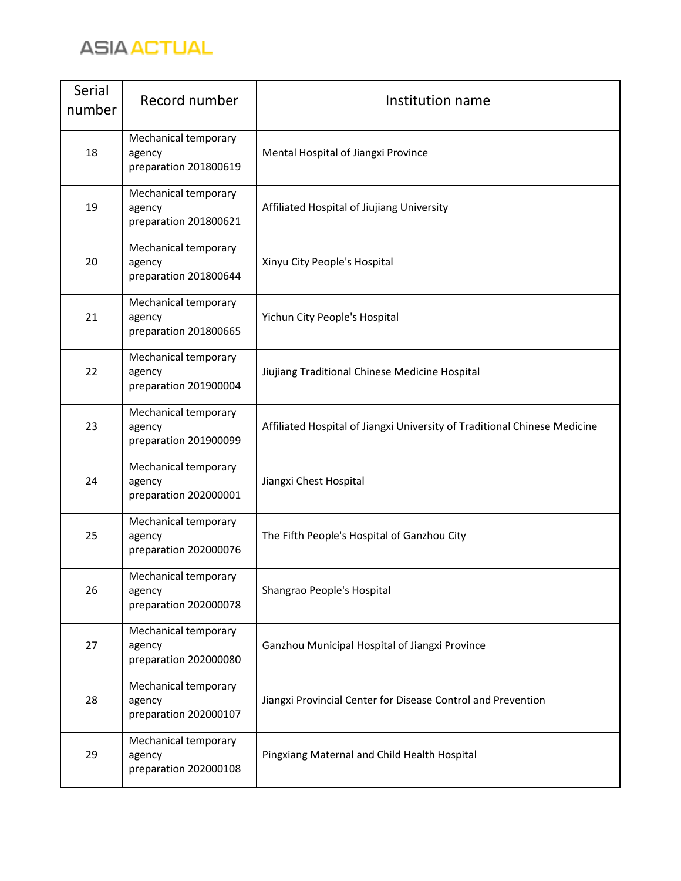

| Serial<br>number | Record number                                           | Institution name                                                          |
|------------------|---------------------------------------------------------|---------------------------------------------------------------------------|
| 18               | Mechanical temporary<br>agency<br>preparation 201800619 | Mental Hospital of Jiangxi Province                                       |
| 19               | Mechanical temporary<br>agency<br>preparation 201800621 | Affiliated Hospital of Jiujiang University                                |
| 20               | Mechanical temporary<br>agency<br>preparation 201800644 | Xinyu City People's Hospital                                              |
| 21               | Mechanical temporary<br>agency<br>preparation 201800665 | Yichun City People's Hospital                                             |
| 22               | Mechanical temporary<br>agency<br>preparation 201900004 | Jiujiang Traditional Chinese Medicine Hospital                            |
| 23               | Mechanical temporary<br>agency<br>preparation 201900099 | Affiliated Hospital of Jiangxi University of Traditional Chinese Medicine |
| 24               | Mechanical temporary<br>agency<br>preparation 202000001 | Jiangxi Chest Hospital                                                    |
| 25               | Mechanical temporary<br>agency<br>preparation 202000076 | The Fifth People's Hospital of Ganzhou City                               |
| 26               | Mechanical temporary<br>agency<br>preparation 202000078 | Shangrao People's Hospital                                                |
| 27               | Mechanical temporary<br>agency<br>preparation 202000080 | Ganzhou Municipal Hospital of Jiangxi Province                            |
| 28               | Mechanical temporary<br>agency<br>preparation 202000107 | Jiangxi Provincial Center for Disease Control and Prevention              |
| 29               | Mechanical temporary<br>agency<br>preparation 202000108 | Pingxiang Maternal and Child Health Hospital                              |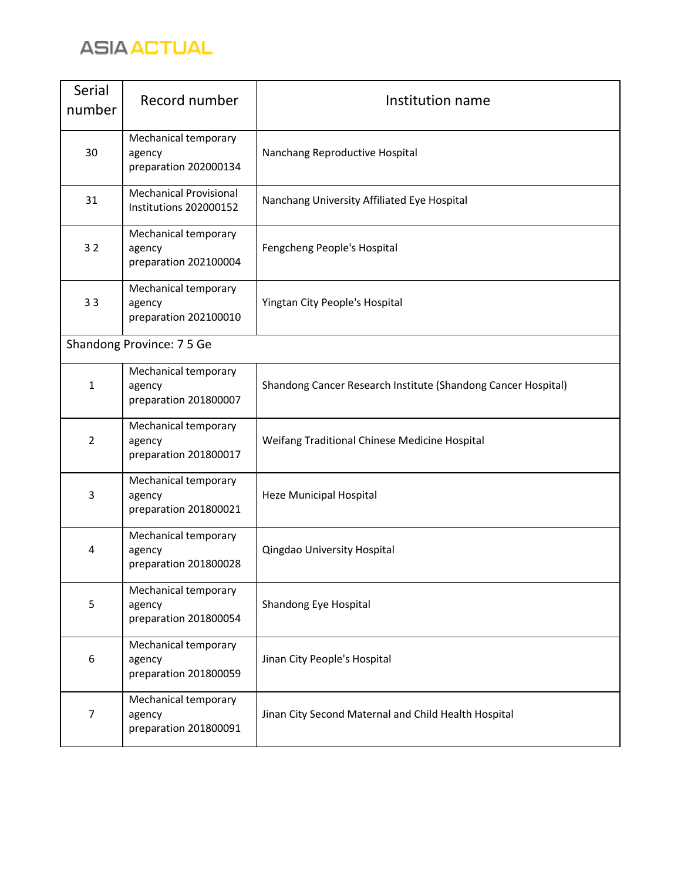

| Serial<br>number | Record number                                           | Institution name                                              |
|------------------|---------------------------------------------------------|---------------------------------------------------------------|
| 30               | Mechanical temporary<br>agency<br>preparation 202000134 | Nanchang Reproductive Hospital                                |
| 31               | <b>Mechanical Provisional</b><br>Institutions 202000152 | Nanchang University Affiliated Eye Hospital                   |
| 32               | Mechanical temporary<br>agency<br>preparation 202100004 | Fengcheng People's Hospital                                   |
| 33               | Mechanical temporary<br>agency<br>preparation 202100010 | Yingtan City People's Hospital                                |
|                  | Shandong Province: 7 5 Ge                               |                                                               |
| $\mathbf{1}$     | Mechanical temporary<br>agency<br>preparation 201800007 | Shandong Cancer Research Institute (Shandong Cancer Hospital) |
| $\overline{2}$   | Mechanical temporary<br>agency<br>preparation 201800017 | Weifang Traditional Chinese Medicine Hospital                 |
| 3                | Mechanical temporary<br>agency<br>preparation 201800021 | Heze Municipal Hospital                                       |
| 4                | Mechanical temporary<br>agency<br>preparation 201800028 | Qingdao University Hospital                                   |
| 5                | Mechanical temporary<br>agency<br>preparation 201800054 | Shandong Eye Hospital                                         |
| 6                | Mechanical temporary<br>agency<br>preparation 201800059 | Jinan City People's Hospital                                  |
| 7                | Mechanical temporary<br>agency<br>preparation 201800091 | Jinan City Second Maternal and Child Health Hospital          |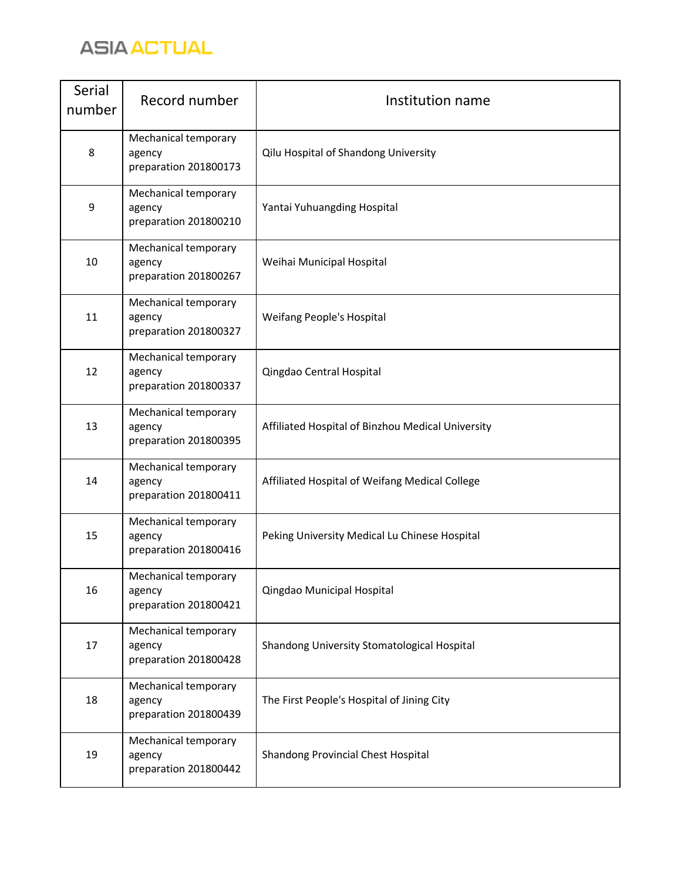

| Serial<br>number | Record number                                           | Institution name                                  |
|------------------|---------------------------------------------------------|---------------------------------------------------|
| 8                | Mechanical temporary<br>agency<br>preparation 201800173 | Qilu Hospital of Shandong University              |
| 9                | Mechanical temporary<br>agency<br>preparation 201800210 | Yantai Yuhuangding Hospital                       |
| 10               | Mechanical temporary<br>agency<br>preparation 201800267 | Weihai Municipal Hospital                         |
| 11               | Mechanical temporary<br>agency<br>preparation 201800327 | <b>Weifang People's Hospital</b>                  |
| 12               | Mechanical temporary<br>agency<br>preparation 201800337 | Qingdao Central Hospital                          |
| 13               | Mechanical temporary<br>agency<br>preparation 201800395 | Affiliated Hospital of Binzhou Medical University |
| 14               | Mechanical temporary<br>agency<br>preparation 201800411 | Affiliated Hospital of Weifang Medical College    |
| 15               | Mechanical temporary<br>agency<br>preparation 201800416 | Peking University Medical Lu Chinese Hospital     |
| 16               | Mechanical temporary<br>agency<br>preparation 201800421 | Qingdao Municipal Hospital                        |
| 17               | Mechanical temporary<br>agency<br>preparation 201800428 | Shandong University Stomatological Hospital       |
| 18               | Mechanical temporary<br>agency<br>preparation 201800439 | The First People's Hospital of Jining City        |
| 19               | Mechanical temporary<br>agency<br>preparation 201800442 | Shandong Provincial Chest Hospital                |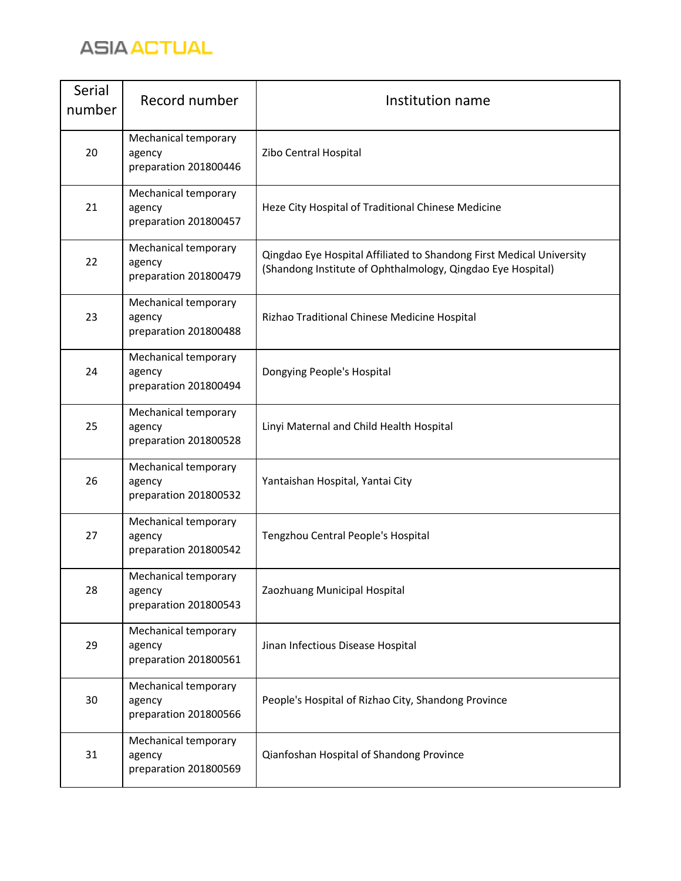

| Serial<br>number | Record number                                           | Institution name                                                                                                                    |
|------------------|---------------------------------------------------------|-------------------------------------------------------------------------------------------------------------------------------------|
| 20               | Mechanical temporary<br>agency<br>preparation 201800446 | Zibo Central Hospital                                                                                                               |
| 21               | Mechanical temporary<br>agency<br>preparation 201800457 | Heze City Hospital of Traditional Chinese Medicine                                                                                  |
| 22               | Mechanical temporary<br>agency<br>preparation 201800479 | Qingdao Eye Hospital Affiliated to Shandong First Medical University<br>(Shandong Institute of Ophthalmology, Qingdao Eye Hospital) |
| 23               | Mechanical temporary<br>agency<br>preparation 201800488 | Rizhao Traditional Chinese Medicine Hospital                                                                                        |
| 24               | Mechanical temporary<br>agency<br>preparation 201800494 | Dongying People's Hospital                                                                                                          |
| 25               | Mechanical temporary<br>agency<br>preparation 201800528 | Linyi Maternal and Child Health Hospital                                                                                            |
| 26               | Mechanical temporary<br>agency<br>preparation 201800532 | Yantaishan Hospital, Yantai City                                                                                                    |
| 27               | Mechanical temporary<br>agency<br>preparation 201800542 | Tengzhou Central People's Hospital                                                                                                  |
| 28               | Mechanical temporary<br>agency<br>preparation 201800543 | Zaozhuang Municipal Hospital                                                                                                        |
| 29               | Mechanical temporary<br>agency<br>preparation 201800561 | Jinan Infectious Disease Hospital                                                                                                   |
| 30               | Mechanical temporary<br>agency<br>preparation 201800566 | People's Hospital of Rizhao City, Shandong Province                                                                                 |
| 31               | Mechanical temporary<br>agency<br>preparation 201800569 | Qianfoshan Hospital of Shandong Province                                                                                            |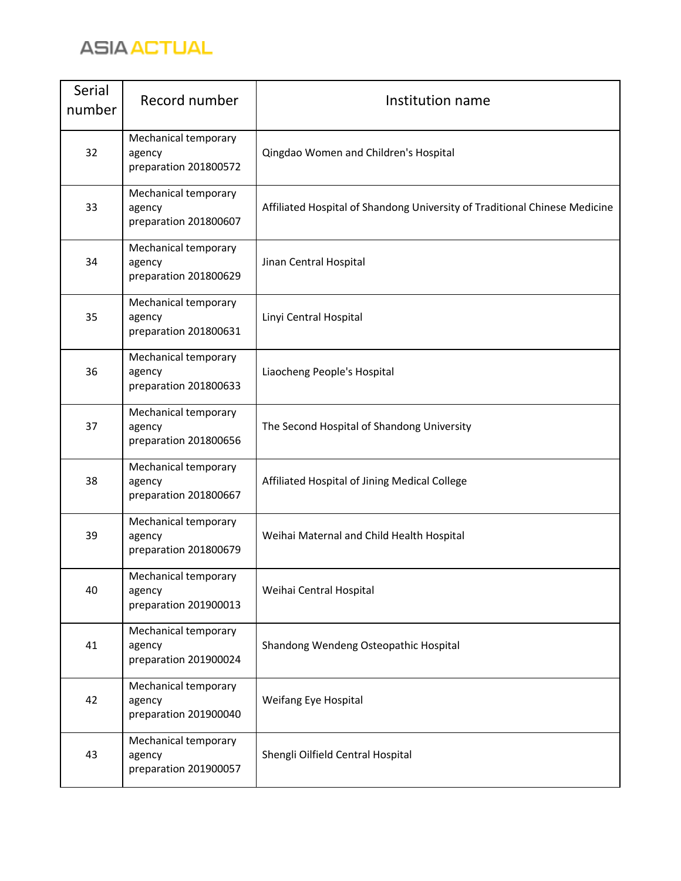

| Serial<br>number | Record number                                           | Institution name                                                           |
|------------------|---------------------------------------------------------|----------------------------------------------------------------------------|
| 32               | Mechanical temporary<br>agency<br>preparation 201800572 | Qingdao Women and Children's Hospital                                      |
| 33               | Mechanical temporary<br>agency<br>preparation 201800607 | Affiliated Hospital of Shandong University of Traditional Chinese Medicine |
| 34               | Mechanical temporary<br>agency<br>preparation 201800629 | Jinan Central Hospital                                                     |
| 35               | Mechanical temporary<br>agency<br>preparation 201800631 | Linyi Central Hospital                                                     |
| 36               | Mechanical temporary<br>agency<br>preparation 201800633 | Liaocheng People's Hospital                                                |
| 37               | Mechanical temporary<br>agency<br>preparation 201800656 | The Second Hospital of Shandong University                                 |
| 38               | Mechanical temporary<br>agency<br>preparation 201800667 | Affiliated Hospital of Jining Medical College                              |
| 39               | Mechanical temporary<br>agency<br>preparation 201800679 | Weihai Maternal and Child Health Hospital                                  |
| 40               | Mechanical temporary<br>agency<br>preparation 201900013 | Weihai Central Hospital                                                    |
| 41               | Mechanical temporary<br>agency<br>preparation 201900024 | Shandong Wendeng Osteopathic Hospital                                      |
| 42               | Mechanical temporary<br>agency<br>preparation 201900040 | Weifang Eye Hospital                                                       |
| 43               | Mechanical temporary<br>agency<br>preparation 201900057 | Shengli Oilfield Central Hospital                                          |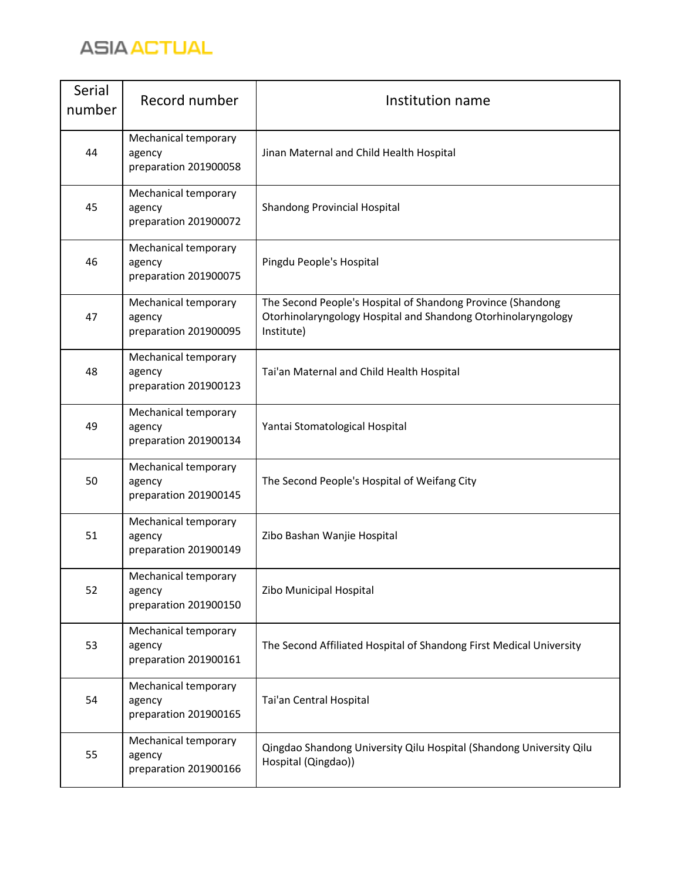

| Serial<br>number | Record number                                           | Institution name                                                                                                                           |
|------------------|---------------------------------------------------------|--------------------------------------------------------------------------------------------------------------------------------------------|
| 44               | Mechanical temporary<br>agency<br>preparation 201900058 | Jinan Maternal and Child Health Hospital                                                                                                   |
| 45               | Mechanical temporary<br>agency<br>preparation 201900072 | Shandong Provincial Hospital                                                                                                               |
| 46               | Mechanical temporary<br>agency<br>preparation 201900075 | Pingdu People's Hospital                                                                                                                   |
| 47               | Mechanical temporary<br>agency<br>preparation 201900095 | The Second People's Hospital of Shandong Province (Shandong<br>Otorhinolaryngology Hospital and Shandong Otorhinolaryngology<br>Institute) |
| 48               | Mechanical temporary<br>agency<br>preparation 201900123 | Tai'an Maternal and Child Health Hospital                                                                                                  |
| 49               | Mechanical temporary<br>agency<br>preparation 201900134 | Yantai Stomatological Hospital                                                                                                             |
| 50               | Mechanical temporary<br>agency<br>preparation 201900145 | The Second People's Hospital of Weifang City                                                                                               |
| 51               | Mechanical temporary<br>agency<br>preparation 201900149 | Zibo Bashan Wanjie Hospital                                                                                                                |
| 52               | Mechanical temporary<br>agency<br>preparation 201900150 | Zibo Municipal Hospital                                                                                                                    |
| 53               | Mechanical temporary<br>agency<br>preparation 201900161 | The Second Affiliated Hospital of Shandong First Medical University                                                                        |
| 54               | Mechanical temporary<br>agency<br>preparation 201900165 | Tai'an Central Hospital                                                                                                                    |
| 55               | Mechanical temporary<br>agency<br>preparation 201900166 | Qingdao Shandong University Qilu Hospital (Shandong University Qilu<br>Hospital (Qingdao))                                                 |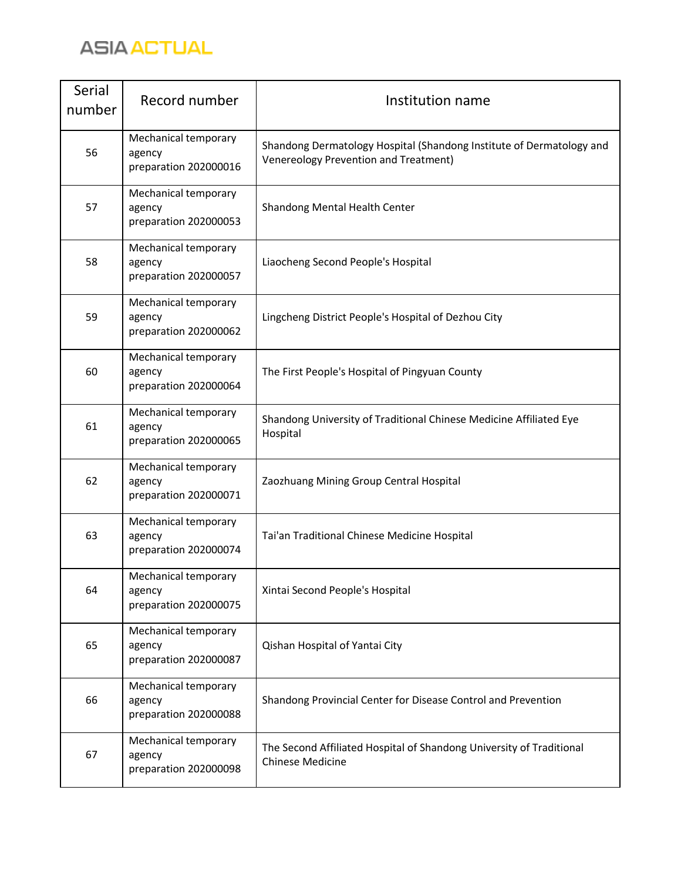

| Serial<br>number | Record number                                           | Institution name                                                                                              |
|------------------|---------------------------------------------------------|---------------------------------------------------------------------------------------------------------------|
| 56               | Mechanical temporary<br>agency<br>preparation 202000016 | Shandong Dermatology Hospital (Shandong Institute of Dermatology and<br>Venereology Prevention and Treatment) |
| 57               | Mechanical temporary<br>agency<br>preparation 202000053 | Shandong Mental Health Center                                                                                 |
| 58               | Mechanical temporary<br>agency<br>preparation 202000057 | Liaocheng Second People's Hospital                                                                            |
| 59               | Mechanical temporary<br>agency<br>preparation 202000062 | Lingcheng District People's Hospital of Dezhou City                                                           |
| 60               | Mechanical temporary<br>agency<br>preparation 202000064 | The First People's Hospital of Pingyuan County                                                                |
| 61               | Mechanical temporary<br>agency<br>preparation 202000065 | Shandong University of Traditional Chinese Medicine Affiliated Eye<br>Hospital                                |
| 62               | Mechanical temporary<br>agency<br>preparation 202000071 | Zaozhuang Mining Group Central Hospital                                                                       |
| 63               | Mechanical temporary<br>agency<br>preparation 202000074 | Tai'an Traditional Chinese Medicine Hospital                                                                  |
| 64               | Mechanical temporary<br>agency<br>preparation 202000075 | Xintai Second People's Hospital                                                                               |
| 65               | Mechanical temporary<br>agency<br>preparation 202000087 | Qishan Hospital of Yantai City                                                                                |
| 66               | Mechanical temporary<br>agency<br>preparation 202000088 | Shandong Provincial Center for Disease Control and Prevention                                                 |
| 67               | Mechanical temporary<br>agency<br>preparation 202000098 | The Second Affiliated Hospital of Shandong University of Traditional<br><b>Chinese Medicine</b>               |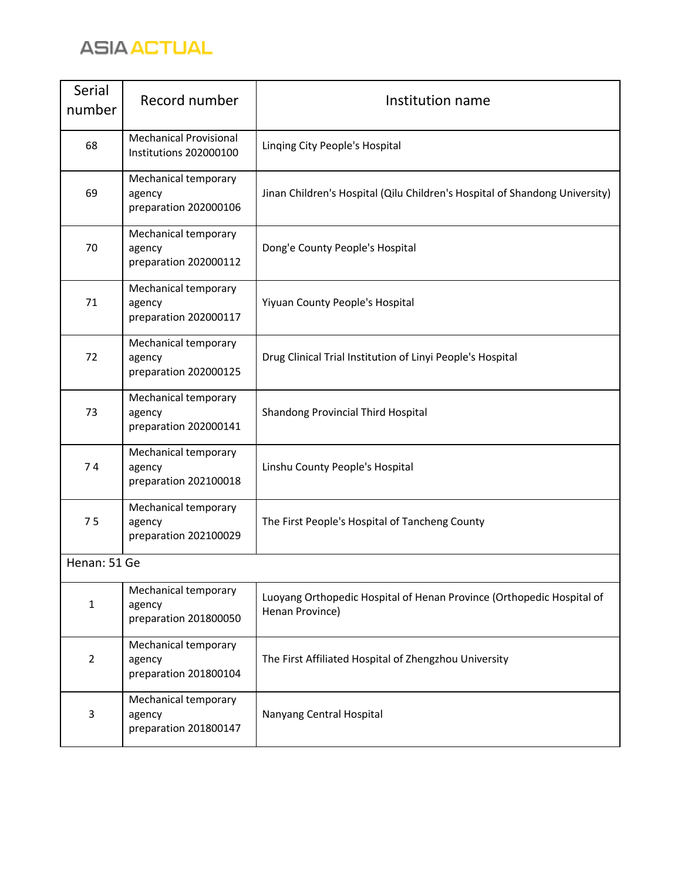

| Serial<br>number | Record number                                           | Institution name                                                                         |  |
|------------------|---------------------------------------------------------|------------------------------------------------------------------------------------------|--|
| 68               | <b>Mechanical Provisional</b><br>Institutions 202000100 | Linging City People's Hospital                                                           |  |
| 69               | Mechanical temporary<br>agency<br>preparation 202000106 | Jinan Children's Hospital (Qilu Children's Hospital of Shandong University)              |  |
| 70               | Mechanical temporary<br>agency<br>preparation 202000112 | Dong'e County People's Hospital                                                          |  |
| 71               | Mechanical temporary<br>agency<br>preparation 202000117 | Yiyuan County People's Hospital                                                          |  |
| 72               | Mechanical temporary<br>agency<br>preparation 202000125 | Drug Clinical Trial Institution of Linyi People's Hospital                               |  |
| 73               | Mechanical temporary<br>agency<br>preparation 202000141 | Shandong Provincial Third Hospital                                                       |  |
| 74               | Mechanical temporary<br>agency<br>preparation 202100018 | Linshu County People's Hospital                                                          |  |
| 75               | Mechanical temporary<br>agency<br>preparation 202100029 | The First People's Hospital of Tancheng County                                           |  |
| Henan: 51 Ge     |                                                         |                                                                                          |  |
| $\mathbf{1}$     | Mechanical temporary<br>agency<br>preparation 201800050 | Luoyang Orthopedic Hospital of Henan Province (Orthopedic Hospital of<br>Henan Province) |  |
| $\overline{2}$   | Mechanical temporary<br>agency<br>preparation 201800104 | The First Affiliated Hospital of Zhengzhou University                                    |  |
| 3                | Mechanical temporary<br>agency<br>preparation 201800147 | Nanyang Central Hospital                                                                 |  |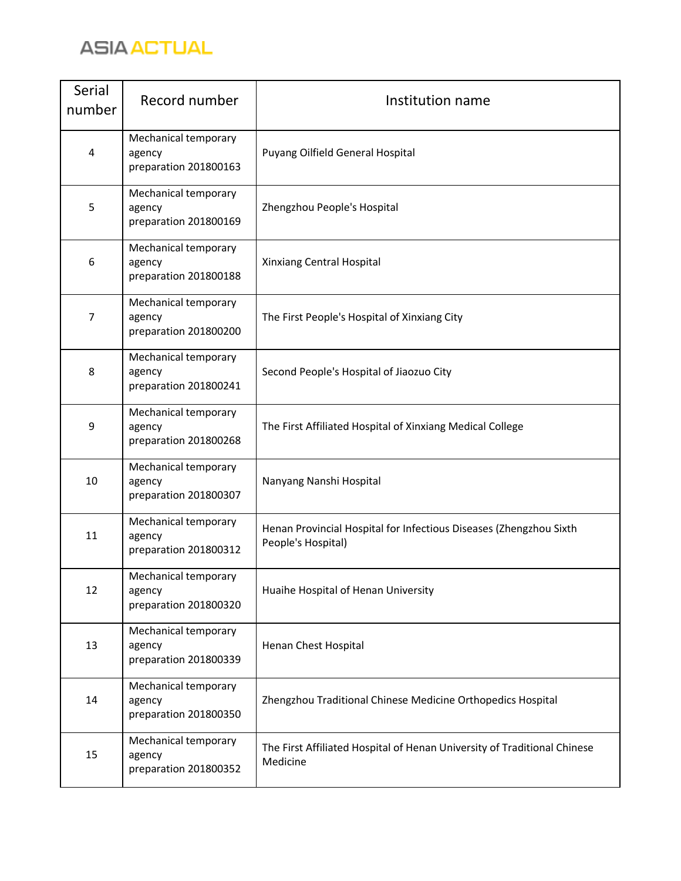

| Serial<br>number | Record number                                           | Institution name                                                                         |
|------------------|---------------------------------------------------------|------------------------------------------------------------------------------------------|
| $\overline{4}$   | Mechanical temporary<br>agency<br>preparation 201800163 | Puyang Oilfield General Hospital                                                         |
| 5                | Mechanical temporary<br>agency<br>preparation 201800169 | Zhengzhou People's Hospital                                                              |
| 6                | Mechanical temporary<br>agency<br>preparation 201800188 | Xinxiang Central Hospital                                                                |
| 7                | Mechanical temporary<br>agency<br>preparation 201800200 | The First People's Hospital of Xinxiang City                                             |
| 8                | Mechanical temporary<br>agency<br>preparation 201800241 | Second People's Hospital of Jiaozuo City                                                 |
| 9                | Mechanical temporary<br>agency<br>preparation 201800268 | The First Affiliated Hospital of Xinxiang Medical College                                |
| 10               | Mechanical temporary<br>agency<br>preparation 201800307 | Nanyang Nanshi Hospital                                                                  |
| 11               | Mechanical temporary<br>agency<br>preparation 201800312 | Henan Provincial Hospital for Infectious Diseases (Zhengzhou Sixth<br>People's Hospital) |
| 12               | Mechanical temporary<br>agency<br>preparation 201800320 | Huaihe Hospital of Henan University                                                      |
| 13               | Mechanical temporary<br>agency<br>preparation 201800339 | Henan Chest Hospital                                                                     |
| 14               | Mechanical temporary<br>agency<br>preparation 201800350 | Zhengzhou Traditional Chinese Medicine Orthopedics Hospital                              |
| 15               | Mechanical temporary<br>agency<br>preparation 201800352 | The First Affiliated Hospital of Henan University of Traditional Chinese<br>Medicine     |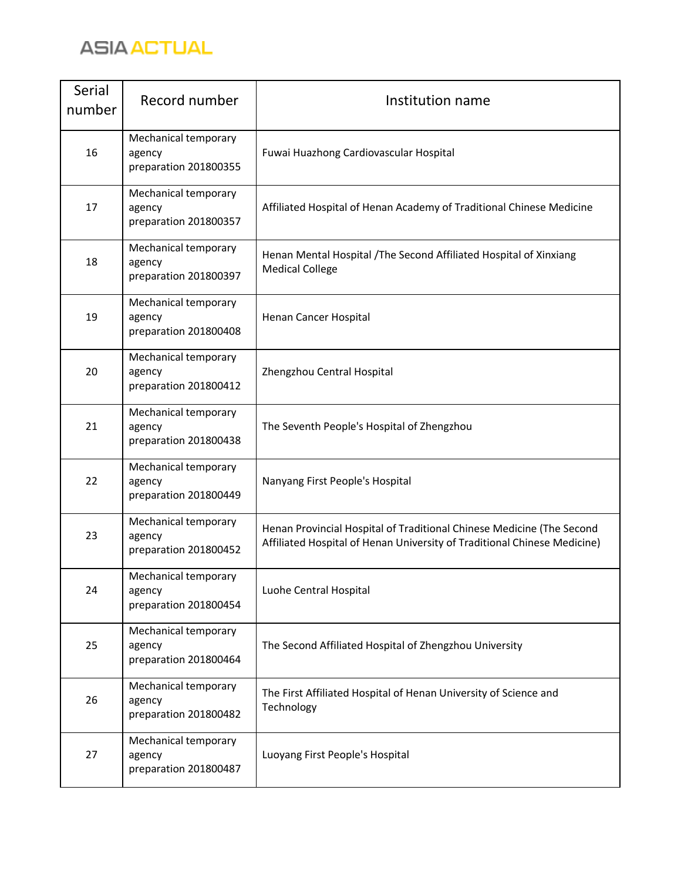

| Serial<br>number | Record number                                           | Institution name                                                                                                                                  |
|------------------|---------------------------------------------------------|---------------------------------------------------------------------------------------------------------------------------------------------------|
| 16               | Mechanical temporary<br>agency<br>preparation 201800355 | Fuwai Huazhong Cardiovascular Hospital                                                                                                            |
| 17               | Mechanical temporary<br>agency<br>preparation 201800357 | Affiliated Hospital of Henan Academy of Traditional Chinese Medicine                                                                              |
| 18               | Mechanical temporary<br>agency<br>preparation 201800397 | Henan Mental Hospital / The Second Affiliated Hospital of Xinxiang<br><b>Medical College</b>                                                      |
| 19               | Mechanical temporary<br>agency<br>preparation 201800408 | Henan Cancer Hospital                                                                                                                             |
| 20               | Mechanical temporary<br>agency<br>preparation 201800412 | Zhengzhou Central Hospital                                                                                                                        |
| 21               | Mechanical temporary<br>agency<br>preparation 201800438 | The Seventh People's Hospital of Zhengzhou                                                                                                        |
| 22               | Mechanical temporary<br>agency<br>preparation 201800449 | Nanyang First People's Hospital                                                                                                                   |
| 23               | Mechanical temporary<br>agency<br>preparation 201800452 | Henan Provincial Hospital of Traditional Chinese Medicine (The Second<br>Affiliated Hospital of Henan University of Traditional Chinese Medicine) |
| 24               | Mechanical temporary<br>agency<br>preparation 201800454 | Luohe Central Hospital                                                                                                                            |
| 25               | Mechanical temporary<br>agency<br>preparation 201800464 | The Second Affiliated Hospital of Zhengzhou University                                                                                            |
| 26               | Mechanical temporary<br>agency<br>preparation 201800482 | The First Affiliated Hospital of Henan University of Science and<br>Technology                                                                    |
| 27               | Mechanical temporary<br>agency<br>preparation 201800487 | Luoyang First People's Hospital                                                                                                                   |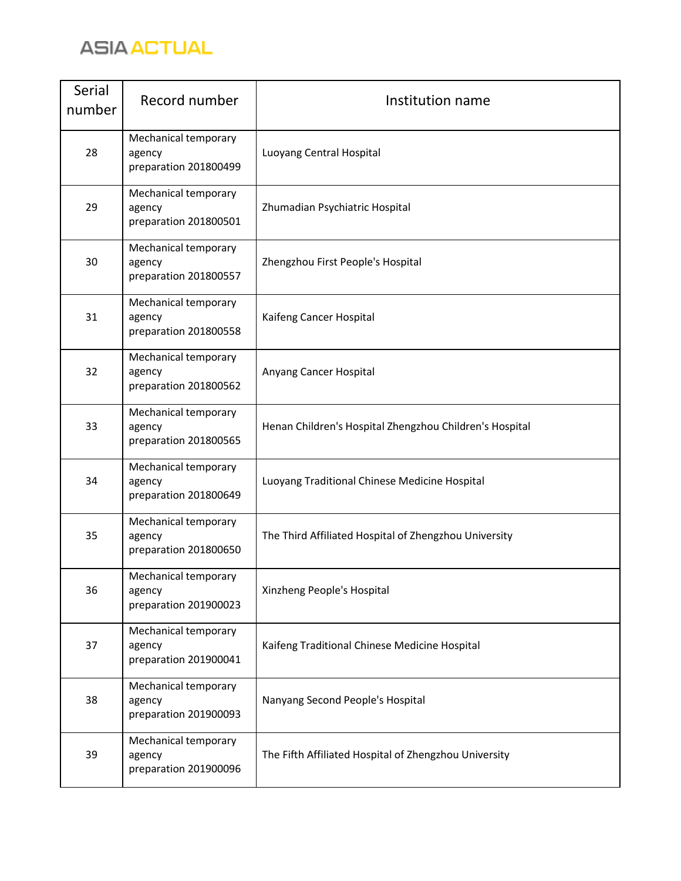

| Serial<br>number | Record number                                           | Institution name                                        |
|------------------|---------------------------------------------------------|---------------------------------------------------------|
| 28               | Mechanical temporary<br>agency<br>preparation 201800499 | Luoyang Central Hospital                                |
| 29               | Mechanical temporary<br>agency<br>preparation 201800501 | Zhumadian Psychiatric Hospital                          |
| 30               | Mechanical temporary<br>agency<br>preparation 201800557 | Zhengzhou First People's Hospital                       |
| 31               | Mechanical temporary<br>agency<br>preparation 201800558 | Kaifeng Cancer Hospital                                 |
| 32               | Mechanical temporary<br>agency<br>preparation 201800562 | Anyang Cancer Hospital                                  |
| 33               | Mechanical temporary<br>agency<br>preparation 201800565 | Henan Children's Hospital Zhengzhou Children's Hospital |
| 34               | Mechanical temporary<br>agency<br>preparation 201800649 | Luoyang Traditional Chinese Medicine Hospital           |
| 35               | Mechanical temporary<br>agency<br>preparation 201800650 | The Third Affiliated Hospital of Zhengzhou University   |
| 36               | Mechanical temporary<br>agency<br>preparation 201900023 | Xinzheng People's Hospital                              |
| 37               | Mechanical temporary<br>agency<br>preparation 201900041 | Kaifeng Traditional Chinese Medicine Hospital           |
| 38               | Mechanical temporary<br>agency<br>preparation 201900093 | Nanyang Second People's Hospital                        |
| 39               | Mechanical temporary<br>agency<br>preparation 201900096 | The Fifth Affiliated Hospital of Zhengzhou University   |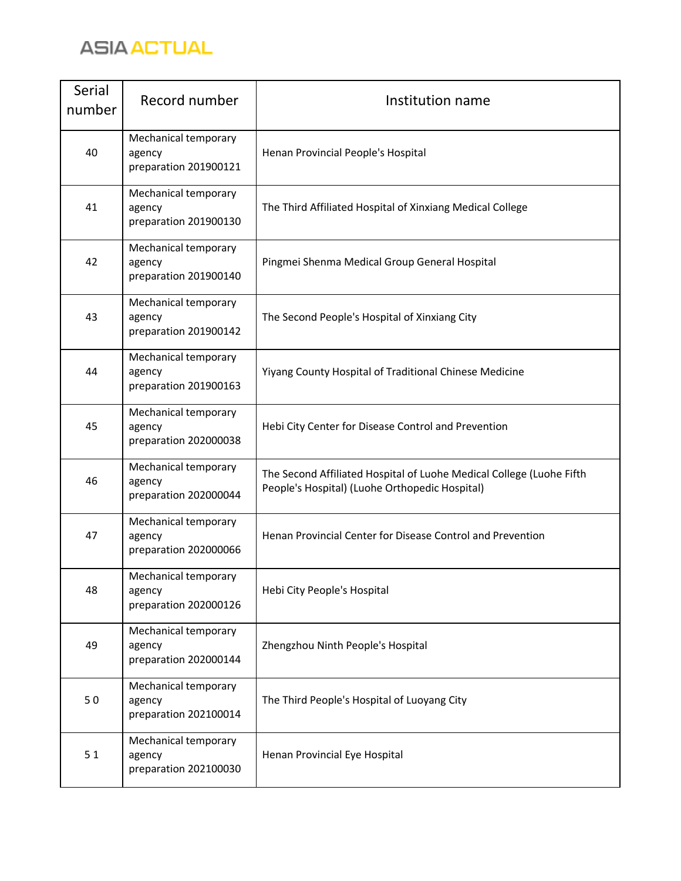

| Serial<br>number | Record number                                           | Institution name                                                                                                       |
|------------------|---------------------------------------------------------|------------------------------------------------------------------------------------------------------------------------|
| 40               | Mechanical temporary<br>agency<br>preparation 201900121 | Henan Provincial People's Hospital                                                                                     |
| 41               | Mechanical temporary<br>agency<br>preparation 201900130 | The Third Affiliated Hospital of Xinxiang Medical College                                                              |
| 42               | Mechanical temporary<br>agency<br>preparation 201900140 | Pingmei Shenma Medical Group General Hospital                                                                          |
| 43               | Mechanical temporary<br>agency<br>preparation 201900142 | The Second People's Hospital of Xinxiang City                                                                          |
| 44               | Mechanical temporary<br>agency<br>preparation 201900163 | Yiyang County Hospital of Traditional Chinese Medicine                                                                 |
| 45               | Mechanical temporary<br>agency<br>preparation 202000038 | Hebi City Center for Disease Control and Prevention                                                                    |
| 46               | Mechanical temporary<br>agency<br>preparation 202000044 | The Second Affiliated Hospital of Luohe Medical College (Luohe Fifth<br>People's Hospital) (Luohe Orthopedic Hospital) |
| 47               | Mechanical temporary<br>agency<br>preparation 202000066 | Henan Provincial Center for Disease Control and Prevention                                                             |
| 48               | Mechanical temporary<br>agency<br>preparation 202000126 | Hebi City People's Hospital                                                                                            |
| 49               | Mechanical temporary<br>agency<br>preparation 202000144 | Zhengzhou Ninth People's Hospital                                                                                      |
| 50               | Mechanical temporary<br>agency<br>preparation 202100014 | The Third People's Hospital of Luoyang City                                                                            |
| 51               | Mechanical temporary<br>agency<br>preparation 202100030 | Henan Provincial Eye Hospital                                                                                          |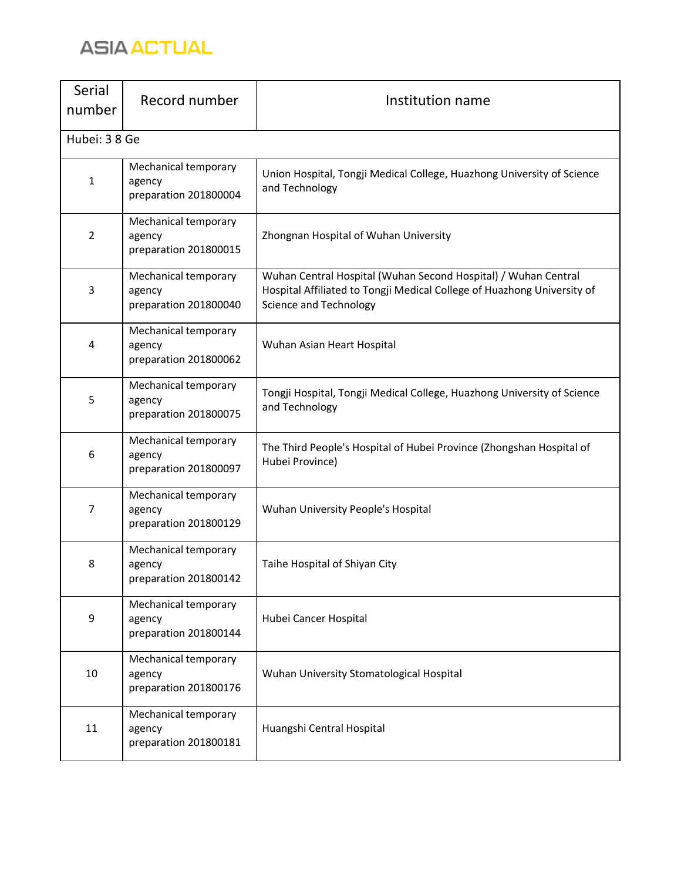

| Serial<br>number | Record number                                           | Institution name                                                                                                                                                           |
|------------------|---------------------------------------------------------|----------------------------------------------------------------------------------------------------------------------------------------------------------------------------|
| Hubei: 38 Ge     |                                                         |                                                                                                                                                                            |
| $\mathbf{1}$     | Mechanical temporary<br>agency<br>preparation 201800004 | Union Hospital, Tongji Medical College, Huazhong University of Science<br>and Technology                                                                                   |
| $\overline{2}$   | Mechanical temporary<br>agency<br>preparation 201800015 | Zhongnan Hospital of Wuhan University                                                                                                                                      |
| 3                | Mechanical temporary<br>agency<br>preparation 201800040 | Wuhan Central Hospital (Wuhan Second Hospital) / Wuhan Central<br>Hospital Affiliated to Tongji Medical College of Huazhong University of<br><b>Science and Technology</b> |
| 4                | Mechanical temporary<br>agency<br>preparation 201800062 | Wuhan Asian Heart Hospital                                                                                                                                                 |
| 5                | Mechanical temporary<br>agency<br>preparation 201800075 | Tongji Hospital, Tongji Medical College, Huazhong University of Science<br>and Technology                                                                                  |
| 6                | Mechanical temporary<br>agency<br>preparation 201800097 | The Third People's Hospital of Hubei Province (Zhongshan Hospital of<br>Hubei Province)                                                                                    |
| 7                | Mechanical temporary<br>agency<br>preparation 201800129 | Wuhan University People's Hospital                                                                                                                                         |
| 8                | Mechanical temporary<br>agency<br>preparation 201800142 | Taihe Hospital of Shiyan City                                                                                                                                              |
| 9                | Mechanical temporary<br>agency<br>preparation 201800144 | Hubei Cancer Hospital                                                                                                                                                      |
| 10               | Mechanical temporary<br>agency<br>preparation 201800176 | Wuhan University Stomatological Hospital                                                                                                                                   |
| 11               | Mechanical temporary<br>agency<br>preparation 201800181 | Huangshi Central Hospital                                                                                                                                                  |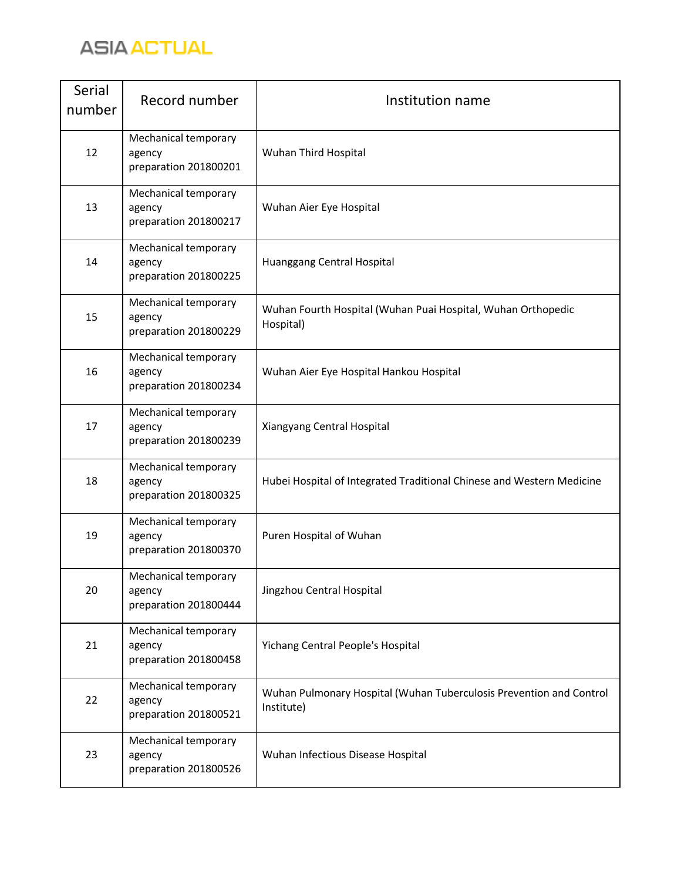

| <b>Serial</b><br>number | Record number                                           | Institution name                                                                  |
|-------------------------|---------------------------------------------------------|-----------------------------------------------------------------------------------|
| 12                      | Mechanical temporary<br>agency<br>preparation 201800201 | Wuhan Third Hospital                                                              |
| 13                      | Mechanical temporary<br>agency<br>preparation 201800217 | Wuhan Aier Eye Hospital                                                           |
| 14                      | Mechanical temporary<br>agency<br>preparation 201800225 | Huanggang Central Hospital                                                        |
| 15                      | Mechanical temporary<br>agency<br>preparation 201800229 | Wuhan Fourth Hospital (Wuhan Puai Hospital, Wuhan Orthopedic<br>Hospital)         |
| 16                      | Mechanical temporary<br>agency<br>preparation 201800234 | Wuhan Aier Eye Hospital Hankou Hospital                                           |
| 17                      | Mechanical temporary<br>agency<br>preparation 201800239 | Xiangyang Central Hospital                                                        |
| 18                      | Mechanical temporary<br>agency<br>preparation 201800325 | Hubei Hospital of Integrated Traditional Chinese and Western Medicine             |
| 19                      | Mechanical temporary<br>agency<br>preparation 201800370 | Puren Hospital of Wuhan                                                           |
| 20                      | Mechanical temporary<br>agency<br>preparation 201800444 | Jingzhou Central Hospital                                                         |
| 21                      | Mechanical temporary<br>agency<br>preparation 201800458 | Yichang Central People's Hospital                                                 |
| 22                      | Mechanical temporary<br>agency<br>preparation 201800521 | Wuhan Pulmonary Hospital (Wuhan Tuberculosis Prevention and Control<br>Institute) |
| 23                      | Mechanical temporary<br>agency<br>preparation 201800526 | Wuhan Infectious Disease Hospital                                                 |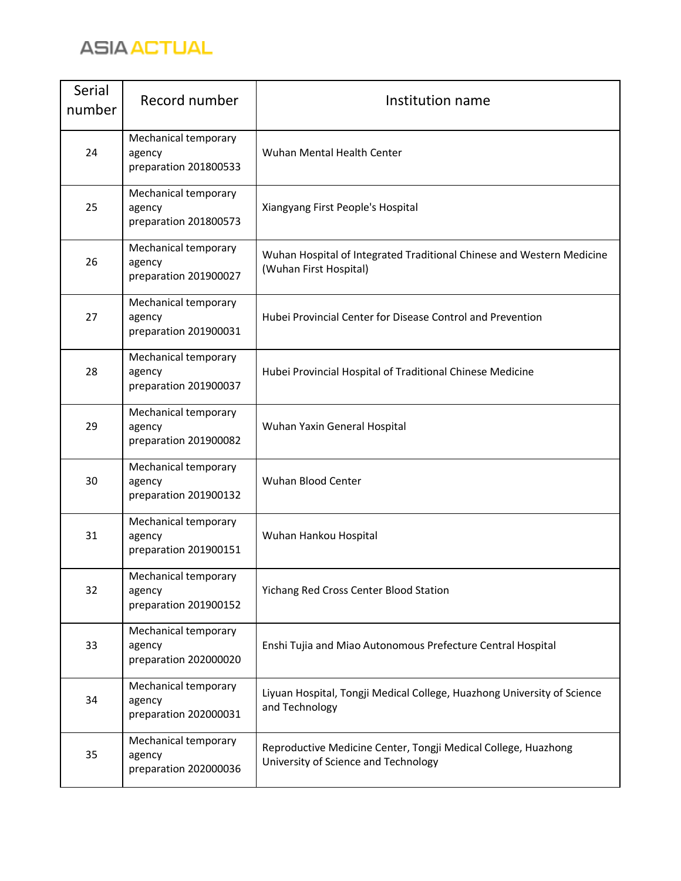

| Serial<br>number | Record number                                           | Institution name                                                                                       |
|------------------|---------------------------------------------------------|--------------------------------------------------------------------------------------------------------|
| 24               | Mechanical temporary<br>agency<br>preparation 201800533 | Wuhan Mental Health Center                                                                             |
| 25               | Mechanical temporary<br>agency<br>preparation 201800573 | Xiangyang First People's Hospital                                                                      |
| 26               | Mechanical temporary<br>agency<br>preparation 201900027 | Wuhan Hospital of Integrated Traditional Chinese and Western Medicine<br>(Wuhan First Hospital)        |
| 27               | Mechanical temporary<br>agency<br>preparation 201900031 | Hubei Provincial Center for Disease Control and Prevention                                             |
| 28               | Mechanical temporary<br>agency<br>preparation 201900037 | Hubei Provincial Hospital of Traditional Chinese Medicine                                              |
| 29               | Mechanical temporary<br>agency<br>preparation 201900082 | Wuhan Yaxin General Hospital                                                                           |
| 30               | Mechanical temporary<br>agency<br>preparation 201900132 | Wuhan Blood Center                                                                                     |
| 31               | Mechanical temporary<br>agency<br>preparation 201900151 | Wuhan Hankou Hospital                                                                                  |
| 32               | Mechanical temporary<br>agency<br>preparation 201900152 | Yichang Red Cross Center Blood Station                                                                 |
| 33               | Mechanical temporary<br>agency<br>preparation 202000020 | Enshi Tujia and Miao Autonomous Prefecture Central Hospital                                            |
| 34               | Mechanical temporary<br>agency<br>preparation 202000031 | Liyuan Hospital, Tongji Medical College, Huazhong University of Science<br>and Technology              |
| 35               | Mechanical temporary<br>agency<br>preparation 202000036 | Reproductive Medicine Center, Tongji Medical College, Huazhong<br>University of Science and Technology |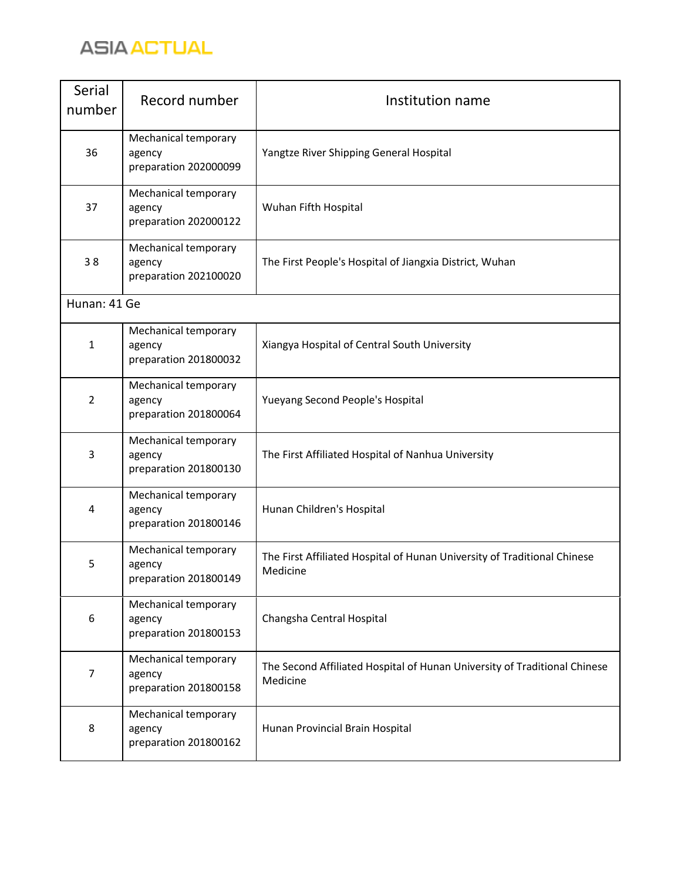

| Serial<br>number | Record number                                           | Institution name                                                                      |
|------------------|---------------------------------------------------------|---------------------------------------------------------------------------------------|
| 36               | Mechanical temporary<br>agency<br>preparation 202000099 | Yangtze River Shipping General Hospital                                               |
| 37               | Mechanical temporary<br>agency<br>preparation 202000122 | Wuhan Fifth Hospital                                                                  |
| 38               | Mechanical temporary<br>agency<br>preparation 202100020 | The First People's Hospital of Jiangxia District, Wuhan                               |
| Hunan: 41 Ge     |                                                         |                                                                                       |
| $\mathbf{1}$     | Mechanical temporary<br>agency<br>preparation 201800032 | Xiangya Hospital of Central South University                                          |
| 2                | Mechanical temporary<br>agency<br>preparation 201800064 | Yueyang Second People's Hospital                                                      |
| 3                | Mechanical temporary<br>agency<br>preparation 201800130 | The First Affiliated Hospital of Nanhua University                                    |
| 4                | Mechanical temporary<br>agency<br>preparation 201800146 | Hunan Children's Hospital                                                             |
| 5                | Mechanical temporary<br>agency<br>preparation 201800149 | The First Affiliated Hospital of Hunan University of Traditional Chinese<br>Medicine  |
| 6                | Mechanical temporary<br>agency<br>preparation 201800153 | Changsha Central Hospital                                                             |
| 7                | Mechanical temporary<br>agency<br>preparation 201800158 | The Second Affiliated Hospital of Hunan University of Traditional Chinese<br>Medicine |
| 8                | Mechanical temporary<br>agency<br>preparation 201800162 | Hunan Provincial Brain Hospital                                                       |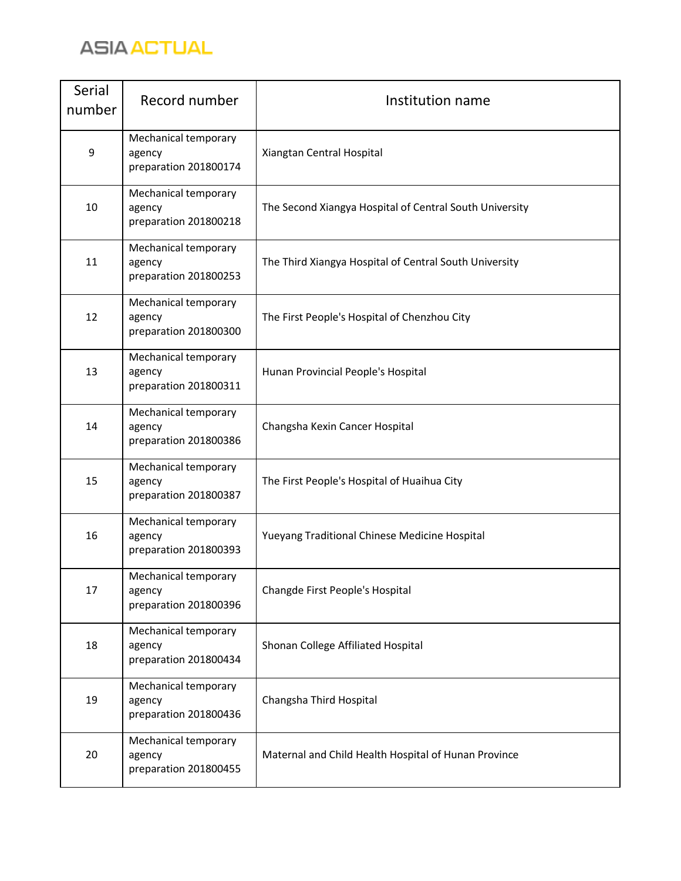

| Serial<br>number | Record number                                           | Institution name                                        |
|------------------|---------------------------------------------------------|---------------------------------------------------------|
| 9                | Mechanical temporary<br>agency<br>preparation 201800174 | Xiangtan Central Hospital                               |
| 10               | Mechanical temporary<br>agency<br>preparation 201800218 | The Second Xiangya Hospital of Central South University |
| 11               | Mechanical temporary<br>agency<br>preparation 201800253 | The Third Xiangya Hospital of Central South University  |
| 12               | Mechanical temporary<br>agency<br>preparation 201800300 | The First People's Hospital of Chenzhou City            |
| 13               | Mechanical temporary<br>agency<br>preparation 201800311 | Hunan Provincial People's Hospital                      |
| 14               | Mechanical temporary<br>agency<br>preparation 201800386 | Changsha Kexin Cancer Hospital                          |
| 15               | Mechanical temporary<br>agency<br>preparation 201800387 | The First People's Hospital of Huaihua City             |
| 16               | Mechanical temporary<br>agency<br>preparation 201800393 | Yueyang Traditional Chinese Medicine Hospital           |
| 17               | Mechanical temporary<br>agency<br>preparation 201800396 | Changde First People's Hospital                         |
| 18               | Mechanical temporary<br>agency<br>preparation 201800434 | Shonan College Affiliated Hospital                      |
| 19               | Mechanical temporary<br>agency<br>preparation 201800436 | Changsha Third Hospital                                 |
| 20               | Mechanical temporary<br>agency<br>preparation 201800455 | Maternal and Child Health Hospital of Hunan Province    |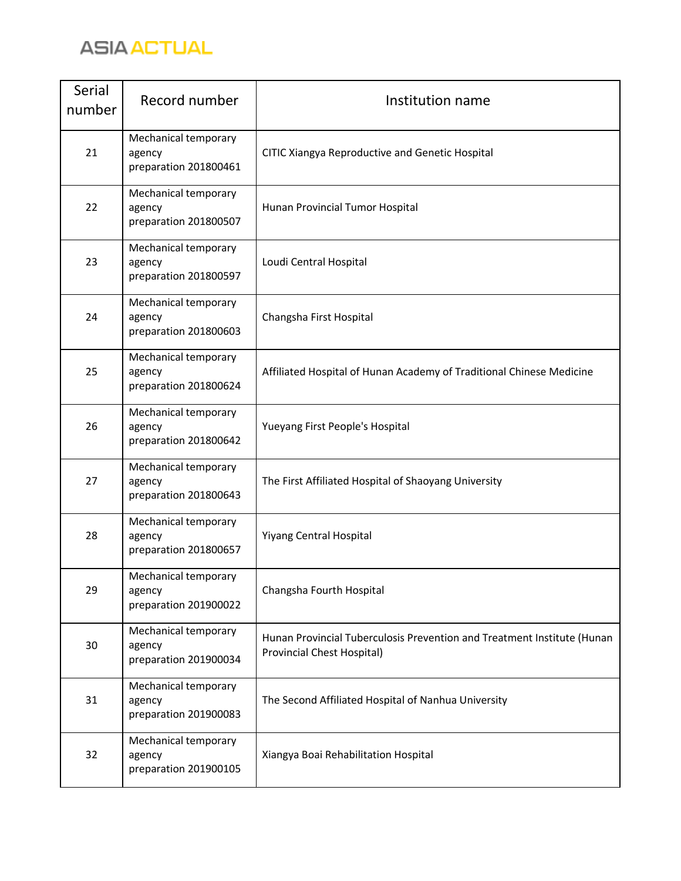

| Serial<br>number | Record number                                           | Institution name                                                                                      |
|------------------|---------------------------------------------------------|-------------------------------------------------------------------------------------------------------|
| 21               | Mechanical temporary<br>agency<br>preparation 201800461 | CITIC Xiangya Reproductive and Genetic Hospital                                                       |
| 22               | Mechanical temporary<br>agency<br>preparation 201800507 | Hunan Provincial Tumor Hospital                                                                       |
| 23               | Mechanical temporary<br>agency<br>preparation 201800597 | Loudi Central Hospital                                                                                |
| 24               | Mechanical temporary<br>agency<br>preparation 201800603 | Changsha First Hospital                                                                               |
| 25               | Mechanical temporary<br>agency<br>preparation 201800624 | Affiliated Hospital of Hunan Academy of Traditional Chinese Medicine                                  |
| 26               | Mechanical temporary<br>agency<br>preparation 201800642 | Yueyang First People's Hospital                                                                       |
| 27               | Mechanical temporary<br>agency<br>preparation 201800643 | The First Affiliated Hospital of Shaoyang University                                                  |
| 28               | Mechanical temporary<br>agency<br>preparation 201800657 | <b>Yiyang Central Hospital</b>                                                                        |
| 29               | Mechanical temporary<br>agency<br>preparation 201900022 | Changsha Fourth Hospital                                                                              |
| 30               | Mechanical temporary<br>agency<br>preparation 201900034 | Hunan Provincial Tuberculosis Prevention and Treatment Institute (Hunan<br>Provincial Chest Hospital) |
| 31               | Mechanical temporary<br>agency<br>preparation 201900083 | The Second Affiliated Hospital of Nanhua University                                                   |
| 32               | Mechanical temporary<br>agency<br>preparation 201900105 | Xiangya Boai Rehabilitation Hospital                                                                  |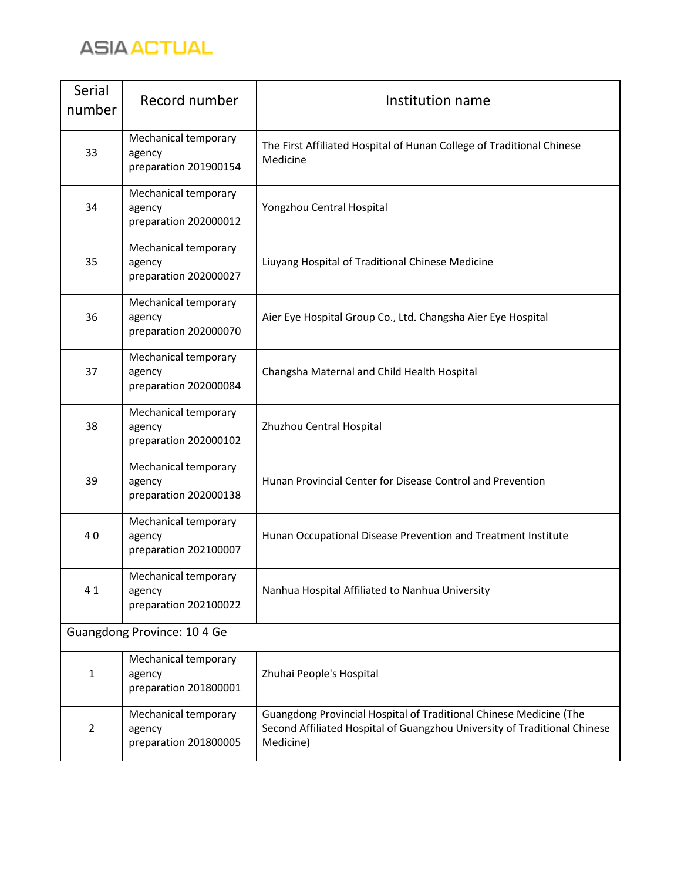

| Serial<br>number            | Record number                                           | Institution name                                                                                                                                             |
|-----------------------------|---------------------------------------------------------|--------------------------------------------------------------------------------------------------------------------------------------------------------------|
| 33                          | Mechanical temporary<br>agency<br>preparation 201900154 | The First Affiliated Hospital of Hunan College of Traditional Chinese<br>Medicine                                                                            |
| 34                          | Mechanical temporary<br>agency<br>preparation 202000012 | Yongzhou Central Hospital                                                                                                                                    |
| 35                          | Mechanical temporary<br>agency<br>preparation 202000027 | Liuyang Hospital of Traditional Chinese Medicine                                                                                                             |
| 36                          | Mechanical temporary<br>agency<br>preparation 202000070 | Aier Eye Hospital Group Co., Ltd. Changsha Aier Eye Hospital                                                                                                 |
| 37                          | Mechanical temporary<br>agency<br>preparation 202000084 | Changsha Maternal and Child Health Hospital                                                                                                                  |
| 38                          | Mechanical temporary<br>agency<br>preparation 202000102 | Zhuzhou Central Hospital                                                                                                                                     |
| 39                          | Mechanical temporary<br>agency<br>preparation 202000138 | Hunan Provincial Center for Disease Control and Prevention                                                                                                   |
| 40                          | Mechanical temporary<br>agency<br>preparation 202100007 | Hunan Occupational Disease Prevention and Treatment Institute                                                                                                |
| 41                          | Mechanical temporary<br>agency<br>preparation 202100022 | Nanhua Hospital Affiliated to Nanhua University                                                                                                              |
| Guangdong Province: 10 4 Ge |                                                         |                                                                                                                                                              |
| $\mathbf{1}$                | Mechanical temporary<br>agency<br>preparation 201800001 | Zhuhai People's Hospital                                                                                                                                     |
| $\overline{2}$              | Mechanical temporary<br>agency<br>preparation 201800005 | Guangdong Provincial Hospital of Traditional Chinese Medicine (The<br>Second Affiliated Hospital of Guangzhou University of Traditional Chinese<br>Medicine) |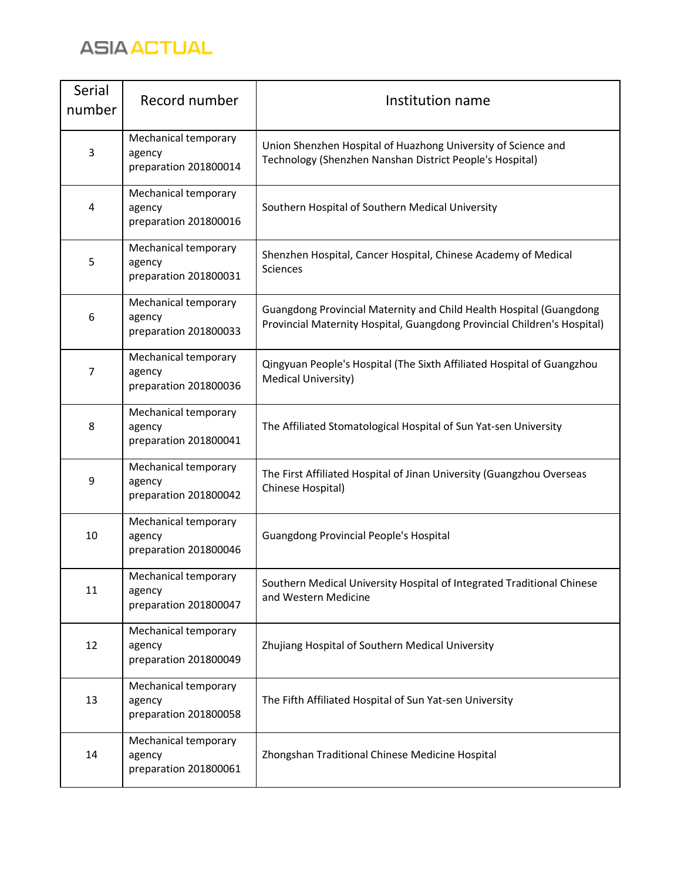

| Serial<br>number | Record number                                           | Institution name                                                                                                                                |
|------------------|---------------------------------------------------------|-------------------------------------------------------------------------------------------------------------------------------------------------|
| 3                | Mechanical temporary<br>agency<br>preparation 201800014 | Union Shenzhen Hospital of Huazhong University of Science and<br>Technology (Shenzhen Nanshan District People's Hospital)                       |
| 4                | Mechanical temporary<br>agency<br>preparation 201800016 | Southern Hospital of Southern Medical University                                                                                                |
| 5                | Mechanical temporary<br>agency<br>preparation 201800031 | Shenzhen Hospital, Cancer Hospital, Chinese Academy of Medical<br>Sciences                                                                      |
| 6                | Mechanical temporary<br>agency<br>preparation 201800033 | Guangdong Provincial Maternity and Child Health Hospital (Guangdong<br>Provincial Maternity Hospital, Guangdong Provincial Children's Hospital) |
| 7                | Mechanical temporary<br>agency<br>preparation 201800036 | Qingyuan People's Hospital (The Sixth Affiliated Hospital of Guangzhou<br>Medical University)                                                   |
| 8                | Mechanical temporary<br>agency<br>preparation 201800041 | The Affiliated Stomatological Hospital of Sun Yat-sen University                                                                                |
| 9                | Mechanical temporary<br>agency<br>preparation 201800042 | The First Affiliated Hospital of Jinan University (Guangzhou Overseas<br>Chinese Hospital)                                                      |
| 10               | Mechanical temporary<br>agency<br>preparation 201800046 | <b>Guangdong Provincial People's Hospital</b>                                                                                                   |
| 11               | Mechanical temporary<br>agency<br>preparation 201800047 | Southern Medical University Hospital of Integrated Traditional Chinese<br>and Western Medicine                                                  |
| 12               | Mechanical temporary<br>agency<br>preparation 201800049 | Zhujiang Hospital of Southern Medical University                                                                                                |
| 13               | Mechanical temporary<br>agency<br>preparation 201800058 | The Fifth Affiliated Hospital of Sun Yat-sen University                                                                                         |
| 14               | Mechanical temporary<br>agency<br>preparation 201800061 | Zhongshan Traditional Chinese Medicine Hospital                                                                                                 |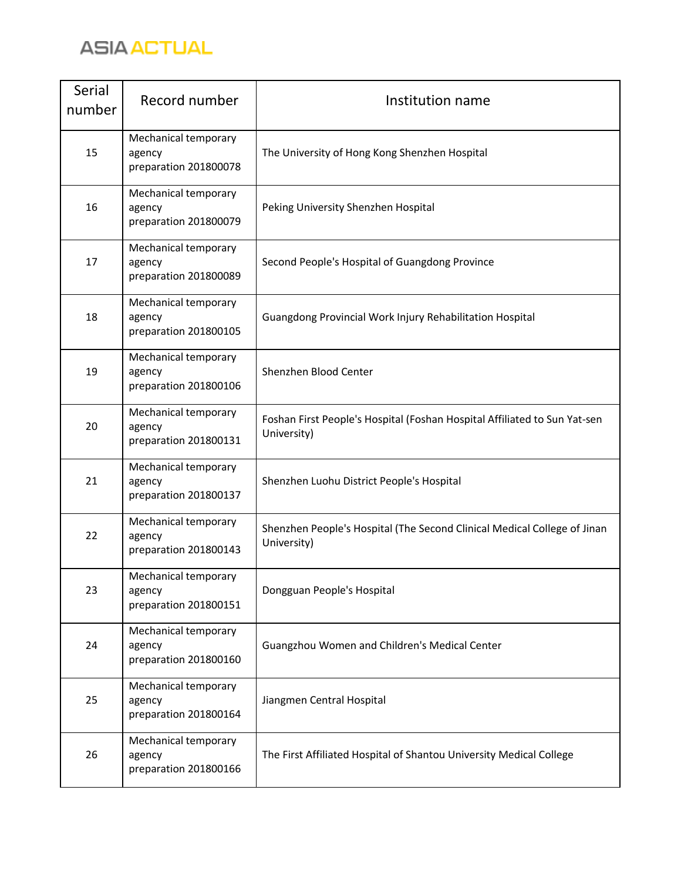

| Serial<br>number | Record number                                           | Institution name                                                                         |
|------------------|---------------------------------------------------------|------------------------------------------------------------------------------------------|
| 15               | Mechanical temporary<br>agency<br>preparation 201800078 | The University of Hong Kong Shenzhen Hospital                                            |
| 16               | Mechanical temporary<br>agency<br>preparation 201800079 | Peking University Shenzhen Hospital                                                      |
| 17               | Mechanical temporary<br>agency<br>preparation 201800089 | Second People's Hospital of Guangdong Province                                           |
| 18               | Mechanical temporary<br>agency<br>preparation 201800105 | Guangdong Provincial Work Injury Rehabilitation Hospital                                 |
| 19               | Mechanical temporary<br>agency<br>preparation 201800106 | Shenzhen Blood Center                                                                    |
| 20               | Mechanical temporary<br>agency<br>preparation 201800131 | Foshan First People's Hospital (Foshan Hospital Affiliated to Sun Yat-sen<br>University) |
| 21               | Mechanical temporary<br>agency<br>preparation 201800137 | Shenzhen Luohu District People's Hospital                                                |
| 22               | Mechanical temporary<br>agency<br>preparation 201800143 | Shenzhen People's Hospital (The Second Clinical Medical College of Jinan<br>University)  |
| 23               | Mechanical temporary<br>agency<br>preparation 201800151 | Dongguan People's Hospital                                                               |
| 24               | Mechanical temporary<br>agency<br>preparation 201800160 | Guangzhou Women and Children's Medical Center                                            |
| 25               | Mechanical temporary<br>agency<br>preparation 201800164 | Jiangmen Central Hospital                                                                |
| 26               | Mechanical temporary<br>agency<br>preparation 201800166 | The First Affiliated Hospital of Shantou University Medical College                      |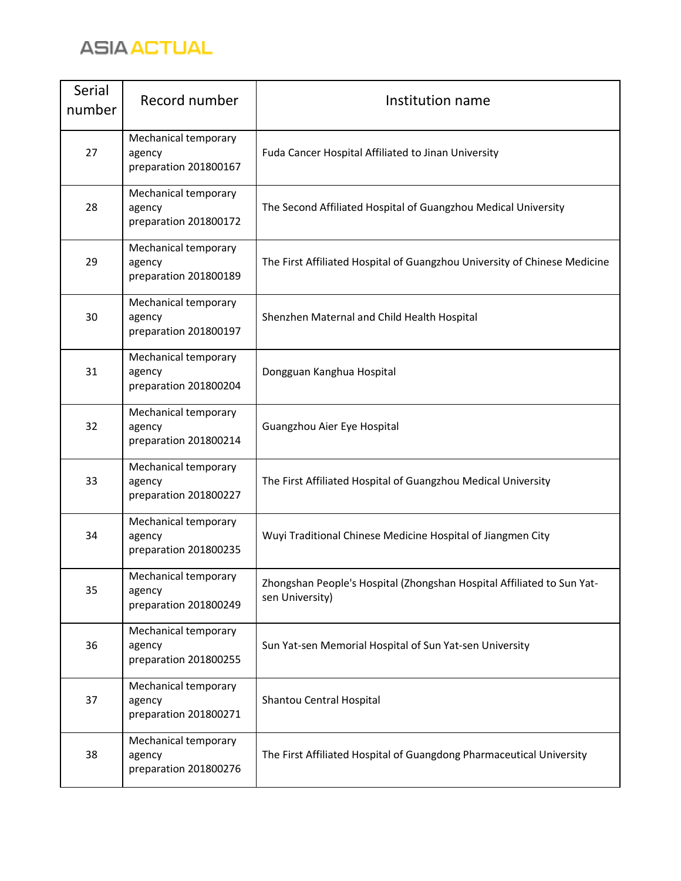

| Serial<br>number | Record number                                           | Institution name                                                                          |
|------------------|---------------------------------------------------------|-------------------------------------------------------------------------------------------|
| 27               | Mechanical temporary<br>agency<br>preparation 201800167 | Fuda Cancer Hospital Affiliated to Jinan University                                       |
| 28               | Mechanical temporary<br>agency<br>preparation 201800172 | The Second Affiliated Hospital of Guangzhou Medical University                            |
| 29               | Mechanical temporary<br>agency<br>preparation 201800189 | The First Affiliated Hospital of Guangzhou University of Chinese Medicine                 |
| 30               | Mechanical temporary<br>agency<br>preparation 201800197 | Shenzhen Maternal and Child Health Hospital                                               |
| 31               | Mechanical temporary<br>agency<br>preparation 201800204 | Dongguan Kanghua Hospital                                                                 |
| 32               | Mechanical temporary<br>agency<br>preparation 201800214 | Guangzhou Aier Eye Hospital                                                               |
| 33               | Mechanical temporary<br>agency<br>preparation 201800227 | The First Affiliated Hospital of Guangzhou Medical University                             |
| 34               | Mechanical temporary<br>agency<br>preparation 201800235 | Wuyi Traditional Chinese Medicine Hospital of Jiangmen City                               |
| 35               | Mechanical temporary<br>agency<br>preparation 201800249 | Zhongshan People's Hospital (Zhongshan Hospital Affiliated to Sun Yat-<br>sen University) |
| 36               | Mechanical temporary<br>agency<br>preparation 201800255 | Sun Yat-sen Memorial Hospital of Sun Yat-sen University                                   |
| 37               | Mechanical temporary<br>agency<br>preparation 201800271 | Shantou Central Hospital                                                                  |
| 38               | Mechanical temporary<br>agency<br>preparation 201800276 | The First Affiliated Hospital of Guangdong Pharmaceutical University                      |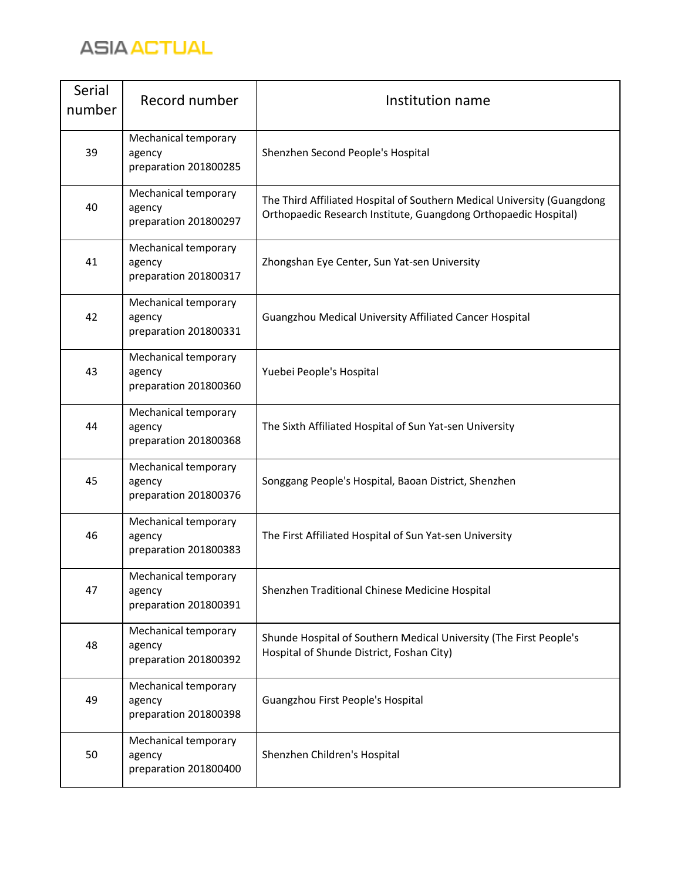

| Serial<br>number | Record number                                           | Institution name                                                                                                                           |
|------------------|---------------------------------------------------------|--------------------------------------------------------------------------------------------------------------------------------------------|
| 39               | Mechanical temporary<br>agency<br>preparation 201800285 | Shenzhen Second People's Hospital                                                                                                          |
| 40               | Mechanical temporary<br>agency<br>preparation 201800297 | The Third Affiliated Hospital of Southern Medical University (Guangdong<br>Orthopaedic Research Institute, Guangdong Orthopaedic Hospital) |
| 41               | Mechanical temporary<br>agency<br>preparation 201800317 | Zhongshan Eye Center, Sun Yat-sen University                                                                                               |
| 42               | Mechanical temporary<br>agency<br>preparation 201800331 | Guangzhou Medical University Affiliated Cancer Hospital                                                                                    |
| 43               | Mechanical temporary<br>agency<br>preparation 201800360 | Yuebei People's Hospital                                                                                                                   |
| 44               | Mechanical temporary<br>agency<br>preparation 201800368 | The Sixth Affiliated Hospital of Sun Yat-sen University                                                                                    |
| 45               | Mechanical temporary<br>agency<br>preparation 201800376 | Songgang People's Hospital, Baoan District, Shenzhen                                                                                       |
| 46               | Mechanical temporary<br>agency<br>preparation 201800383 | The First Affiliated Hospital of Sun Yat-sen University                                                                                    |
| 47               | Mechanical temporary<br>agency<br>preparation 201800391 | Shenzhen Traditional Chinese Medicine Hospital                                                                                             |
| 48               | Mechanical temporary<br>agency<br>preparation 201800392 | Shunde Hospital of Southern Medical University (The First People's<br>Hospital of Shunde District, Foshan City)                            |
| 49               | Mechanical temporary<br>agency<br>preparation 201800398 | Guangzhou First People's Hospital                                                                                                          |
| 50               | Mechanical temporary<br>agency<br>preparation 201800400 | Shenzhen Children's Hospital                                                                                                               |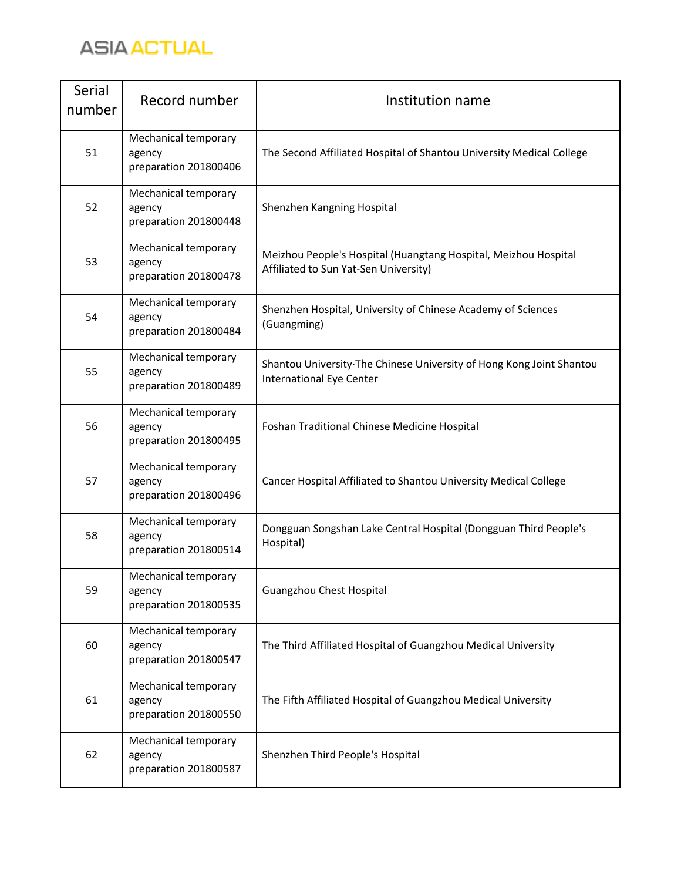

| Serial<br>number | Record number                                           | Institution name                                                                                         |
|------------------|---------------------------------------------------------|----------------------------------------------------------------------------------------------------------|
| 51               | Mechanical temporary<br>agency<br>preparation 201800406 | The Second Affiliated Hospital of Shantou University Medical College                                     |
| 52               | Mechanical temporary<br>agency<br>preparation 201800448 | Shenzhen Kangning Hospital                                                                               |
| 53               | Mechanical temporary<br>agency<br>preparation 201800478 | Meizhou People's Hospital (Huangtang Hospital, Meizhou Hospital<br>Affiliated to Sun Yat-Sen University) |
| 54               | Mechanical temporary<br>agency<br>preparation 201800484 | Shenzhen Hospital, University of Chinese Academy of Sciences<br>(Guangming)                              |
| 55               | Mechanical temporary<br>agency<br>preparation 201800489 | Shantou University The Chinese University of Hong Kong Joint Shantou<br><b>International Eye Center</b>  |
| 56               | Mechanical temporary<br>agency<br>preparation 201800495 | Foshan Traditional Chinese Medicine Hospital                                                             |
| 57               | Mechanical temporary<br>agency<br>preparation 201800496 | Cancer Hospital Affiliated to Shantou University Medical College                                         |
| 58               | Mechanical temporary<br>agency<br>preparation 201800514 | Dongguan Songshan Lake Central Hospital (Dongguan Third People's<br>Hospital)                            |
| 59               | Mechanical temporary<br>agency<br>preparation 201800535 | Guangzhou Chest Hospital                                                                                 |
| 60               | Mechanical temporary<br>agency<br>preparation 201800547 | The Third Affiliated Hospital of Guangzhou Medical University                                            |
| 61               | Mechanical temporary<br>agency<br>preparation 201800550 | The Fifth Affiliated Hospital of Guangzhou Medical University                                            |
| 62               | Mechanical temporary<br>agency<br>preparation 201800587 | Shenzhen Third People's Hospital                                                                         |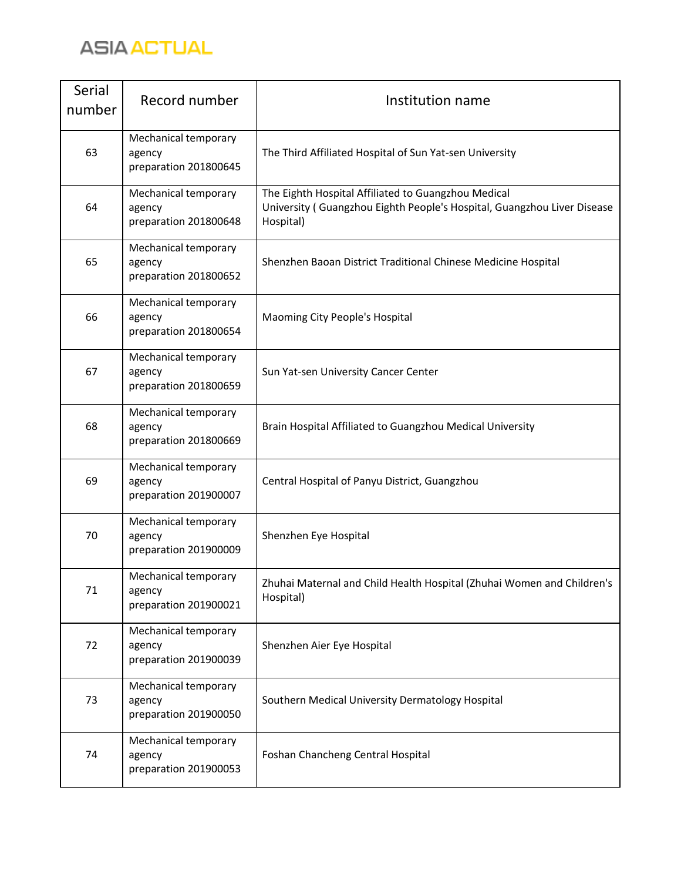

| Serial<br>number | Record number                                           | Institution name                                                                                                                            |
|------------------|---------------------------------------------------------|---------------------------------------------------------------------------------------------------------------------------------------------|
| 63               | Mechanical temporary<br>agency<br>preparation 201800645 | The Third Affiliated Hospital of Sun Yat-sen University                                                                                     |
| 64               | Mechanical temporary<br>agency<br>preparation 201800648 | The Eighth Hospital Affiliated to Guangzhou Medical<br>University (Guangzhou Eighth People's Hospital, Guangzhou Liver Disease<br>Hospital) |
| 65               | Mechanical temporary<br>agency<br>preparation 201800652 | Shenzhen Baoan District Traditional Chinese Medicine Hospital                                                                               |
| 66               | Mechanical temporary<br>agency<br>preparation 201800654 | Maoming City People's Hospital                                                                                                              |
| 67               | Mechanical temporary<br>agency<br>preparation 201800659 | Sun Yat-sen University Cancer Center                                                                                                        |
| 68               | Mechanical temporary<br>agency<br>preparation 201800669 | Brain Hospital Affiliated to Guangzhou Medical University                                                                                   |
| 69               | Mechanical temporary<br>agency<br>preparation 201900007 | Central Hospital of Panyu District, Guangzhou                                                                                               |
| 70               | Mechanical temporary<br>agency<br>preparation 201900009 | Shenzhen Eye Hospital                                                                                                                       |
| 71               | Mechanical temporary<br>agency<br>preparation 201900021 | Zhuhai Maternal and Child Health Hospital (Zhuhai Women and Children's<br>Hospital)                                                         |
| 72               | Mechanical temporary<br>agency<br>preparation 201900039 | Shenzhen Aier Eye Hospital                                                                                                                  |
| 73               | Mechanical temporary<br>agency<br>preparation 201900050 | Southern Medical University Dermatology Hospital                                                                                            |
| 74               | Mechanical temporary<br>agency<br>preparation 201900053 | Foshan Chancheng Central Hospital                                                                                                           |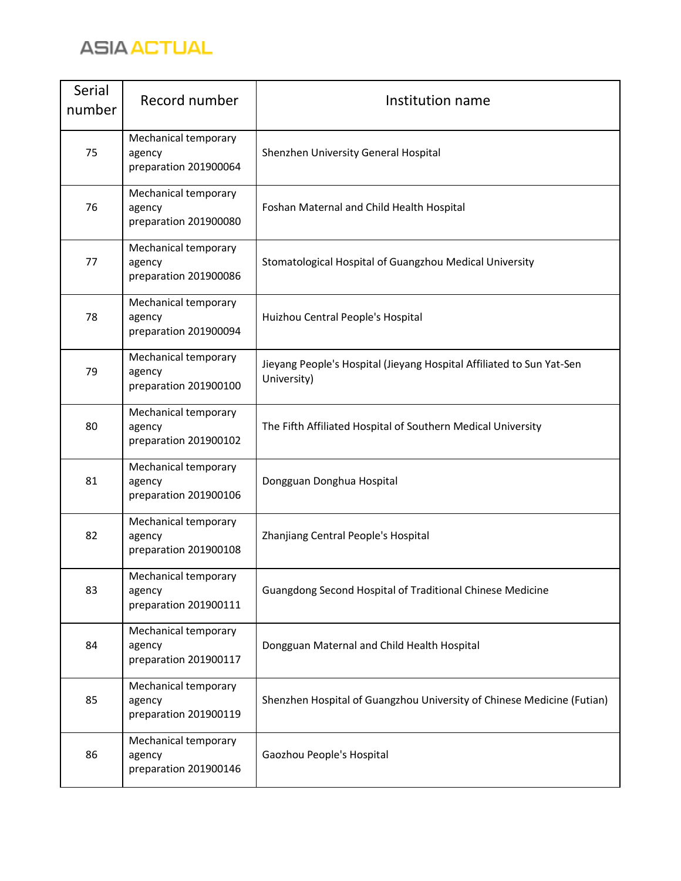

| Serial<br>number | Record number                                           | Institution name                                                                     |
|------------------|---------------------------------------------------------|--------------------------------------------------------------------------------------|
| 75               | Mechanical temporary<br>agency<br>preparation 201900064 | Shenzhen University General Hospital                                                 |
| 76               | Mechanical temporary<br>agency<br>preparation 201900080 | Foshan Maternal and Child Health Hospital                                            |
| 77               | Mechanical temporary<br>agency<br>preparation 201900086 | Stomatological Hospital of Guangzhou Medical University                              |
| 78               | Mechanical temporary<br>agency<br>preparation 201900094 | Huizhou Central People's Hospital                                                    |
| 79               | Mechanical temporary<br>agency<br>preparation 201900100 | Jieyang People's Hospital (Jieyang Hospital Affiliated to Sun Yat-Sen<br>University) |
| 80               | Mechanical temporary<br>agency<br>preparation 201900102 | The Fifth Affiliated Hospital of Southern Medical University                         |
| 81               | Mechanical temporary<br>agency<br>preparation 201900106 | Dongguan Donghua Hospital                                                            |
| 82               | Mechanical temporary<br>agency<br>preparation 201900108 | Zhanjiang Central People's Hospital                                                  |
| 83               | Mechanical temporary<br>agency<br>preparation 201900111 | Guangdong Second Hospital of Traditional Chinese Medicine                            |
| 84               | Mechanical temporary<br>agency<br>preparation 201900117 | Dongguan Maternal and Child Health Hospital                                          |
| 85               | Mechanical temporary<br>agency<br>preparation 201900119 | Shenzhen Hospital of Guangzhou University of Chinese Medicine (Futian)               |
| 86               | Mechanical temporary<br>agency<br>preparation 201900146 | Gaozhou People's Hospital                                                            |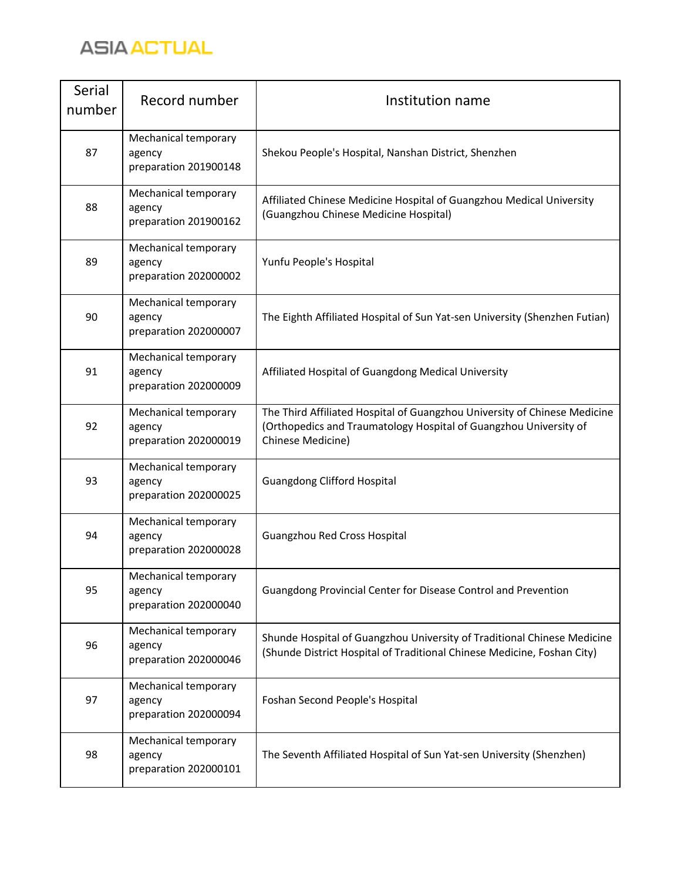

| Serial<br>number | Record number                                           | Institution name                                                                                                                                                    |
|------------------|---------------------------------------------------------|---------------------------------------------------------------------------------------------------------------------------------------------------------------------|
| 87               | Mechanical temporary<br>agency<br>preparation 201900148 | Shekou People's Hospital, Nanshan District, Shenzhen                                                                                                                |
| 88               | Mechanical temporary<br>agency<br>preparation 201900162 | Affiliated Chinese Medicine Hospital of Guangzhou Medical University<br>(Guangzhou Chinese Medicine Hospital)                                                       |
| 89               | Mechanical temporary<br>agency<br>preparation 202000002 | Yunfu People's Hospital                                                                                                                                             |
| 90               | Mechanical temporary<br>agency<br>preparation 202000007 | The Eighth Affiliated Hospital of Sun Yat-sen University (Shenzhen Futian)                                                                                          |
| 91               | Mechanical temporary<br>agency<br>preparation 202000009 | Affiliated Hospital of Guangdong Medical University                                                                                                                 |
| 92               | Mechanical temporary<br>agency<br>preparation 202000019 | The Third Affiliated Hospital of Guangzhou University of Chinese Medicine<br>(Orthopedics and Traumatology Hospital of Guangzhou University of<br>Chinese Medicine) |
| 93               | Mechanical temporary<br>agency<br>preparation 202000025 | <b>Guangdong Clifford Hospital</b>                                                                                                                                  |
| 94               | Mechanical temporary<br>agency<br>preparation 202000028 | Guangzhou Red Cross Hospital                                                                                                                                        |
| 95               | Mechanical temporary<br>agency<br>preparation 202000040 | Guangdong Provincial Center for Disease Control and Prevention                                                                                                      |
| 96               | Mechanical temporary<br>agency<br>preparation 202000046 | Shunde Hospital of Guangzhou University of Traditional Chinese Medicine<br>(Shunde District Hospital of Traditional Chinese Medicine, Foshan City)                  |
| 97               | Mechanical temporary<br>agency<br>preparation 202000094 | Foshan Second People's Hospital                                                                                                                                     |
| 98               | Mechanical temporary<br>agency<br>preparation 202000101 | The Seventh Affiliated Hospital of Sun Yat-sen University (Shenzhen)                                                                                                |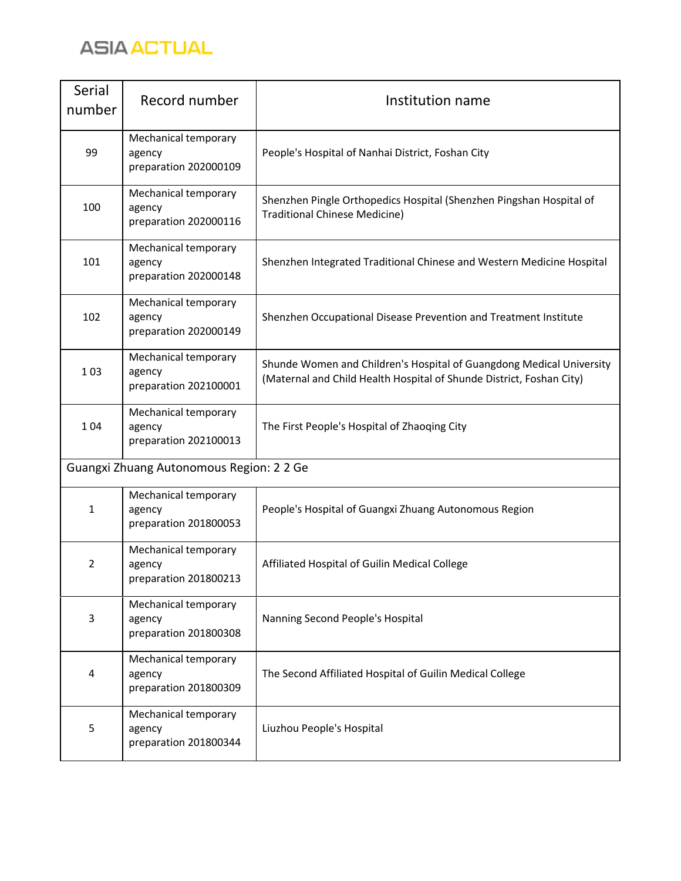

| Serial<br>number | Record number                                           | Institution name                                                                                                                             |
|------------------|---------------------------------------------------------|----------------------------------------------------------------------------------------------------------------------------------------------|
| 99               | Mechanical temporary<br>agency<br>preparation 202000109 | People's Hospital of Nanhai District, Foshan City                                                                                            |
| 100              | Mechanical temporary<br>agency<br>preparation 202000116 | Shenzhen Pingle Orthopedics Hospital (Shenzhen Pingshan Hospital of<br>Traditional Chinese Medicine)                                         |
| 101              | Mechanical temporary<br>agency<br>preparation 202000148 | Shenzhen Integrated Traditional Chinese and Western Medicine Hospital                                                                        |
| 102              | Mechanical temporary<br>agency<br>preparation 202000149 | Shenzhen Occupational Disease Prevention and Treatment Institute                                                                             |
| 103              | Mechanical temporary<br>agency<br>preparation 202100001 | Shunde Women and Children's Hospital of Guangdong Medical University<br>(Maternal and Child Health Hospital of Shunde District, Foshan City) |
| 104              | Mechanical temporary<br>agency<br>preparation 202100013 | The First People's Hospital of Zhaoqing City                                                                                                 |
|                  | Guangxi Zhuang Autonomous Region: 2 2 Ge                |                                                                                                                                              |
| $\mathbf{1}$     | Mechanical temporary<br>agency<br>preparation 201800053 | People's Hospital of Guangxi Zhuang Autonomous Region                                                                                        |
| $\overline{2}$   | Mechanical temporary<br>agency<br>preparation 201800213 | Affiliated Hospital of Guilin Medical College                                                                                                |
| 3                | Mechanical temporary<br>agency<br>preparation 201800308 | Nanning Second People's Hospital                                                                                                             |
| 4                | Mechanical temporary<br>agency<br>preparation 201800309 | The Second Affiliated Hospital of Guilin Medical College                                                                                     |
| 5                | Mechanical temporary<br>agency<br>preparation 201800344 | Liuzhou People's Hospital                                                                                                                    |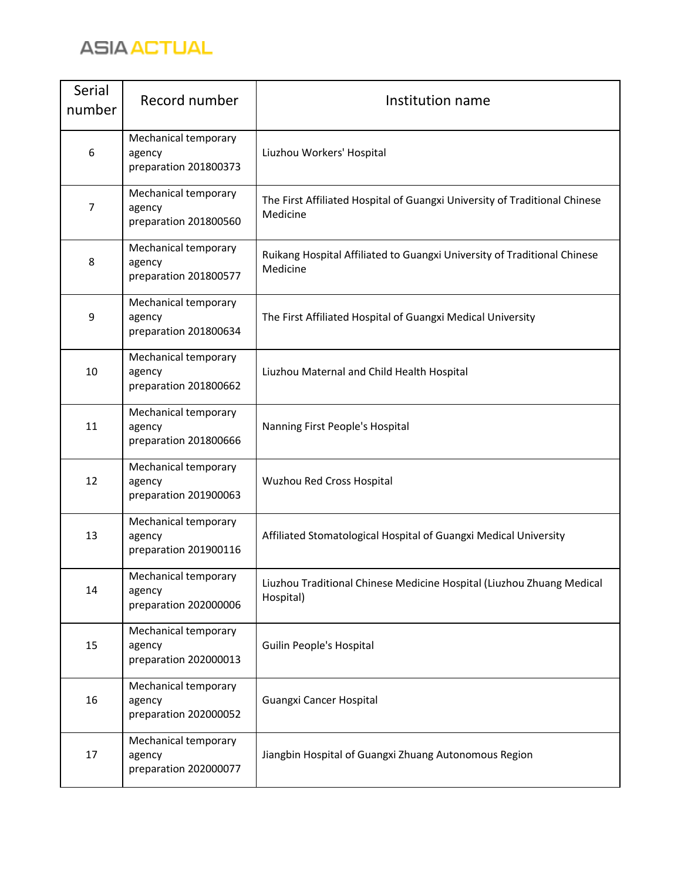

| Serial<br>number | Record number                                           | Institution name                                                                       |
|------------------|---------------------------------------------------------|----------------------------------------------------------------------------------------|
| 6                | Mechanical temporary<br>agency<br>preparation 201800373 | Liuzhou Workers' Hospital                                                              |
| 7                | Mechanical temporary<br>agency<br>preparation 201800560 | The First Affiliated Hospital of Guangxi University of Traditional Chinese<br>Medicine |
| 8                | Mechanical temporary<br>agency<br>preparation 201800577 | Ruikang Hospital Affiliated to Guangxi University of Traditional Chinese<br>Medicine   |
| 9                | Mechanical temporary<br>agency<br>preparation 201800634 | The First Affiliated Hospital of Guangxi Medical University                            |
| 10               | Mechanical temporary<br>agency<br>preparation 201800662 | Liuzhou Maternal and Child Health Hospital                                             |
| 11               | Mechanical temporary<br>agency<br>preparation 201800666 | Nanning First People's Hospital                                                        |
| 12               | Mechanical temporary<br>agency<br>preparation 201900063 | Wuzhou Red Cross Hospital                                                              |
| 13               | Mechanical temporary<br>agency<br>preparation 201900116 | Affiliated Stomatological Hospital of Guangxi Medical University                       |
| 14               | Mechanical temporary<br>agency<br>preparation 202000006 | Liuzhou Traditional Chinese Medicine Hospital (Liuzhou Zhuang Medical<br>Hospital)     |
| 15               | Mechanical temporary<br>agency<br>preparation 202000013 | Guilin People's Hospital                                                               |
| 16               | Mechanical temporary<br>agency<br>preparation 202000052 | Guangxi Cancer Hospital                                                                |
| 17               | Mechanical temporary<br>agency<br>preparation 202000077 | Jiangbin Hospital of Guangxi Zhuang Autonomous Region                                  |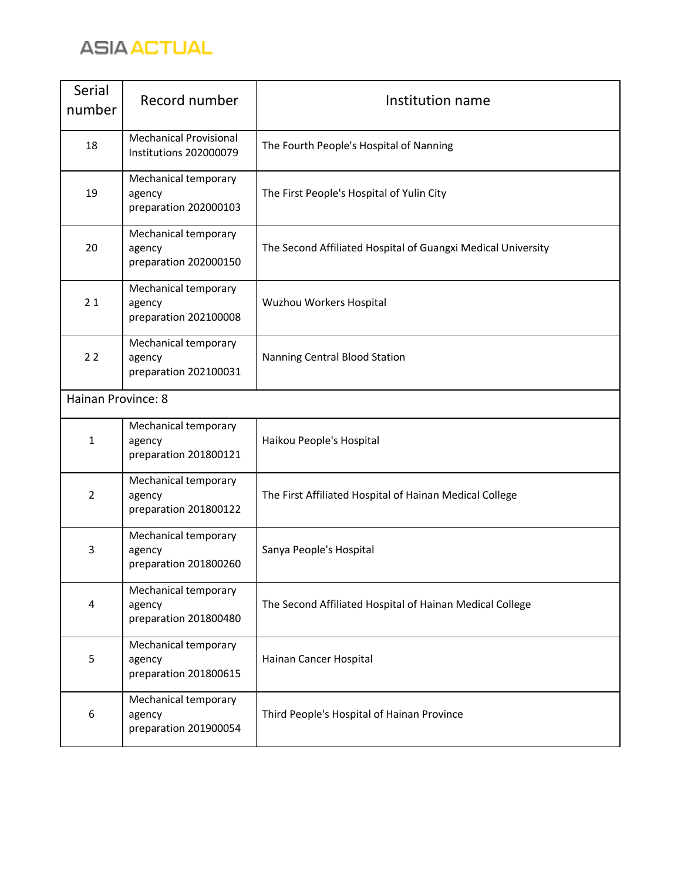

| Serial<br>number   | Record number                                           | Institution name                                             |
|--------------------|---------------------------------------------------------|--------------------------------------------------------------|
| 18                 | <b>Mechanical Provisional</b><br>Institutions 202000079 | The Fourth People's Hospital of Nanning                      |
| 19                 | Mechanical temporary<br>agency<br>preparation 202000103 | The First People's Hospital of Yulin City                    |
| 20                 | Mechanical temporary<br>agency<br>preparation 202000150 | The Second Affiliated Hospital of Guangxi Medical University |
| 21                 | Mechanical temporary<br>agency<br>preparation 202100008 | Wuzhou Workers Hospital                                      |
| 22                 | Mechanical temporary<br>agency<br>preparation 202100031 | Nanning Central Blood Station                                |
| Hainan Province: 8 |                                                         |                                                              |
| $\mathbf{1}$       | Mechanical temporary<br>agency<br>preparation 201800121 | Haikou People's Hospital                                     |
| $\overline{2}$     | Mechanical temporary<br>agency<br>preparation 201800122 | The First Affiliated Hospital of Hainan Medical College      |
| 3                  | Mechanical temporary<br>agency<br>preparation 201800260 | Sanya People's Hospital                                      |
| 4                  | Mechanical temporary<br>agency<br>preparation 201800480 | The Second Affiliated Hospital of Hainan Medical College     |
| 5                  | Mechanical temporary<br>agency<br>preparation 201800615 | Hainan Cancer Hospital                                       |
| 6                  | Mechanical temporary<br>agency<br>preparation 201900054 | Third People's Hospital of Hainan Province                   |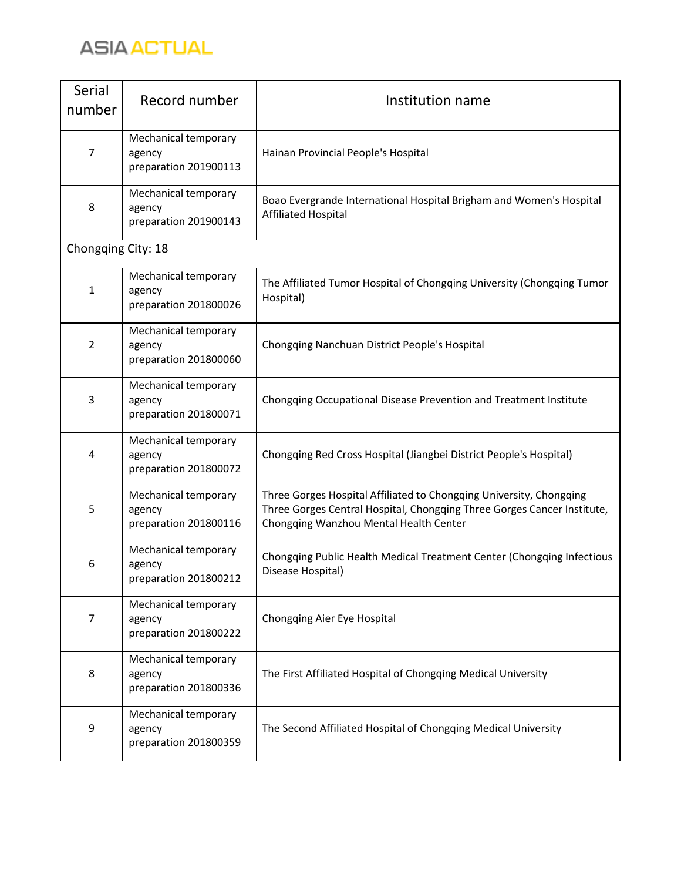

| Serial<br>number   | Record number                                           | Institution name                                                                                                                                                                         |
|--------------------|---------------------------------------------------------|------------------------------------------------------------------------------------------------------------------------------------------------------------------------------------------|
| $\overline{7}$     | Mechanical temporary<br>agency<br>preparation 201900113 | Hainan Provincial People's Hospital                                                                                                                                                      |
| 8                  | Mechanical temporary<br>agency<br>preparation 201900143 | Boao Evergrande International Hospital Brigham and Women's Hospital<br><b>Affiliated Hospital</b>                                                                                        |
| Chongqing City: 18 |                                                         |                                                                                                                                                                                          |
| $\mathbf{1}$       | Mechanical temporary<br>agency<br>preparation 201800026 | The Affiliated Tumor Hospital of Chongqing University (Chongqing Tumor<br>Hospital)                                                                                                      |
| 2                  | Mechanical temporary<br>agency<br>preparation 201800060 | Chongqing Nanchuan District People's Hospital                                                                                                                                            |
| 3                  | Mechanical temporary<br>agency<br>preparation 201800071 | Chongqing Occupational Disease Prevention and Treatment Institute                                                                                                                        |
| 4                  | Mechanical temporary<br>agency<br>preparation 201800072 | Chongqing Red Cross Hospital (Jiangbei District People's Hospital)                                                                                                                       |
| 5                  | Mechanical temporary<br>agency<br>preparation 201800116 | Three Gorges Hospital Affiliated to Chongqing University, Chongqing<br>Three Gorges Central Hospital, Chongqing Three Gorges Cancer Institute,<br>Chongqing Wanzhou Mental Health Center |
| 6                  | Mechanical temporary<br>agency<br>preparation 201800212 | Chongqing Public Health Medical Treatment Center (Chongqing Infectious<br>Disease Hospital)                                                                                              |
| 7                  | Mechanical temporary<br>agency<br>preparation 201800222 | Chongqing Aier Eye Hospital                                                                                                                                                              |
| 8                  | Mechanical temporary<br>agency<br>preparation 201800336 | The First Affiliated Hospital of Chongqing Medical University                                                                                                                            |
| 9                  | Mechanical temporary<br>agency<br>preparation 201800359 | The Second Affiliated Hospital of Chongqing Medical University                                                                                                                           |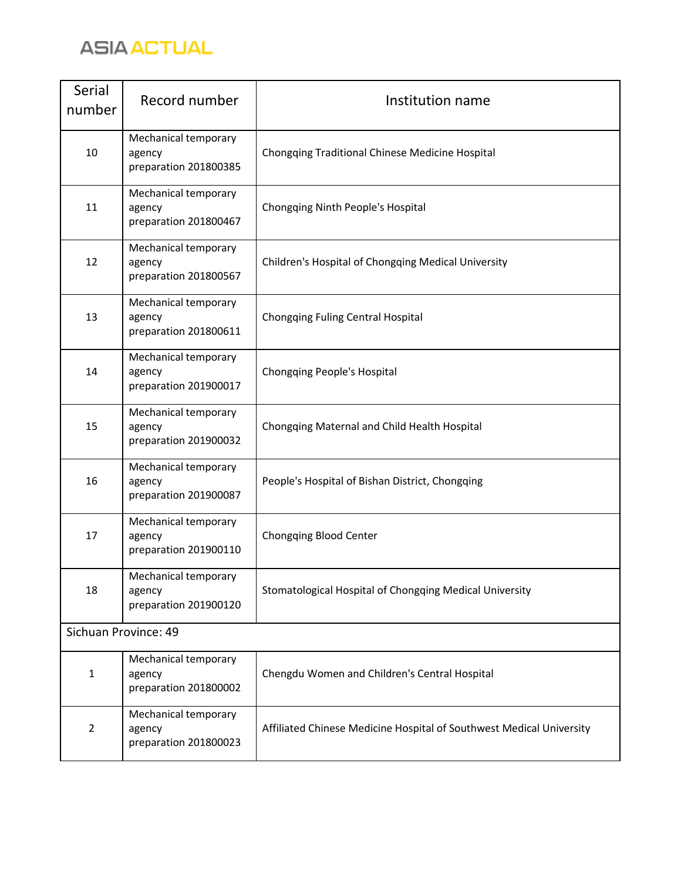

| Serial<br>number     | Record number                                           | Institution name                                                     |
|----------------------|---------------------------------------------------------|----------------------------------------------------------------------|
| 10                   | Mechanical temporary<br>agency<br>preparation 201800385 | Chongqing Traditional Chinese Medicine Hospital                      |
| 11                   | Mechanical temporary<br>agency<br>preparation 201800467 | Chongqing Ninth People's Hospital                                    |
| 12                   | Mechanical temporary<br>agency<br>preparation 201800567 | Children's Hospital of Chongqing Medical University                  |
| 13                   | Mechanical temporary<br>agency<br>preparation 201800611 | Chongqing Fuling Central Hospital                                    |
| 14                   | Mechanical temporary<br>agency<br>preparation 201900017 | Chongqing People's Hospital                                          |
| 15                   | Mechanical temporary<br>agency<br>preparation 201900032 | Chongqing Maternal and Child Health Hospital                         |
| 16                   | Mechanical temporary<br>agency<br>preparation 201900087 | People's Hospital of Bishan District, Chongqing                      |
| 17                   | Mechanical temporary<br>agency<br>preparation 201900110 | Chongqing Blood Center                                               |
| 18                   | Mechanical temporary<br>agency<br>preparation 201900120 | Stomatological Hospital of Chongqing Medical University              |
| Sichuan Province: 49 |                                                         |                                                                      |
| $\mathbf{1}$         | Mechanical temporary<br>agency<br>preparation 201800002 | Chengdu Women and Children's Central Hospital                        |
| 2                    | Mechanical temporary<br>agency<br>preparation 201800023 | Affiliated Chinese Medicine Hospital of Southwest Medical University |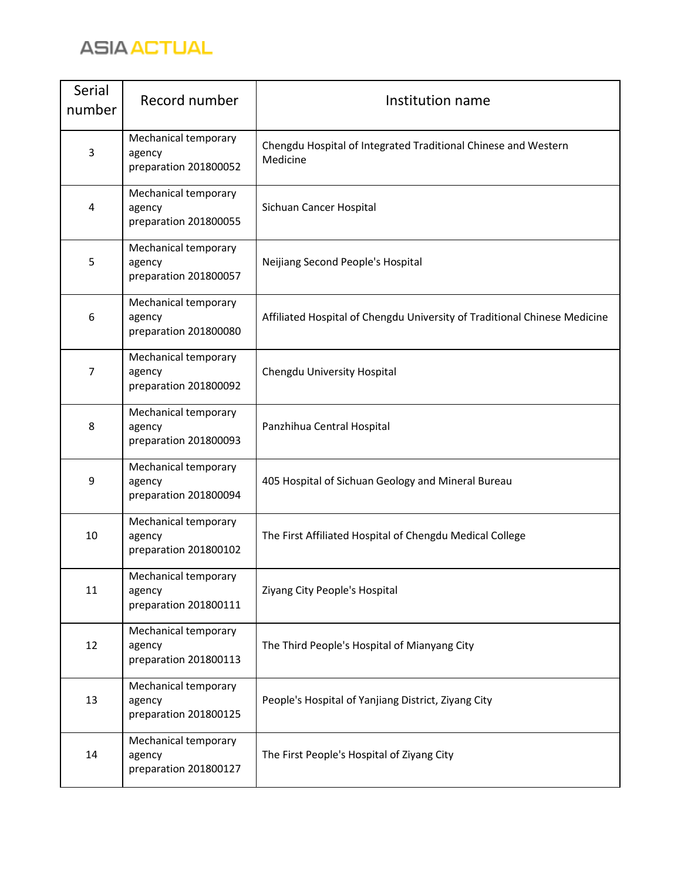

| Serial<br>number | Record number                                           | Institution name                                                           |
|------------------|---------------------------------------------------------|----------------------------------------------------------------------------|
| 3                | Mechanical temporary<br>agency<br>preparation 201800052 | Chengdu Hospital of Integrated Traditional Chinese and Western<br>Medicine |
| 4                | Mechanical temporary<br>agency<br>preparation 201800055 | Sichuan Cancer Hospital                                                    |
| 5                | Mechanical temporary<br>agency<br>preparation 201800057 | Neijiang Second People's Hospital                                          |
| 6                | Mechanical temporary<br>agency<br>preparation 201800080 | Affiliated Hospital of Chengdu University of Traditional Chinese Medicine  |
| 7                | Mechanical temporary<br>agency<br>preparation 201800092 | Chengdu University Hospital                                                |
| 8                | Mechanical temporary<br>agency<br>preparation 201800093 | Panzhihua Central Hospital                                                 |
| 9                | Mechanical temporary<br>agency<br>preparation 201800094 | 405 Hospital of Sichuan Geology and Mineral Bureau                         |
| 10               | Mechanical temporary<br>agency<br>preparation 201800102 | The First Affiliated Hospital of Chengdu Medical College                   |
| 11               | Mechanical temporary<br>agency<br>preparation 201800111 | Ziyang City People's Hospital                                              |
| 12               | Mechanical temporary<br>agency<br>preparation 201800113 | The Third People's Hospital of Mianyang City                               |
| 13               | Mechanical temporary<br>agency<br>preparation 201800125 | People's Hospital of Yanjiang District, Ziyang City                        |
| 14               | Mechanical temporary<br>agency<br>preparation 201800127 | The First People's Hospital of Ziyang City                                 |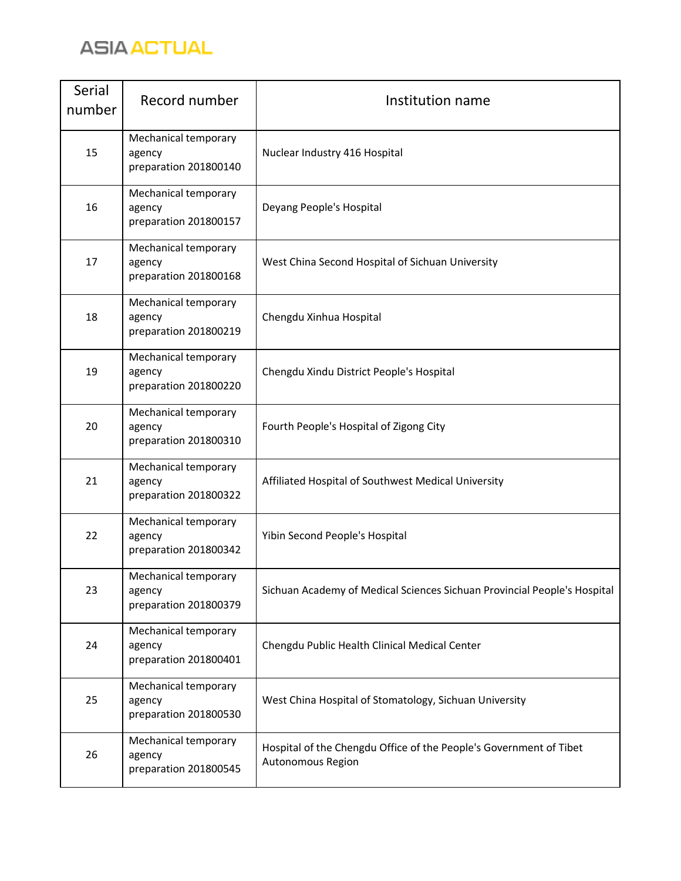

| Serial<br>number | Record number                                           | Institution name                                                                        |
|------------------|---------------------------------------------------------|-----------------------------------------------------------------------------------------|
| 15               | Mechanical temporary<br>agency<br>preparation 201800140 | Nuclear Industry 416 Hospital                                                           |
| 16               | Mechanical temporary<br>agency<br>preparation 201800157 | Deyang People's Hospital                                                                |
| 17               | Mechanical temporary<br>agency<br>preparation 201800168 | West China Second Hospital of Sichuan University                                        |
| 18               | Mechanical temporary<br>agency<br>preparation 201800219 | Chengdu Xinhua Hospital                                                                 |
| 19               | Mechanical temporary<br>agency<br>preparation 201800220 | Chengdu Xindu District People's Hospital                                                |
| 20               | Mechanical temporary<br>agency<br>preparation 201800310 | Fourth People's Hospital of Zigong City                                                 |
| 21               | Mechanical temporary<br>agency<br>preparation 201800322 | Affiliated Hospital of Southwest Medical University                                     |
| 22               | Mechanical temporary<br>agency<br>preparation 201800342 | Yibin Second People's Hospital                                                          |
| 23               | Mechanical temporary<br>agency<br>preparation 201800379 | Sichuan Academy of Medical Sciences Sichuan Provincial People's Hospital                |
| 24               | Mechanical temporary<br>agency<br>preparation 201800401 | Chengdu Public Health Clinical Medical Center                                           |
| 25               | Mechanical temporary<br>agency<br>preparation 201800530 | West China Hospital of Stomatology, Sichuan University                                  |
| 26               | Mechanical temporary<br>agency<br>preparation 201800545 | Hospital of the Chengdu Office of the People's Government of Tibet<br>Autonomous Region |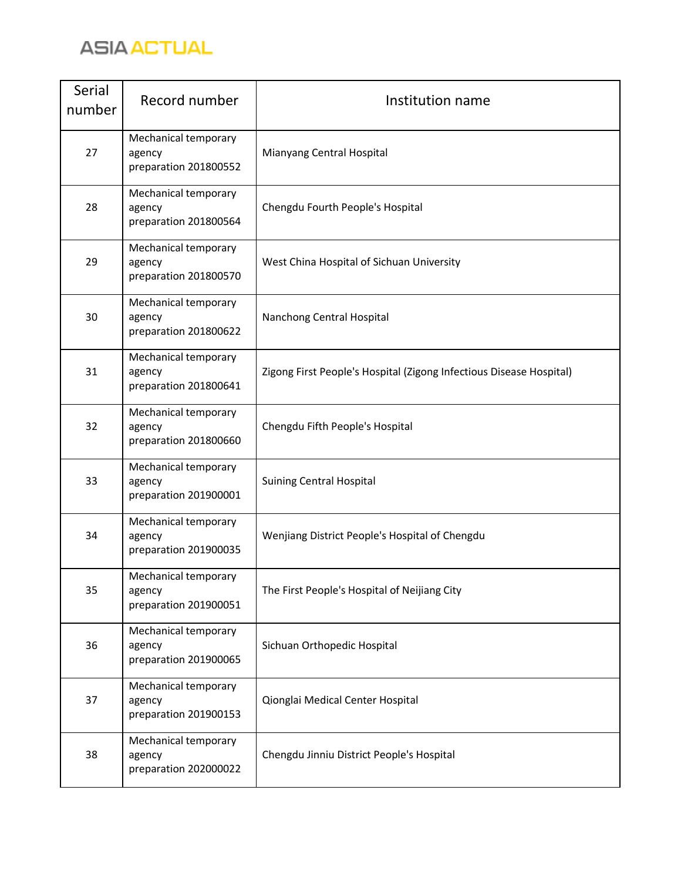

| Serial<br>number | Record number                                           | Institution name                                                    |
|------------------|---------------------------------------------------------|---------------------------------------------------------------------|
| 27               | Mechanical temporary<br>agency<br>preparation 201800552 | Mianyang Central Hospital                                           |
| 28               | Mechanical temporary<br>agency<br>preparation 201800564 | Chengdu Fourth People's Hospital                                    |
| 29               | Mechanical temporary<br>agency<br>preparation 201800570 | West China Hospital of Sichuan University                           |
| 30               | Mechanical temporary<br>agency<br>preparation 201800622 | Nanchong Central Hospital                                           |
| 31               | Mechanical temporary<br>agency<br>preparation 201800641 | Zigong First People's Hospital (Zigong Infectious Disease Hospital) |
| 32               | Mechanical temporary<br>agency<br>preparation 201800660 | Chengdu Fifth People's Hospital                                     |
| 33               | Mechanical temporary<br>agency<br>preparation 201900001 | <b>Suining Central Hospital</b>                                     |
| 34               | Mechanical temporary<br>agency<br>preparation 201900035 | Wenjiang District People's Hospital of Chengdu                      |
| 35               | Mechanical temporary<br>agency<br>preparation 201900051 | The First People's Hospital of Neijiang City                        |
| 36               | Mechanical temporary<br>agency<br>preparation 201900065 | Sichuan Orthopedic Hospital                                         |
| 37               | Mechanical temporary<br>agency<br>preparation 201900153 | Qionglai Medical Center Hospital                                    |
| 38               | Mechanical temporary<br>agency<br>preparation 202000022 | Chengdu Jinniu District People's Hospital                           |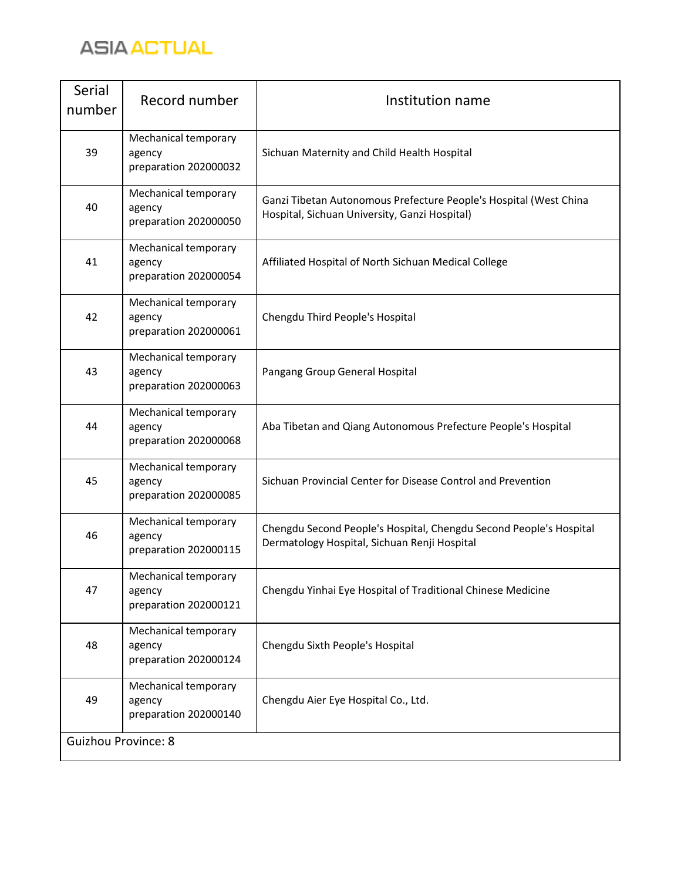

| Serial<br>number           | Record number                                           | Institution name                                                                                                   |
|----------------------------|---------------------------------------------------------|--------------------------------------------------------------------------------------------------------------------|
| 39                         | Mechanical temporary<br>agency<br>preparation 202000032 | Sichuan Maternity and Child Health Hospital                                                                        |
| 40                         | Mechanical temporary<br>agency<br>preparation 202000050 | Ganzi Tibetan Autonomous Prefecture People's Hospital (West China<br>Hospital, Sichuan University, Ganzi Hospital) |
| 41                         | Mechanical temporary<br>agency<br>preparation 202000054 | Affiliated Hospital of North Sichuan Medical College                                                               |
| 42                         | Mechanical temporary<br>agency<br>preparation 202000061 | Chengdu Third People's Hospital                                                                                    |
| 43                         | Mechanical temporary<br>agency<br>preparation 202000063 | Pangang Group General Hospital                                                                                     |
| 44                         | Mechanical temporary<br>agency<br>preparation 202000068 | Aba Tibetan and Qiang Autonomous Prefecture People's Hospital                                                      |
| 45                         | Mechanical temporary<br>agency<br>preparation 202000085 | Sichuan Provincial Center for Disease Control and Prevention                                                       |
| 46                         | Mechanical temporary<br>agency<br>preparation 202000115 | Chengdu Second People's Hospital, Chengdu Second People's Hospital<br>Dermatology Hospital, Sichuan Renji Hospital |
| 47                         | Mechanical temporary<br>agency<br>preparation 202000121 | Chengdu Yinhai Eye Hospital of Traditional Chinese Medicine                                                        |
| 48                         | Mechanical temporary<br>agency<br>preparation 202000124 | Chengdu Sixth People's Hospital                                                                                    |
| 49                         | Mechanical temporary<br>agency<br>preparation 202000140 | Chengdu Aier Eye Hospital Co., Ltd.                                                                                |
| <b>Guizhou Province: 8</b> |                                                         |                                                                                                                    |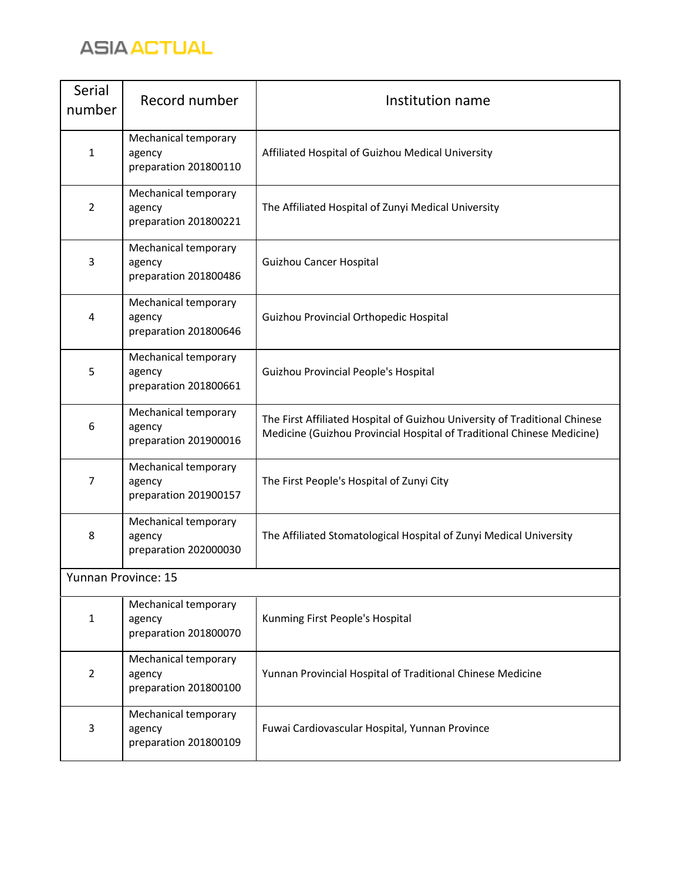

| Serial<br>number           | Record number                                           | Institution name                                                                                                                                     |
|----------------------------|---------------------------------------------------------|------------------------------------------------------------------------------------------------------------------------------------------------------|
| $\mathbf{1}$               | Mechanical temporary<br>agency<br>preparation 201800110 | Affiliated Hospital of Guizhou Medical University                                                                                                    |
| $\overline{2}$             | Mechanical temporary<br>agency<br>preparation 201800221 | The Affiliated Hospital of Zunyi Medical University                                                                                                  |
| 3                          | Mechanical temporary<br>agency<br>preparation 201800486 | <b>Guizhou Cancer Hospital</b>                                                                                                                       |
| 4                          | Mechanical temporary<br>agency<br>preparation 201800646 | Guizhou Provincial Orthopedic Hospital                                                                                                               |
| 5                          | Mechanical temporary<br>agency<br>preparation 201800661 | Guizhou Provincial People's Hospital                                                                                                                 |
| 6                          | Mechanical temporary<br>agency<br>preparation 201900016 | The First Affiliated Hospital of Guizhou University of Traditional Chinese<br>Medicine (Guizhou Provincial Hospital of Traditional Chinese Medicine) |
| 7                          | Mechanical temporary<br>agency<br>preparation 201900157 | The First People's Hospital of Zunyi City                                                                                                            |
| 8                          | Mechanical temporary<br>agency<br>preparation 202000030 | The Affiliated Stomatological Hospital of Zunyi Medical University                                                                                   |
| <b>Yunnan Province: 15</b> |                                                         |                                                                                                                                                      |
| $\mathbf{1}$               | Mechanical temporary<br>agency<br>preparation 201800070 | Kunming First People's Hospital                                                                                                                      |
| $\overline{2}$             | Mechanical temporary<br>agency<br>preparation 201800100 | Yunnan Provincial Hospital of Traditional Chinese Medicine                                                                                           |
| 3                          | Mechanical temporary<br>agency<br>preparation 201800109 | Fuwai Cardiovascular Hospital, Yunnan Province                                                                                                       |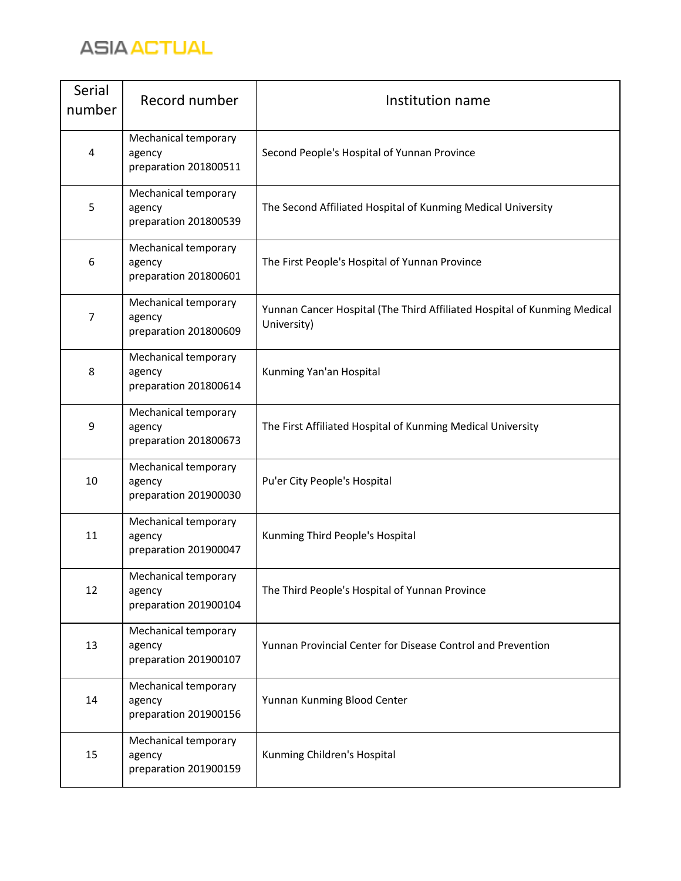

| Serial<br>number | Record number                                           | Institution name                                                                        |
|------------------|---------------------------------------------------------|-----------------------------------------------------------------------------------------|
| 4                | Mechanical temporary<br>agency<br>preparation 201800511 | Second People's Hospital of Yunnan Province                                             |
| 5                | Mechanical temporary<br>agency<br>preparation 201800539 | The Second Affiliated Hospital of Kunming Medical University                            |
| 6                | Mechanical temporary<br>agency<br>preparation 201800601 | The First People's Hospital of Yunnan Province                                          |
| 7                | Mechanical temporary<br>agency<br>preparation 201800609 | Yunnan Cancer Hospital (The Third Affiliated Hospital of Kunming Medical<br>University) |
| 8                | Mechanical temporary<br>agency<br>preparation 201800614 | Kunming Yan'an Hospital                                                                 |
| 9                | Mechanical temporary<br>agency<br>preparation 201800673 | The First Affiliated Hospital of Kunming Medical University                             |
| 10               | Mechanical temporary<br>agency<br>preparation 201900030 | Pu'er City People's Hospital                                                            |
| 11               | Mechanical temporary<br>agency<br>preparation 201900047 | Kunming Third People's Hospital                                                         |
| 12               | Mechanical temporary<br>agency<br>preparation 201900104 | The Third People's Hospital of Yunnan Province                                          |
| 13               | Mechanical temporary<br>agency<br>preparation 201900107 | Yunnan Provincial Center for Disease Control and Prevention                             |
| 14               | Mechanical temporary<br>agency<br>preparation 201900156 | Yunnan Kunming Blood Center                                                             |
| 15               | Mechanical temporary<br>agency<br>preparation 201900159 | Kunming Children's Hospital                                                             |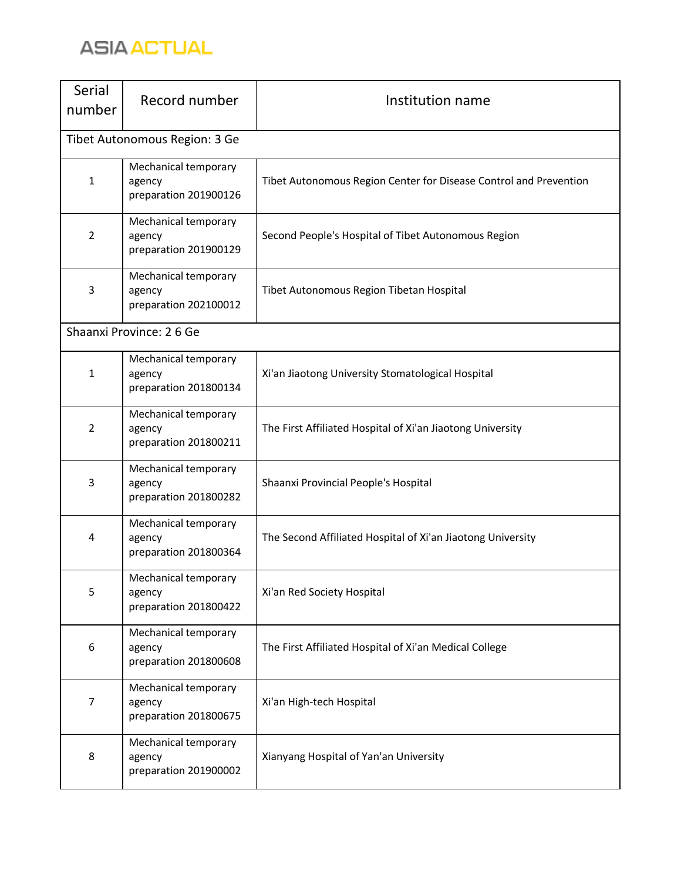

| Serial<br>number | Record number                                           | Institution name                                                  |
|------------------|---------------------------------------------------------|-------------------------------------------------------------------|
|                  | Tibet Autonomous Region: 3 Ge                           |                                                                   |
| $\mathbf{1}$     | Mechanical temporary<br>agency<br>preparation 201900126 | Tibet Autonomous Region Center for Disease Control and Prevention |
| $\overline{2}$   | Mechanical temporary<br>agency<br>preparation 201900129 | Second People's Hospital of Tibet Autonomous Region               |
| 3                | Mechanical temporary<br>agency<br>preparation 202100012 | Tibet Autonomous Region Tibetan Hospital                          |
|                  | Shaanxi Province: 26 Ge                                 |                                                                   |
| $\mathbf{1}$     | Mechanical temporary<br>agency<br>preparation 201800134 | Xi'an Jiaotong University Stomatological Hospital                 |
| $\overline{2}$   | Mechanical temporary<br>agency<br>preparation 201800211 | The First Affiliated Hospital of Xi'an Jiaotong University        |
| 3                | Mechanical temporary<br>agency<br>preparation 201800282 | Shaanxi Provincial People's Hospital                              |
| 4                | Mechanical temporary<br>agency<br>preparation 201800364 | The Second Affiliated Hospital of Xi'an Jiaotong University       |
| 5                | Mechanical temporary<br>agency<br>preparation 201800422 | Xi'an Red Society Hospital                                        |
| 6                | Mechanical temporary<br>agency<br>preparation 201800608 | The First Affiliated Hospital of Xi'an Medical College            |
| 7                | Mechanical temporary<br>agency<br>preparation 201800675 | Xi'an High-tech Hospital                                          |
| 8                | Mechanical temporary<br>agency<br>preparation 201900002 | Xianyang Hospital of Yan'an University                            |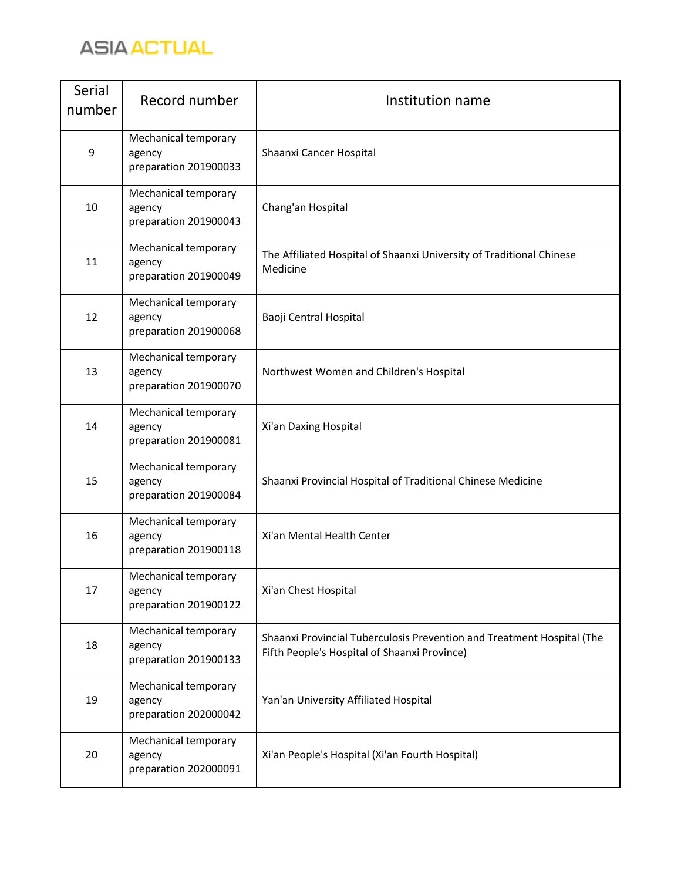

| Serial<br>number | Record number                                           | Institution name                                                                                                       |
|------------------|---------------------------------------------------------|------------------------------------------------------------------------------------------------------------------------|
| $\mathsf 9$      | Mechanical temporary<br>agency<br>preparation 201900033 | Shaanxi Cancer Hospital                                                                                                |
| 10               | Mechanical temporary<br>agency<br>preparation 201900043 | Chang'an Hospital                                                                                                      |
| 11               | Mechanical temporary<br>agency<br>preparation 201900049 | The Affiliated Hospital of Shaanxi University of Traditional Chinese<br>Medicine                                       |
| 12               | Mechanical temporary<br>agency<br>preparation 201900068 | Baoji Central Hospital                                                                                                 |
| 13               | Mechanical temporary<br>agency<br>preparation 201900070 | Northwest Women and Children's Hospital                                                                                |
| 14               | Mechanical temporary<br>agency<br>preparation 201900081 | Xi'an Daxing Hospital                                                                                                  |
| 15               | Mechanical temporary<br>agency<br>preparation 201900084 | Shaanxi Provincial Hospital of Traditional Chinese Medicine                                                            |
| 16               | Mechanical temporary<br>agency<br>preparation 201900118 | Xi'an Mental Health Center                                                                                             |
| 17               | Mechanical temporary<br>agency<br>preparation 201900122 | Xi'an Chest Hospital                                                                                                   |
| 18               | Mechanical temporary<br>agency<br>preparation 201900133 | Shaanxi Provincial Tuberculosis Prevention and Treatment Hospital (The<br>Fifth People's Hospital of Shaanxi Province) |
| 19               | Mechanical temporary<br>agency<br>preparation 202000042 | Yan'an University Affiliated Hospital                                                                                  |
| 20               | Mechanical temporary<br>agency<br>preparation 202000091 | Xi'an People's Hospital (Xi'an Fourth Hospital)                                                                        |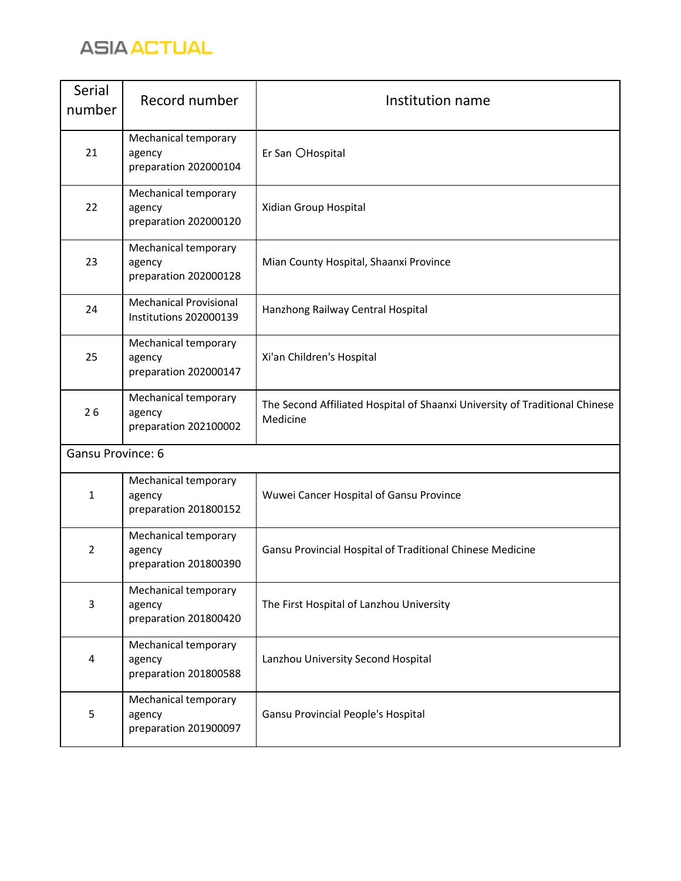

| Serial<br>number  | Record number                                           | Institution name                                                                        |
|-------------------|---------------------------------------------------------|-----------------------------------------------------------------------------------------|
| 21                | Mechanical temporary<br>agency<br>preparation 202000104 | Er San OHospital                                                                        |
| 22                | Mechanical temporary<br>agency<br>preparation 202000120 | Xidian Group Hospital                                                                   |
| 23                | Mechanical temporary<br>agency<br>preparation 202000128 | Mian County Hospital, Shaanxi Province                                                  |
| 24                | <b>Mechanical Provisional</b><br>Institutions 202000139 | Hanzhong Railway Central Hospital                                                       |
| 25                | Mechanical temporary<br>agency<br>preparation 202000147 | Xi'an Children's Hospital                                                               |
| 26                | Mechanical temporary<br>agency<br>preparation 202100002 | The Second Affiliated Hospital of Shaanxi University of Traditional Chinese<br>Medicine |
| Gansu Province: 6 |                                                         |                                                                                         |
| 1                 | Mechanical temporary<br>agency<br>preparation 201800152 | Wuwei Cancer Hospital of Gansu Province                                                 |
| $\overline{2}$    | Mechanical temporary<br>agency<br>preparation 201800390 | Gansu Provincial Hospital of Traditional Chinese Medicine                               |
| 3                 | Mechanical temporary<br>agency<br>preparation 201800420 | The First Hospital of Lanzhou University                                                |
| 4                 | Mechanical temporary<br>agency<br>preparation 201800588 | Lanzhou University Second Hospital                                                      |
| 5                 | Mechanical temporary<br>agency<br>preparation 201900097 | Gansu Provincial People's Hospital                                                      |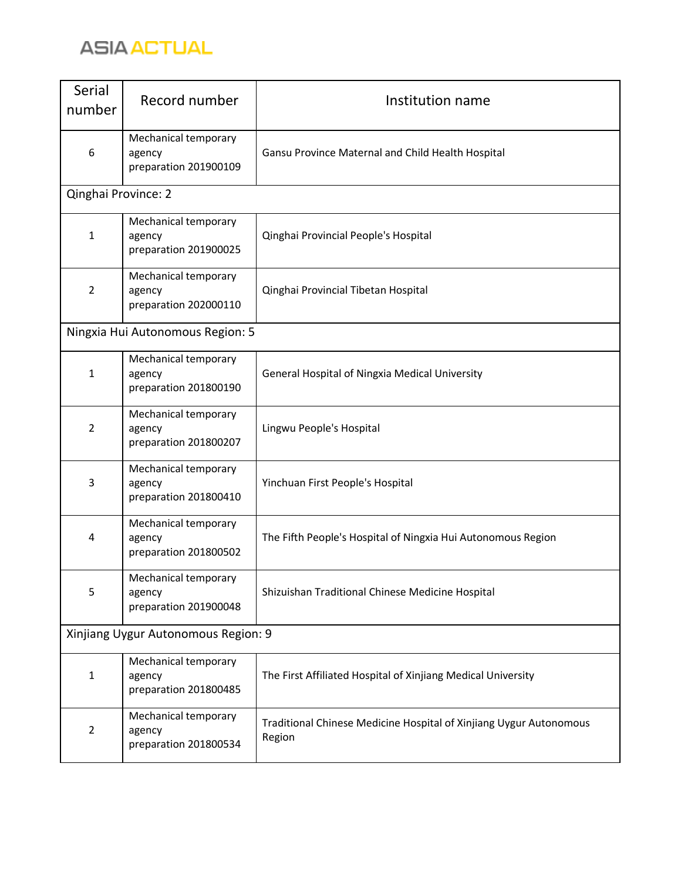## **ASIA ACTUAL**

| Serial<br>number                    | Record number                                           | Institution name                                                             |
|-------------------------------------|---------------------------------------------------------|------------------------------------------------------------------------------|
| 6                                   | Mechanical temporary<br>agency<br>preparation 201900109 | Gansu Province Maternal and Child Health Hospital                            |
| Qinghai Province: 2                 |                                                         |                                                                              |
| $\mathbf{1}$                        | Mechanical temporary<br>agency<br>preparation 201900025 | Qinghai Provincial People's Hospital                                         |
| $\overline{2}$                      | Mechanical temporary<br>agency<br>preparation 202000110 | Qinghai Provincial Tibetan Hospital                                          |
|                                     | Ningxia Hui Autonomous Region: 5                        |                                                                              |
| $\mathbf{1}$                        | Mechanical temporary<br>agency<br>preparation 201800190 | <b>General Hospital of Ningxia Medical University</b>                        |
| $\overline{2}$                      | Mechanical temporary<br>agency<br>preparation 201800207 | Lingwu People's Hospital                                                     |
| 3                                   | Mechanical temporary<br>agency<br>preparation 201800410 | Yinchuan First People's Hospital                                             |
| 4                                   | Mechanical temporary<br>agency<br>preparation 201800502 | The Fifth People's Hospital of Ningxia Hui Autonomous Region                 |
| 5                                   | Mechanical temporary<br>agency<br>preparation 201900048 | Shizuishan Traditional Chinese Medicine Hospital                             |
| Xinjiang Uygur Autonomous Region: 9 |                                                         |                                                                              |
| $\mathbf{1}$                        | Mechanical temporary<br>agency<br>preparation 201800485 | The First Affiliated Hospital of Xinjiang Medical University                 |
| $\overline{2}$                      | Mechanical temporary<br>agency<br>preparation 201800534 | Traditional Chinese Medicine Hospital of Xinjiang Uygur Autonomous<br>Region |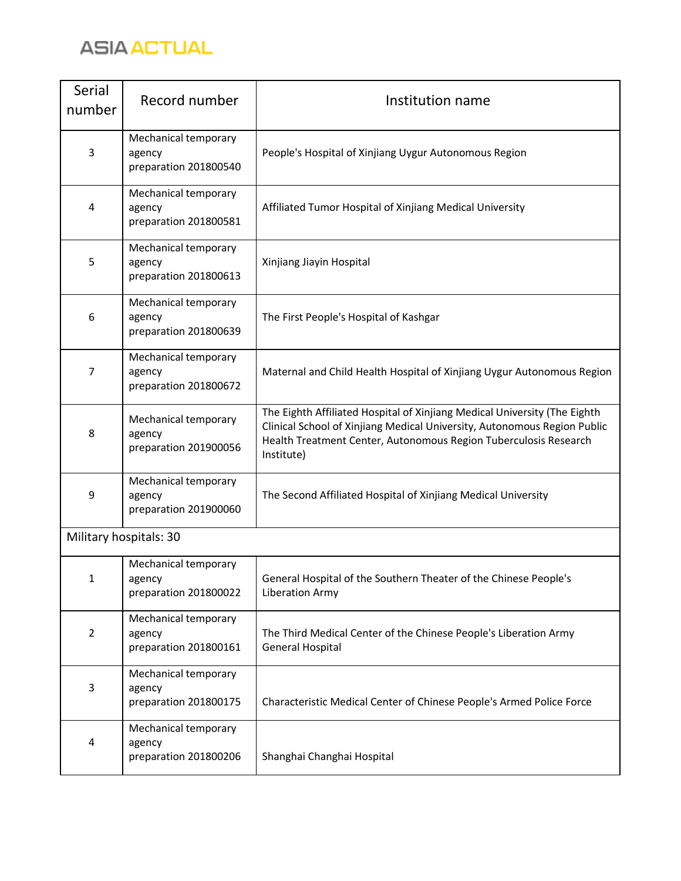

| Serial<br>number | Record number                                           | Institution name                                                                                                                                                                                                                        |
|------------------|---------------------------------------------------------|-----------------------------------------------------------------------------------------------------------------------------------------------------------------------------------------------------------------------------------------|
| 3                | Mechanical temporary<br>agency<br>preparation 201800540 | People's Hospital of Xinjiang Uygur Autonomous Region                                                                                                                                                                                   |
| 4                | Mechanical temporary<br>agency<br>preparation 201800581 | Affiliated Tumor Hospital of Xinjiang Medical University                                                                                                                                                                                |
| 5                | Mechanical temporary<br>agency<br>preparation 201800613 | Xinjiang Jiayin Hospital                                                                                                                                                                                                                |
| 6                | Mechanical temporary<br>agency<br>preparation 201800639 | The First People's Hospital of Kashgar                                                                                                                                                                                                  |
| 7                | Mechanical temporary<br>agency<br>preparation 201800672 | Maternal and Child Health Hospital of Xinjiang Uygur Autonomous Region                                                                                                                                                                  |
| 8                | Mechanical temporary<br>agency<br>preparation 201900056 | The Eighth Affiliated Hospital of Xinjiang Medical University (The Eighth<br>Clinical School of Xinjiang Medical University, Autonomous Region Public<br>Health Treatment Center, Autonomous Region Tuberculosis Research<br>Institute) |
| 9                | Mechanical temporary<br>agency<br>preparation 201900060 | The Second Affiliated Hospital of Xinjiang Medical University                                                                                                                                                                           |
|                  | Military hospitals: 30                                  |                                                                                                                                                                                                                                         |
| $\mathbf{1}$     | Mechanical temporary<br>agency<br>preparation 201800022 | General Hospital of the Southern Theater of the Chinese People's<br>Liberation Army                                                                                                                                                     |
| $\overline{2}$   | Mechanical temporary<br>agency<br>preparation 201800161 | The Third Medical Center of the Chinese People's Liberation Army<br>General Hospital                                                                                                                                                    |
| 3                | Mechanical temporary<br>agency<br>preparation 201800175 | Characteristic Medical Center of Chinese People's Armed Police Force                                                                                                                                                                    |
| 4                | Mechanical temporary<br>agency<br>preparation 201800206 | Shanghai Changhai Hospital                                                                                                                                                                                                              |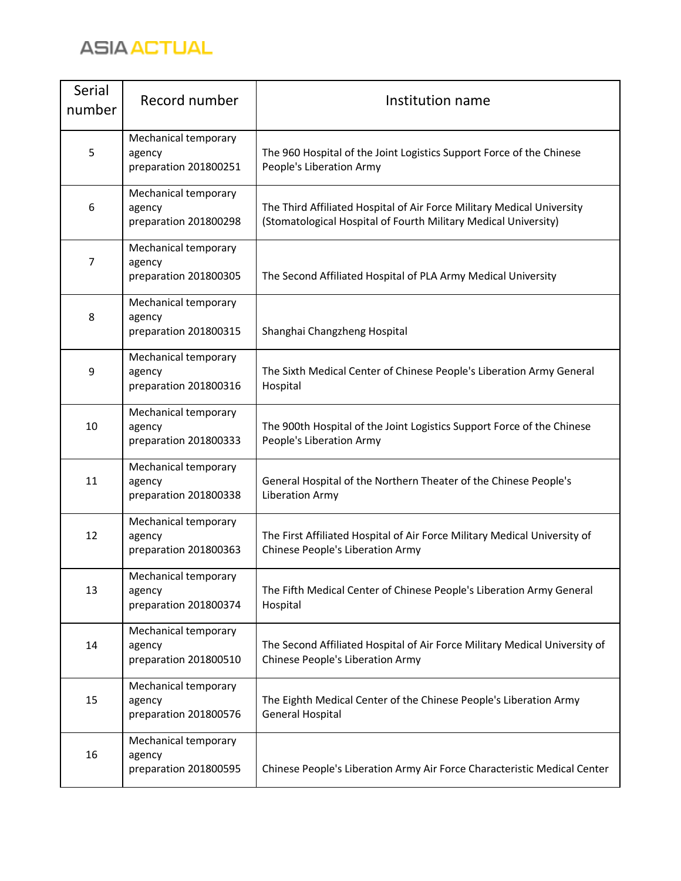## **ASIA ACTUAL**

| Serial<br>number | Record number                                           | Institution name                                                                                                                          |
|------------------|---------------------------------------------------------|-------------------------------------------------------------------------------------------------------------------------------------------|
| 5                | Mechanical temporary<br>agency<br>preparation 201800251 | The 960 Hospital of the Joint Logistics Support Force of the Chinese<br>People's Liberation Army                                          |
| 6                | Mechanical temporary<br>agency<br>preparation 201800298 | The Third Affiliated Hospital of Air Force Military Medical University<br>(Stomatological Hospital of Fourth Military Medical University) |
| 7                | Mechanical temporary<br>agency<br>preparation 201800305 | The Second Affiliated Hospital of PLA Army Medical University                                                                             |
| 8                | Mechanical temporary<br>agency<br>preparation 201800315 | Shanghai Changzheng Hospital                                                                                                              |
| 9                | Mechanical temporary<br>agency<br>preparation 201800316 | The Sixth Medical Center of Chinese People's Liberation Army General<br>Hospital                                                          |
| 10               | Mechanical temporary<br>agency<br>preparation 201800333 | The 900th Hospital of the Joint Logistics Support Force of the Chinese<br>People's Liberation Army                                        |
| 11               | Mechanical temporary<br>agency<br>preparation 201800338 | General Hospital of the Northern Theater of the Chinese People's<br>Liberation Army                                                       |
| 12               | Mechanical temporary<br>agency<br>preparation 201800363 | The First Affiliated Hospital of Air Force Military Medical University of<br>Chinese People's Liberation Army                             |
| 13               | Mechanical temporary<br>agency<br>preparation 201800374 | The Fifth Medical Center of Chinese People's Liberation Army General<br>Hospital                                                          |
| 14               | Mechanical temporary<br>agency<br>preparation 201800510 | The Second Affiliated Hospital of Air Force Military Medical University of<br>Chinese People's Liberation Army                            |
| 15               | Mechanical temporary<br>agency<br>preparation 201800576 | The Eighth Medical Center of the Chinese People's Liberation Army<br><b>General Hospital</b>                                              |
| 16               | Mechanical temporary<br>agency<br>preparation 201800595 | Chinese People's Liberation Army Air Force Characteristic Medical Center                                                                  |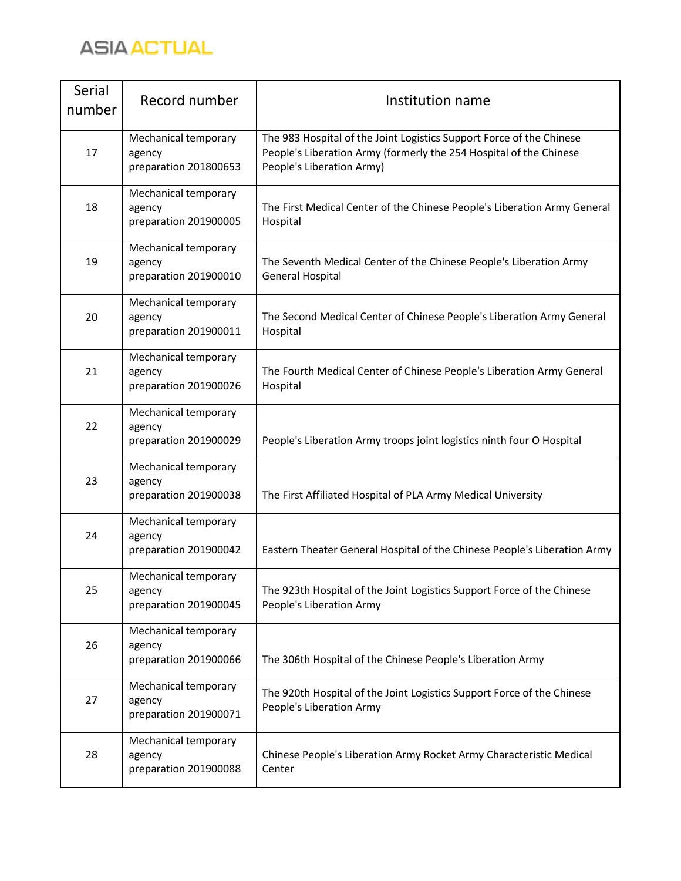

| Serial<br>number | Record number                                           | Institution name                                                                                                                                                        |
|------------------|---------------------------------------------------------|-------------------------------------------------------------------------------------------------------------------------------------------------------------------------|
| 17               | Mechanical temporary<br>agency<br>preparation 201800653 | The 983 Hospital of the Joint Logistics Support Force of the Chinese<br>People's Liberation Army (formerly the 254 Hospital of the Chinese<br>People's Liberation Army) |
| 18               | Mechanical temporary<br>agency<br>preparation 201900005 | The First Medical Center of the Chinese People's Liberation Army General<br>Hospital                                                                                    |
| 19               | Mechanical temporary<br>agency<br>preparation 201900010 | The Seventh Medical Center of the Chinese People's Liberation Army<br><b>General Hospital</b>                                                                           |
| 20               | Mechanical temporary<br>agency<br>preparation 201900011 | The Second Medical Center of Chinese People's Liberation Army General<br>Hospital                                                                                       |
| 21               | Mechanical temporary<br>agency<br>preparation 201900026 | The Fourth Medical Center of Chinese People's Liberation Army General<br>Hospital                                                                                       |
| 22               | Mechanical temporary<br>agency<br>preparation 201900029 | People's Liberation Army troops joint logistics ninth four O Hospital                                                                                                   |
| 23               | Mechanical temporary<br>agency<br>preparation 201900038 | The First Affiliated Hospital of PLA Army Medical University                                                                                                            |
| 24               | Mechanical temporary<br>agency<br>preparation 201900042 | Eastern Theater General Hospital of the Chinese People's Liberation Army                                                                                                |
| 25               | Mechanical temporary<br>agency<br>preparation 201900045 | The 923th Hospital of the Joint Logistics Support Force of the Chinese<br>People's Liberation Army                                                                      |
| 26               | Mechanical temporary<br>agency<br>preparation 201900066 | The 306th Hospital of the Chinese People's Liberation Army                                                                                                              |
| 27               | Mechanical temporary<br>agency<br>preparation 201900071 | The 920th Hospital of the Joint Logistics Support Force of the Chinese<br>People's Liberation Army                                                                      |
| 28               | Mechanical temporary<br>agency<br>preparation 201900088 | Chinese People's Liberation Army Rocket Army Characteristic Medical<br>Center                                                                                           |